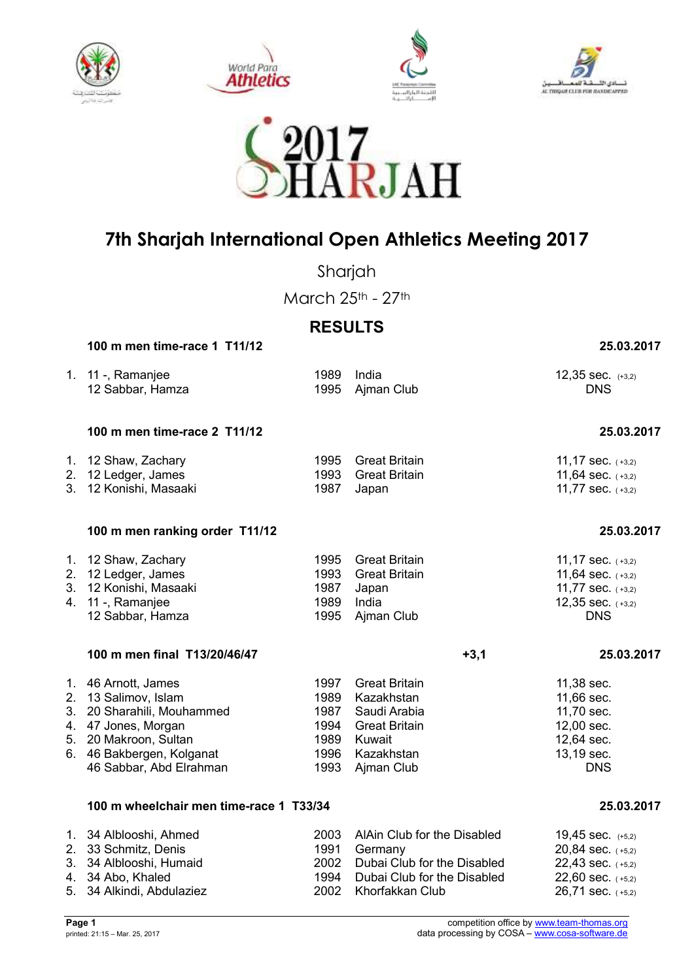









Sharjah

March 25th - 27th

## **RESULTS**

 **100 m men time-race 1 T11/12 25.03.2017** 

|          | 1. 11 -, Ramanjee<br>12 Sabbar, Hamza                                                                                                                                             | 1989<br>1995                                         | India<br>Ajman Club                                                                                                     | 12,35 sec. (+3,2)<br><b>DNS</b>                                                                         |
|----------|-----------------------------------------------------------------------------------------------------------------------------------------------------------------------------------|------------------------------------------------------|-------------------------------------------------------------------------------------------------------------------------|---------------------------------------------------------------------------------------------------------|
|          | 100 m men time-race 2 T11/12                                                                                                                                                      |                                                      |                                                                                                                         | 25.03.2017                                                                                              |
|          | 1. 12 Shaw, Zachary<br>2. 12 Ledger, James<br>3. 12 Konishi, Masaaki                                                                                                              | 1995<br>1993<br>1987                                 | <b>Great Britain</b><br><b>Great Britain</b><br>Japan                                                                   | 11,17 sec. $(+3,2)$<br>11,64 sec. $(+3,2)$<br>11,77 sec. (+3,2)                                         |
|          | 100 m men ranking order T11/12                                                                                                                                                    |                                                      |                                                                                                                         | 25.03.2017                                                                                              |
| 2.<br>3. | 1. 12 Shaw, Zachary<br>12 Ledger, James<br>12 Konishi, Masaaki<br>4. 11 -, Ramanjee<br>12 Sabbar, Hamza                                                                           | 1995<br>1993<br>1987<br>1989<br>1995                 | <b>Great Britain</b><br><b>Great Britain</b><br>Japan<br>India<br>Ajman Club                                            | 11,17 sec. $(+3,2)$<br>11,64 sec. $(+3,2)$<br>11,77 sec. (+3,2)<br>12,35 sec. $(+3,2)$<br><b>DNS</b>    |
|          | 100 m men final T13/20/46/47                                                                                                                                                      |                                                      | $+3,1$                                                                                                                  | 25.03.2017                                                                                              |
|          | 1. 46 Arnott, James<br>2. 13 Salimov, Islam<br>3. 20 Sharahili, Mouhammed<br>4. 47 Jones, Morgan<br>5. 20 Makroon, Sultan<br>6. 46 Bakbergen, Kolganat<br>46 Sabbar, Abd Elrahman | 1997<br>1989<br>1987<br>1994<br>1989<br>1996<br>1993 | <b>Great Britain</b><br>Kazakhstan<br>Saudi Arabia<br><b>Great Britain</b><br>Kuwait<br>Kazakhstan<br>Ajman Club        | 11,38 sec.<br>11,66 sec.<br>11,70 sec.<br>12,00 sec.<br>12,64 sec.<br>13,19 sec.<br><b>DNS</b>          |
|          | 100 m wheelchair men time-race 1 T33/34                                                                                                                                           |                                                      |                                                                                                                         | 25.03.2017                                                                                              |
|          | 1. 34 Alblooshi, Ahmed<br>2. 33 Schmitz, Denis<br>3. 34 Alblooshi, Humaid<br>4. 34 Abo, Khaled<br>5. 34 Alkindi, Abdulaziez                                                       | 2003<br>1991<br>2002<br>1994<br>2002                 | AlAin Club for the Disabled<br>Germany<br>Dubai Club for the Disabled<br>Dubai Club for the Disabled<br>Khorfakkan Club | 19,45 sec. (+5,2)<br>20,84 sec. (+5,2)<br>22,43 sec. (+5,2)<br>22,60 sec. $(+5,2)$<br>26,71 sec. (+5,2) |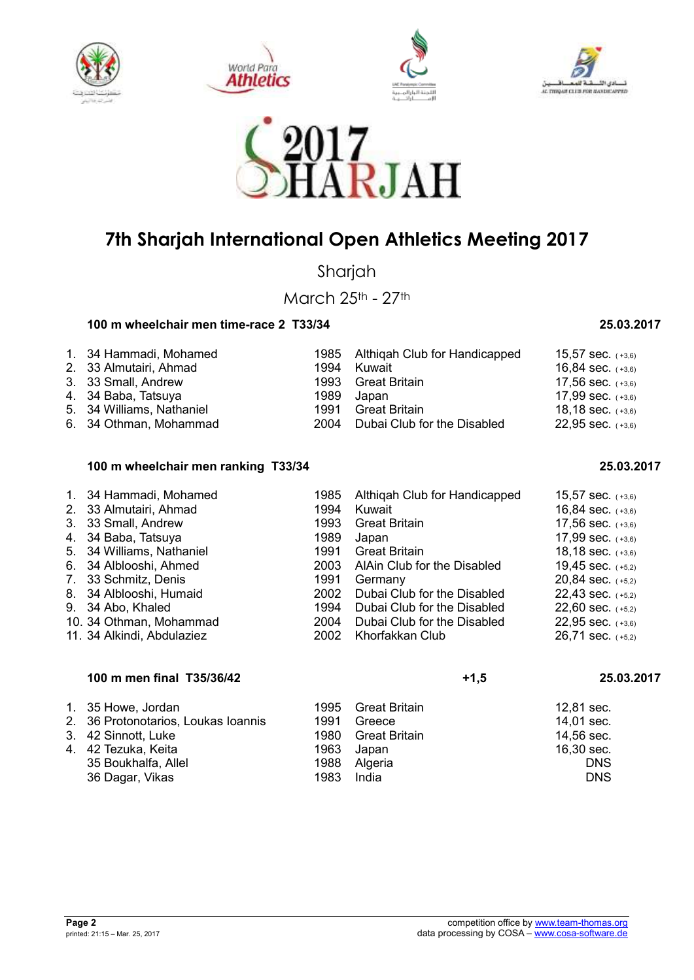









Sharjah

March 25th - 27th

### **100 m wheelchair men time-race 2 T33/34 25.03.2017**

| 1. 34 Hammadi, Mohamed    |      | 1985 Althigah Club for Handicapped | 15,57 sec. $(+3,6)$   |
|---------------------------|------|------------------------------------|-----------------------|
| 2. 33 Almutairi, Ahmad    | 1994 | Kuwait                             | 16,84 sec. $(+3,6)$   |
| 3. 33 Small, Andrew       |      | 1993 Great Britain                 | $17,56$ sec. $(+3,6)$ |
| 4. 34 Baba, Tatsuya       |      | 1989 Japan                         | 17,99 sec. $(+3,6)$   |
| 5. 34 Williams, Nathaniel |      | 1991 Great Britain                 | 18,18 sec. $(+3,6)$   |
| 6. 34 Othman, Mohammad    |      | 2004 Dubai Club for the Disabled   | $22,95$ sec. $(+3,6)$ |

### **100 m wheelchair men ranking T33/34 25.03.2017**

| 1. 34 Hammadi, Mohamed<br>2. 33 Almutairi, Ahmad | 1985<br>1994 | Althigah Club for Handicapped<br>Kuwait | 15,57 sec. $(+3,6)$<br>16,84 sec. $(+3,6)$ |
|--------------------------------------------------|--------------|-----------------------------------------|--------------------------------------------|
| 3. 33 Small, Andrew                              | 1993         | <b>Great Britain</b>                    | 17,56 sec. $(+3,6)$                        |
| 4. 34 Baba, Tatsuya                              | 1989         | Japan                                   | 17,99 sec. $(+3,6)$                        |
| 5. 34 Williams, Nathaniel                        | 1991         | <b>Great Britain</b>                    | 18,18 sec. $(+3,6)$                        |
| 6. 34 Alblooshi, Ahmed                           | 2003         | AlAin Club for the Disabled             | 19,45 sec. $(+5,2)$                        |
| 7. 33 Schmitz, Denis                             | 1991         | Germany                                 | 20,84 sec. $(+5,2)$                        |
| 8. 34 Alblooshi, Humaid                          | 2002         | Dubai Club for the Disabled             | $22,43$ sec. $(+5,2)$                      |
| 9. 34 Abo, Khaled                                | 1994         | Dubai Club for the Disabled             | 22,60 sec. $(+5,2)$                        |
| 10. 34 Othman, Mohammad                          | 2004         | Dubai Club for the Disabled             | $22,95$ sec. $(+3,6)$                      |
| 11. 34 Alkindi, Abdulaziez                       | 2002         | Khorfakkan Club                         | 26,71 sec. $(+5,2)$                        |

# 100 m men final T35/36/42 **+1,5** 25.03.2017

| 1. 35 Howe, Jordan                  |      | 1995 Great Britain | 12,81 sec. |
|-------------------------------------|------|--------------------|------------|
| 2. 36 Protonotarios, Loukas Ioannis | 1991 | Greece             | 14,01 sec. |
| 3. 42 Sinnott, Luke                 | 1980 | Great Britain      | 14,56 sec. |
| 4. 42 Tezuka, Keita                 | 1963 | Japan              | 16,30 sec. |
| 35 Boukhalfa, Allel                 |      | 1988 Algeria       | <b>DNS</b> |
| 36 Dagar, Vikas                     | 1983 | India              | <b>DNS</b> |

| , ט, טער דע                  |  |
|------------------------------|--|
| 17,56 sec. (+3,6)            |  |
| 17,99 sec. (+3,6)            |  |
| $18,18$ sec. $(+3,6)$        |  |
| 19,45 sec.<br>$(+5,2)$       |  |
| 20,84 sec.<br>$(+5,2)$       |  |
| 22,43 sec.<br>$(+5,2)$       |  |
| 22,60 sec.<br>$(+5,2)$       |  |
| 22,95 sec.<br>$(+3,6)$       |  |
| 26,71 sec. <sub>(+5,2)</sub> |  |
|                              |  |
|                              |  |
|                              |  |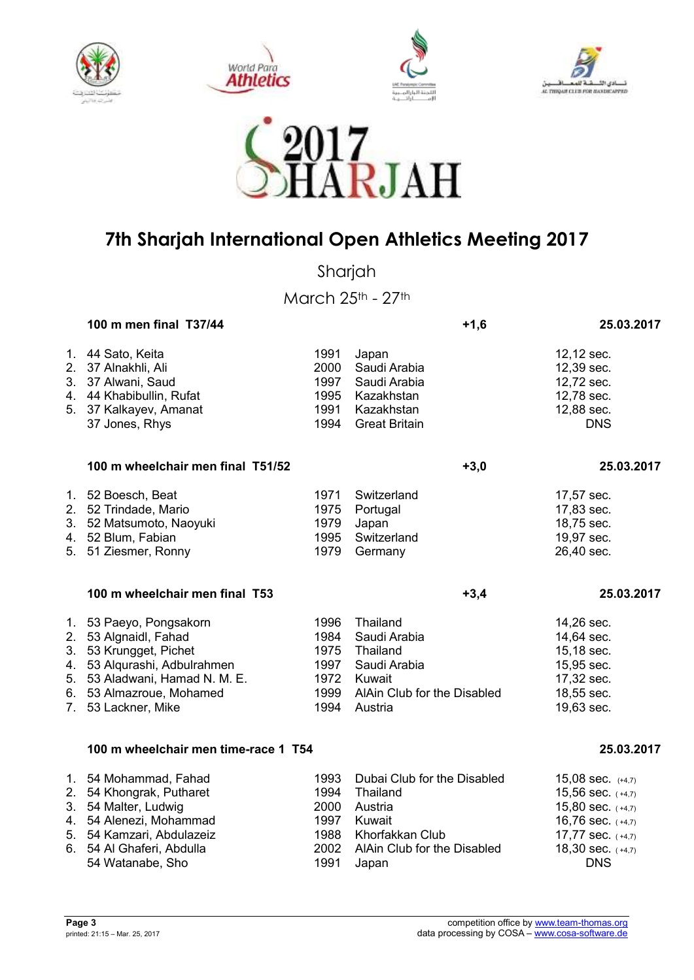









Sharjah

March 25th - 27th

| 100 m men final T37/44                                                                                                                                                                          |                                                      | $+1,6$                                                                                                                  | 25.03.2017                                                                                                                                     |  |
|-------------------------------------------------------------------------------------------------------------------------------------------------------------------------------------------------|------------------------------------------------------|-------------------------------------------------------------------------------------------------------------------------|------------------------------------------------------------------------------------------------------------------------------------------------|--|
| 1. 44 Sato, Keita<br>2. 37 Alnakhli, Ali<br>3. 37 Alwani, Saud<br>4. 44 Khabibullin, Rufat<br>5. 37 Kalkayev, Amanat<br>37 Jones, Rhys                                                          | 1991<br>2000<br>1997<br>1995<br>1991<br>1994         | Japan<br>Saudi Arabia<br>Saudi Arabia<br>Kazakhstan<br>Kazakhstan<br><b>Great Britain</b>                               | 12,12 sec.<br>12,39 sec.<br>12,72 sec.<br>12,78 sec.<br>12,88 sec.<br><b>DNS</b>                                                               |  |
| 100 m wheelchair men final T51/52                                                                                                                                                               |                                                      | $+3,0$                                                                                                                  | 25.03.2017                                                                                                                                     |  |
| 1. 52 Boesch, Beat<br>2. 52 Trindade, Mario<br>3. 52 Matsumoto, Naoyuki<br>4. 52 Blum, Fabian<br>5. 51 Ziesmer, Ronny                                                                           | 1971<br>1975<br>1979<br>1995<br>1979                 | Switzerland<br>Portugal<br>Japan<br>Switzerland<br>Germany                                                              | 17,57 sec.<br>17,83 sec.<br>18,75 sec.<br>19,97 sec.<br>26,40 sec.                                                                             |  |
| 100 m wheelchair men final T53                                                                                                                                                                  |                                                      | $+3,4$                                                                                                                  | 25.03.2017                                                                                                                                     |  |
| 1. 53 Paeyo, Pongsakorn<br>2. 53 Algnaidl, Fahad<br>3. 53 Krungget, Pichet<br>4. 53 Alqurashi, Adbulrahmen<br>5. 53 Aladwani, Hamad N. M. E.<br>6. 53 Almazroue, Mohamed<br>7. 53 Lackner, Mike | 1996<br>1984<br>1975<br>1997<br>1972<br>1999<br>1994 | Thailand<br>Saudi Arabia<br>Thailand<br>Saudi Arabia<br>Kuwait<br>AlAin Club for the Disabled<br>Austria                | 14,26 sec.<br>14,64 sec.<br>15,18 sec.<br>15,95 sec.<br>17,32 sec.<br>18,55 sec.<br>19,63 sec.                                                 |  |
| 100 m wheelchair men time-race 1 T54                                                                                                                                                            |                                                      |                                                                                                                         | 25.03.2017                                                                                                                                     |  |
| 1. 54 Mohammad, Fahad<br>2. 54 Khongrak, Putharet<br>3. 54 Malter, Ludwig<br>4. 54 Alenezi, Mohammad<br>5. 54 Kamzari, Abdulazeiz<br>6. 54 Al Ghaferi, Abdulla<br>54 Watanabe, Sho              | 1993<br>1994<br>2000<br>1997<br>1988<br>2002<br>1991 | Dubai Club for the Disabled<br>Thailand<br>Austria<br>Kuwait<br>Khorfakkan Club<br>AlAin Club for the Disabled<br>Japan | 15,08 sec. $(+4,7)$<br>15,56 sec. (+4,7)<br>15,80 sec. $(+4,7)$<br>16,76 sec. $(+4,7)$<br>17,77 sec. (+4,7)<br>18,30 sec. (+4,7)<br><b>DNS</b> |  |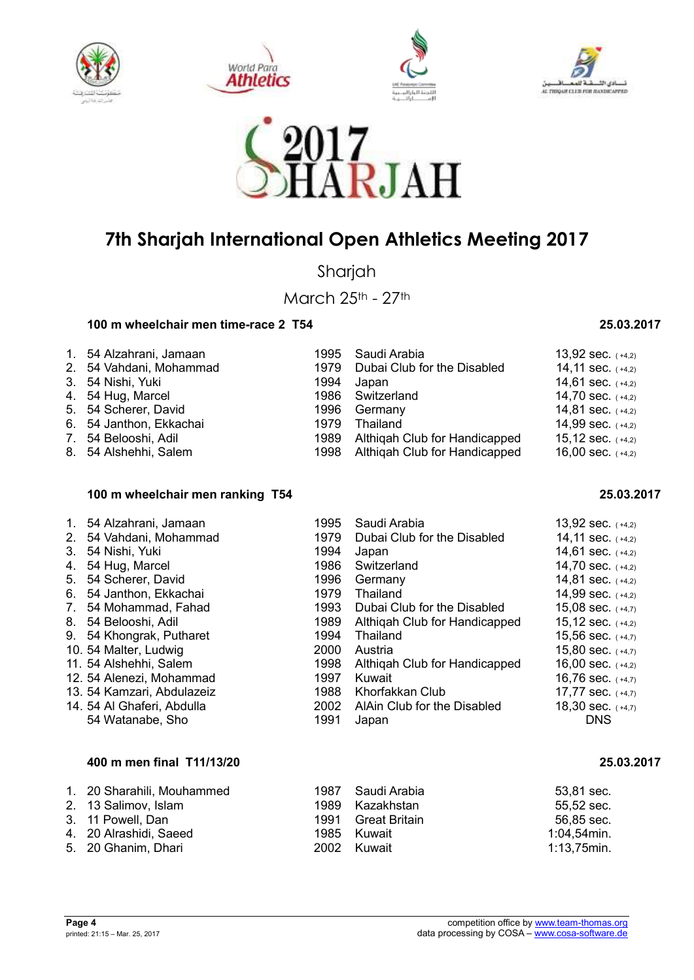









Sharjah

March 25th - 27th

### **100 m wheelchair men time-race 2 T54 25.03.2017**

| 1. 54 Alzahrani, Jamaan<br>2. 54 Vahdani, Mohammad<br>3. 54 Nishi, Yuki | 1979<br>1994 | 1995 Saudi Arabia<br>Dubai Club for the Disabled<br>Japan                | 13,92 sec. $(+4,2)$<br>14,11 sec. $(+4,2)$<br>14,61 sec. $(+4,2)$ |
|-------------------------------------------------------------------------|--------------|--------------------------------------------------------------------------|-------------------------------------------------------------------|
| 4. 54 Hug, Marcel<br>5. 54 Scherer, David                               |              | 1986 Switzerland<br>1996 Germany                                         | 14,70 sec. $(+4,2)$<br>14,81 sec. $(+4,2)$                        |
| 6. 54 Janthon, Ekkachai                                                 | 1979         | Thailand                                                                 | 14,99 sec. $(+4,2)$                                               |
| 7. 54 Belooshi, Adil<br>8. 54 Alshehhi, Salem                           |              | 1989 Althigah Club for Handicapped<br>1998 Althiqah Club for Handicapped | 15,12 sec. $(+4,2)$<br>16,00 sec. $(+4,2)$                        |

#### **100 m wheelchair men ranking T54 25.03.2017**

|                | 1. 54 Alzahrani, Jamaan    | 1995 | Saudi Arabia                  | 13,92 sec. $(+4,2)$ |
|----------------|----------------------------|------|-------------------------------|---------------------|
| 2 <sub>1</sub> | 54 Vahdani, Mohammad       | 1979 | Dubai Club for the Disabled   | 14,11 sec. $(+4,2)$ |
| 3.             | 54 Nishi, Yuki             | 1994 | Japan                         | 14,61 sec. $(+4,2)$ |
| 4.             | 54 Hug, Marcel             | 1986 | Switzerland                   | 14,70 sec. (+4,2)   |
| 5.             | 54 Scherer, David          | 1996 | Germany                       | 14,81 sec. $(+4,2)$ |
| 6.             | 54 Janthon, Ekkachai       | 1979 | Thailand                      | 14,99 sec. $(+4,2)$ |
| 7.             | 54 Mohammad, Fahad         | 1993 | Dubai Club for the Disabled   | 15,08 sec. $(+4,7)$ |
|                | 8. 54 Belooshi, Adil       | 1989 | Althigah Club for Handicapped | 15,12 sec. $(+4,2)$ |
| 9.             | 54 Khongrak, Putharet      | 1994 | Thailand                      | 15,56 sec. $(+4,7)$ |
|                | 10. 54 Malter, Ludwig      | 2000 | Austria                       | 15,80 sec. $(+4,7)$ |
|                | 11. 54 Alshehhi, Salem     | 1998 | Althigah Club for Handicapped | 16,00 sec. $(+4,2)$ |
|                | 12. 54 Alenezi, Mohammad   | 1997 | Kuwait                        | 16,76 sec. $(+4,7)$ |
|                | 13. 54 Kamzari, Abdulazeiz | 1988 | Khorfakkan Club               | 17,77 sec. (+4,7)   |
|                | 14. 54 Al Ghaferi, Abdulla | 2002 | AlAin Club for the Disabled   | 18,30 sec. $(+4,7)$ |
|                | 54 Watanabe, Sho           | 1991 | Japan                         | <b>DNS</b>          |
|                |                            |      |                               |                     |

### **400 m men final T11/13/20 25.03.2017**

| 1. 20 Sharahili, Mouhammed | 1987 Saudi Arabia  | 53,81 sec.     |
|----------------------------|--------------------|----------------|
| 2. 13 Salimov, Islam       | 1989 Kazakhstan    | 55,52 sec.     |
| 3. 11 Powell, Dan          | 1991 Great Britain | 56,85 sec.     |
| 4. 20 Alrashidi, Saeed     | 1985 Kuwait        | $1:04,54$ min. |
| 5. 20 Ghanim, Dhari        | 2002 Kuwait        | 1:13,75min.    |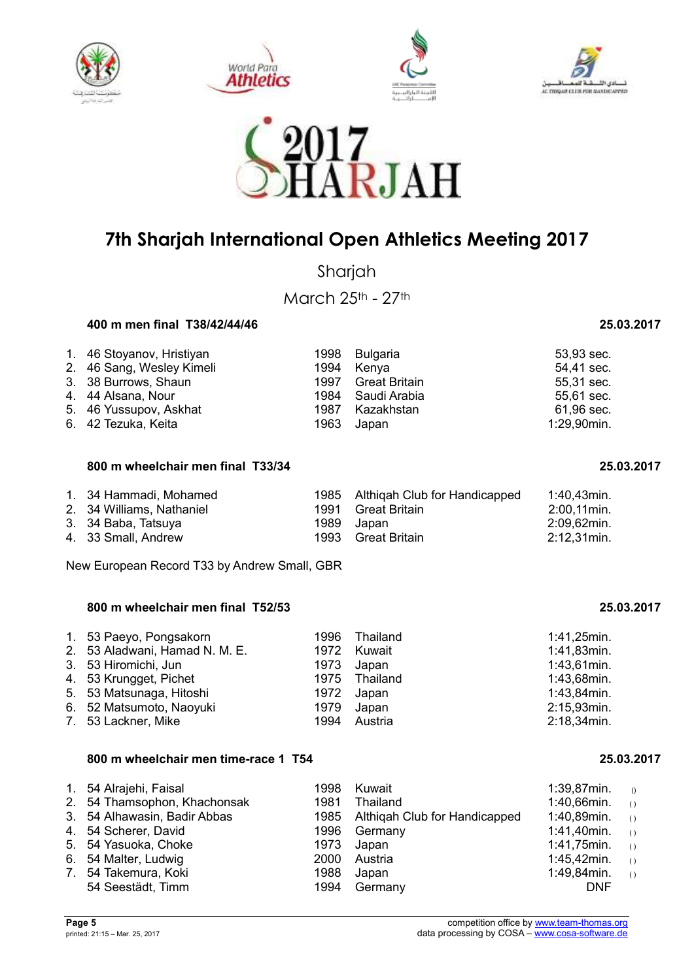









Sharjah

March 25th - 27th

#### **400 m men final T38/42/44/46 25.03.2017**

| 1. 46 Stoyanov, Hristiyan |      | 1998 Bulgaria | 53,93 sec.  |
|---------------------------|------|---------------|-------------|
| 2. 46 Sang, Wesley Kimeli | 1994 | Kenva         | 54,41 sec.  |
| 3. 38 Burrows, Shaun      | 1997 | Great Britain | 55,31 sec.  |
| 4. 44 Alsana, Nour        | 1984 | Saudi Arabia  | 55,61 sec.  |
| 5. 46 Yussupov, Askhat    | 1987 | Kazakhstan    | 61,96 sec.  |
| 6. 42 Tezuka, Keita       | 1963 | Japan         | 1:29,90min. |

#### **800 m wheelchair men final T33/34 25.03.2017**

| 1. 34 Hammadi, Mohamed    |       | 1985 Althigah Club for Handicapped | 1:40,43min.    |
|---------------------------|-------|------------------------------------|----------------|
| 2. 34 Williams, Nathaniel |       | 1991 Great Britain                 | $2:00.11$ min. |
| 3. 34 Baba, Tatsuya       |       | 1989 Japan                         | 2:09,62min.    |
| 4. 33 Small, Andrew       | 1993. | Great Britain                      | 2:12,31min.    |

New European Record T33 by Andrew Small, GBR

### **800 m wheelchair men final T52/53 25.03.2017**

| 1. 53 Paeyo, Pongsakorn        | 1996 Thailand | 1:41,25min.    |
|--------------------------------|---------------|----------------|
| 2. 53 Aladwani, Hamad N. M. E. | 1972 Kuwait   | 1:41,83min.    |
| 3. 53 Hiromichi, Jun           | 1973 Japan    | $1:43,61$ min. |
| 4. 53 Krungget, Pichet         | 1975 Thailand | 1:43,68min.    |
| 5. 53 Matsunaga, Hitoshi       | 1972 Japan    | 1:43,84min.    |
| 6. 52 Matsumoto, Naoyuki       | 1979 Japan    | 2:15,93min.    |
| 7. 53 Lackner, Mike            | 1994 Austria  | 2:18,34min.    |

#### **800 m wheelchair men time-race 1 T54 25.03.2017**

|  | 1. 54 Alrajehi, Faisal<br>2. 54 Thamsophon, Khachonsak<br>3. 54 Alhawasin, Badir Abbas<br>4. 54 Scherer, David<br>5. 54 Yasuoka, Choke<br>6. 54 Malter, Ludwig<br>7. 54 Takemura, Koki<br>54 Seestädt, Timm | 1998<br>1981<br>1996<br>2000<br>1988<br>1994 | Kuwait<br>Thailand<br>1985 Althiqah Club for Handicapped<br>Germany<br>1973 Japan<br>Austria<br>Japan<br>Germany | 1:39,87min.<br>$1:40,66$ min. ()<br>1:40,89min.<br>$1:41,40$ min. ()<br>1:41,75min.<br>1:45,42min. $(1)$<br>1:49,84min.<br><b>DNF</b> | $\bigcirc$<br>$\left( \right)$<br>$\left( \right)$<br>$\left( \begin{array}{c} \end{array} \right)$ |
|--|-------------------------------------------------------------------------------------------------------------------------------------------------------------------------------------------------------------|----------------------------------------------|------------------------------------------------------------------------------------------------------------------|---------------------------------------------------------------------------------------------------------------------------------------|-----------------------------------------------------------------------------------------------------|
|--|-------------------------------------------------------------------------------------------------------------------------------------------------------------------------------------------------------------|----------------------------------------------|------------------------------------------------------------------------------------------------------------------|---------------------------------------------------------------------------------------------------------------------------------------|-----------------------------------------------------------------------------------------------------|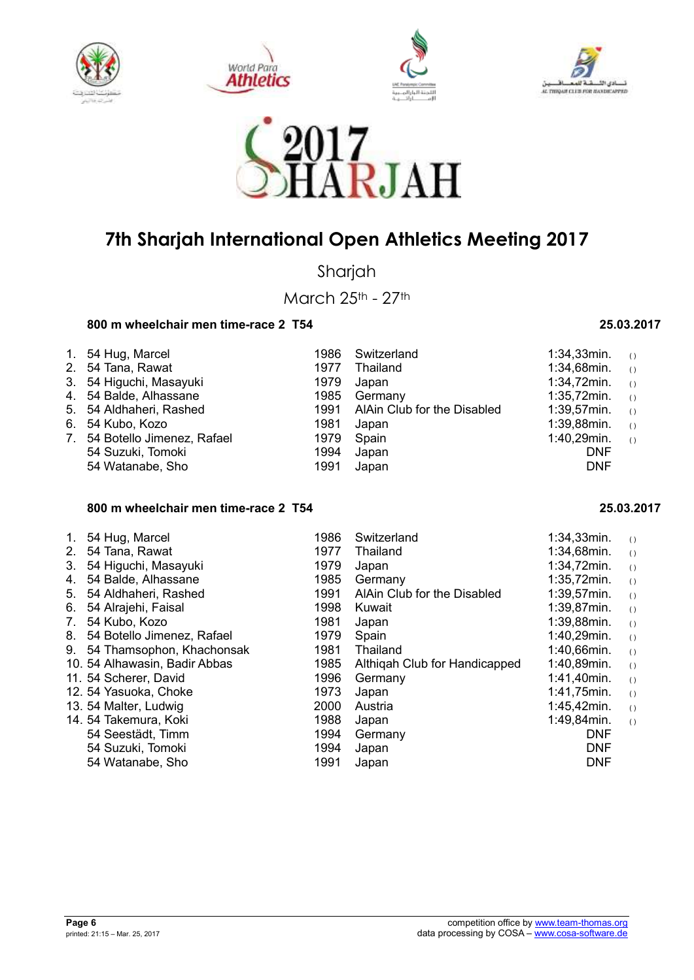









Sharjah

March 25th - 27th

### **800 m wheelchair men time-race 2 T54 25.03.2017**

| 1. 54 Hug, Marcel             | 1986  | Switzerland                      | 1:34,33 $min.$ () |  |
|-------------------------------|-------|----------------------------------|-------------------|--|
| 2. 54 Tana, Rawat             | 1977  | Thailand                         | 1:34,68min. $(1)$ |  |
| 3. 54 Higuchi, Masayuki       | 1979  | Japan                            | 1:34,72 $min.$ () |  |
| 4. 54 Balde, Alhassane        | 1985  | Germany                          | 1:35,72 $min.$ () |  |
| 5. 54 Aldhaheri, Rashed       |       | 1991 AlAin Club for the Disabled | $1:39,57$ min. () |  |
| 6. 54 Kubo, Kozo              | 1981  | Japan                            | 1:39,88 $min.$ () |  |
| 7. 54 Botello Jimenez, Rafael | 1979. | Spain                            | 1:40,29min. $(1)$ |  |
| 54 Suzuki, Tomoki             | 1994  | Japan                            | <b>DNF</b>        |  |
| 54 Watanabe, Sho              | 1991  | Japan                            | <b>DNF</b>        |  |

### **800 m wheelchair men time-race 2 T54 25.03.2017**

| 1. | 54 Hug, Marcel                | 1986 | Switzerland                   | 1:34,33min.    | ( )              |
|----|-------------------------------|------|-------------------------------|----------------|------------------|
| 2. | 54 Tana, Rawat                | 1977 | Thailand                      | 1:34,68min.    | $\left( \right)$ |
| 3. | 54 Higuchi, Masayuki          | 1979 | Japan                         | 1:34,72min.    | $\left( \right)$ |
| 4. | 54 Balde, Alhassane           | 1985 | Germany                       | 1:35,72min.    | $\left( \right)$ |
| 5. | 54 Aldhaheri, Rashed          | 1991 | AlAin Club for the Disabled   | $1:39,57$ min. | $\left( \right)$ |
| 6. | 54 Alrajehi, Faisal           | 1998 | Kuwait                        | $1:39.87$ min. | $\left( \right)$ |
| 7. | 54 Kubo, Kozo                 | 1981 | Japan                         | 1:39,88min.    | $\left( \right)$ |
| 8. | 54 Botello Jimenez, Rafael    | 1979 | Spain                         | 1:40,29min.    | ( )              |
| 9. | 54 Thamsophon, Khachonsak     | 1981 | Thailand                      | 1:40,66min.    | ( )              |
|    | 10. 54 Alhawasin, Badir Abbas | 1985 | Althigah Club for Handicapped | 1:40,89min.    | ( )              |
|    | 11. 54 Scherer, David         | 1996 | Germany                       | $1:41,40$ min. | $\left( \right)$ |
|    | 12. 54 Yasuoka, Choke         | 1973 | Japan                         | 1:41,75min.    | ( )              |
|    | 13. 54 Malter, Ludwig         | 2000 | Austria                       | 1:45,42min.    | ( )              |
|    | 14. 54 Takemura, Koki         | 1988 | Japan                         | 1:49,84min.    | ( )              |
|    | 54 Seestädt, Timm             | 1994 | Germany                       | <b>DNF</b>     |                  |
|    | 54 Suzuki, Tomoki             | 1994 | Japan                         | <b>DNF</b>     |                  |
|    | 54 Watanabe, Sho              | 1991 | Japan                         | <b>DNF</b>     |                  |
|    |                               |      |                               |                |                  |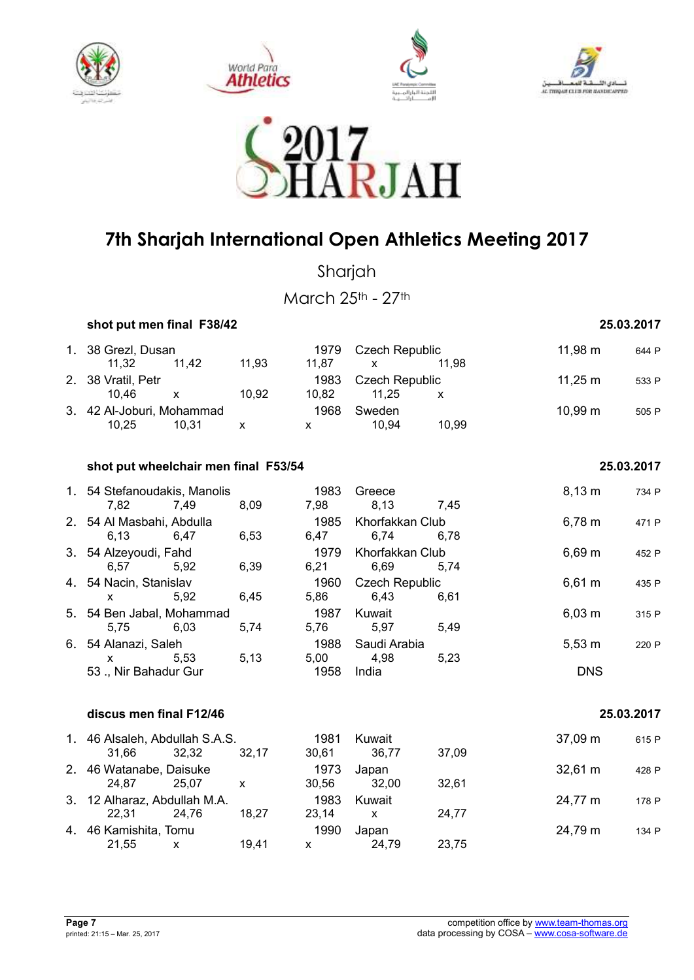









Sharjah

March 25th - 27th

 **shot put men final F38/42 25.03.2017** 

| 1. 38 Grezl, Dusan        |       |       | 1979  | Czech Republic        |       | $11,98 \; \text{m}$ | 644 P |
|---------------------------|-------|-------|-------|-----------------------|-------|---------------------|-------|
| 11.32                     | 11.42 | 11.93 | 11.87 |                       | 11.98 |                     |       |
| 2. 38 Vratil, Petr        |       |       | 1983  | <b>Czech Republic</b> |       | $11.25 \text{ m}$   | 533 P |
| 10.46                     | X.    | 10.92 | 10.82 | 11.25                 |       |                     |       |
| 3. 42 Al-Joburi, Mohammad |       |       | 1968  | Sweden                |       | $10,99 \; \text{m}$ | 505 P |
| 10.25                     | 10.31 | х     |       | 10.94                 | 10.99 |                     |       |

| shot put wheelchair men final F53/54 | 25.03.2017 |
|--------------------------------------|------------|
|                                      |            |

|              |       |                                                                                                                                                                                                                                                                                                                                                            | 1983                                                           | Greece                                                                                                                                               |                                                                                                                                                             | $8,13 \; m$                                                                                                                     | 734 P                                                                                                               |
|--------------|-------|------------------------------------------------------------------------------------------------------------------------------------------------------------------------------------------------------------------------------------------------------------------------------------------------------------------------------------------------------------|----------------------------------------------------------------|------------------------------------------------------------------------------------------------------------------------------------------------------|-------------------------------------------------------------------------------------------------------------------------------------------------------------|---------------------------------------------------------------------------------------------------------------------------------|---------------------------------------------------------------------------------------------------------------------|
| 7,82         | 7,49  | 8,09                                                                                                                                                                                                                                                                                                                                                       |                                                                |                                                                                                                                                      |                                                                                                                                                             |                                                                                                                                 |                                                                                                                     |
|              |       |                                                                                                                                                                                                                                                                                                                                                            | 1985                                                           |                                                                                                                                                      |                                                                                                                                                             | 6,78 m                                                                                                                          | 471 P                                                                                                               |
| 6,13         |       | 6,53                                                                                                                                                                                                                                                                                                                                                       | 6,47                                                           |                                                                                                                                                      |                                                                                                                                                             |                                                                                                                                 |                                                                                                                     |
|              |       |                                                                                                                                                                                                                                                                                                                                                            | 1979                                                           |                                                                                                                                                      |                                                                                                                                                             |                                                                                                                                 | 452 P                                                                                                               |
| 6,57         |       | 6,39                                                                                                                                                                                                                                                                                                                                                       | 6,21                                                           |                                                                                                                                                      | 5,74                                                                                                                                                        |                                                                                                                                 |                                                                                                                     |
|              |       |                                                                                                                                                                                                                                                                                                                                                            |                                                                |                                                                                                                                                      |                                                                                                                                                             |                                                                                                                                 | 435 P                                                                                                               |
| X.           | 5,92  | 6,45                                                                                                                                                                                                                                                                                                                                                       |                                                                |                                                                                                                                                      | 6,61                                                                                                                                                        |                                                                                                                                 |                                                                                                                     |
|              |       |                                                                                                                                                                                                                                                                                                                                                            |                                                                |                                                                                                                                                      |                                                                                                                                                             |                                                                                                                                 | 315 P                                                                                                               |
| 5,75         |       | 5,74                                                                                                                                                                                                                                                                                                                                                       |                                                                |                                                                                                                                                      | 5,49                                                                                                                                                        |                                                                                                                                 |                                                                                                                     |
|              |       |                                                                                                                                                                                                                                                                                                                                                            |                                                                |                                                                                                                                                      |                                                                                                                                                             | 220 P                                                                                                                           |                                                                                                                     |
| $\mathsf{X}$ |       |                                                                                                                                                                                                                                                                                                                                                            |                                                                |                                                                                                                                                      |                                                                                                                                                             |                                                                                                                                 |                                                                                                                     |
|              |       |                                                                                                                                                                                                                                                                                                                                                            | 1958                                                           |                                                                                                                                                      |                                                                                                                                                             | <b>DNS</b>                                                                                                                      |                                                                                                                     |
|              |       |                                                                                                                                                                                                                                                                                                                                                            |                                                                |                                                                                                                                                      |                                                                                                                                                             |                                                                                                                                 |                                                                                                                     |
|              |       |                                                                                                                                                                                                                                                                                                                                                            |                                                                |                                                                                                                                                      |                                                                                                                                                             |                                                                                                                                 | 25.03.2017                                                                                                          |
|              |       |                                                                                                                                                                                                                                                                                                                                                            |                                                                | Kuwait                                                                                                                                               |                                                                                                                                                             |                                                                                                                                 | 615 P                                                                                                               |
| 31,66        |       | 32,17                                                                                                                                                                                                                                                                                                                                                      |                                                                |                                                                                                                                                      | 37,09                                                                                                                                                       |                                                                                                                                 |                                                                                                                     |
|              |       |                                                                                                                                                                                                                                                                                                                                                            |                                                                |                                                                                                                                                      |                                                                                                                                                             |                                                                                                                                 | 428 P                                                                                                               |
|              |       | $\mathsf{x}$                                                                                                                                                                                                                                                                                                                                               |                                                                |                                                                                                                                                      | 32,61                                                                                                                                                       |                                                                                                                                 |                                                                                                                     |
|              |       |                                                                                                                                                                                                                                                                                                                                                            |                                                                |                                                                                                                                                      |                                                                                                                                                             |                                                                                                                                 | 178 P                                                                                                               |
|              |       |                                                                                                                                                                                                                                                                                                                                                            |                                                                |                                                                                                                                                      |                                                                                                                                                             |                                                                                                                                 |                                                                                                                     |
|              |       |                                                                                                                                                                                                                                                                                                                                                            |                                                                |                                                                                                                                                      |                                                                                                                                                             |                                                                                                                                 | 134 P                                                                                                               |
|              | X     |                                                                                                                                                                                                                                                                                                                                                            |                                                                |                                                                                                                                                      |                                                                                                                                                             |                                                                                                                                 |                                                                                                                     |
|              | 22,31 | 1. 54 Stefanoudakis, Manolis<br>2. 54 Al Masbahi, Abdulla<br>6,47<br>3. 54 Alzeyoudi, Fahd<br>5,92<br>4. 54 Nacin, Stanislav<br>5. 54 Ben Jabal, Mohammad<br>6,03<br>6. 54 Alanazi, Saleh<br>5,53<br>53., Nir Bahadur Gur<br>discus men final F12/46<br>32,32<br>2. 46 Watanabe, Daisuke<br>3. 12 Alharaz, Abdullah M.A.<br>24,76<br>4. 46 Kamishita, Tomu | 5,13<br>1. 46 Alsaleh, Abdullah S.A.S.<br>24,87 25,07<br>18,27 | 7,98<br>1960<br>1987<br>1981<br>1973<br>1983<br>1990<br>21,55<br>19,41<br>$\mathsf{X}$ and $\mathsf{X}$ and $\mathsf{X}$ are the set of $\mathsf{X}$ | 6,74<br>5,86 6,43<br>Kuwait<br>1988 Saudi Arabia<br>5,00 4,98<br>India<br>30,61 36,77<br>Japan<br>30,56 32,00<br>Kuwait<br>$23,14 \times$<br>Japan<br>24,79 | 8,13 7,45<br>Khorfakkan Club<br>6,78<br>Khorfakkan Club<br>6,69<br><b>Czech Republic</b><br>5,76 5,97<br>5,23<br>24,77<br>23,75 | $6,69 \; m$<br>$6,61 \; m$<br>$6,03 \; m$<br>$5,53 \text{ m}$<br>37,09 m<br>$32,61 \text{ m}$<br>24,77 m<br>24,79 m |

21,55 x 19,41 x 24,79 23,75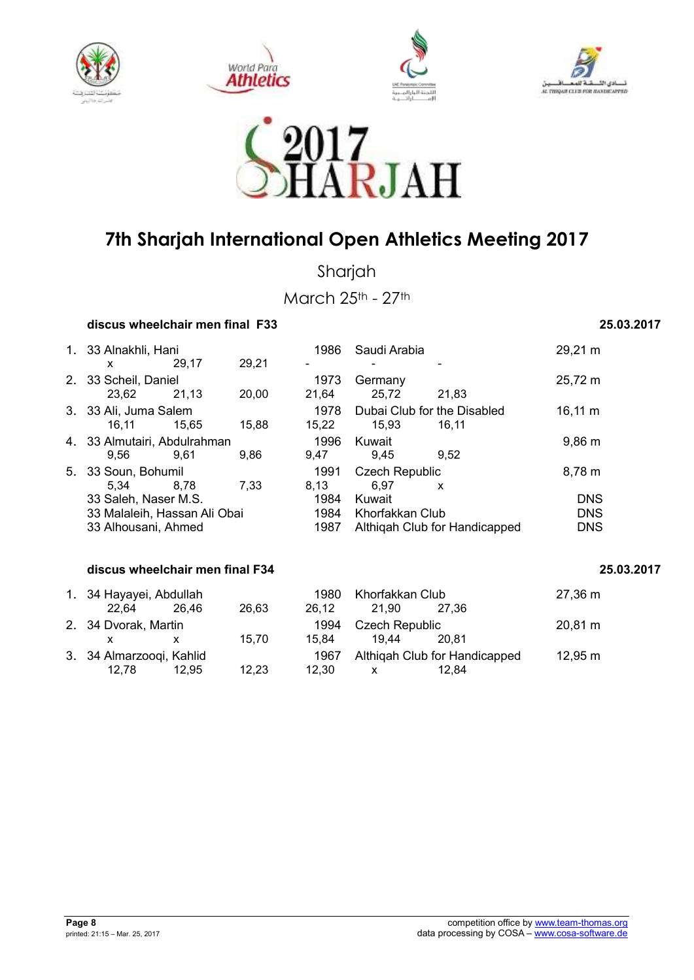









Sharjah

March 25th - 27th

### **discus wheelchair men final F33 25.03.2017**

| 1.                              | 33 Alnakhli, Hani            |       | 1986  | Saudi Arabia   |                               | 29,21 m                     |                    |
|---------------------------------|------------------------------|-------|-------|----------------|-------------------------------|-----------------------------|--------------------|
|                                 | x                            | 29.17 | 29,21 | $\blacksquare$ |                               |                             |                    |
| 2.                              | 33 Scheil, Daniel            |       |       | 1973           | Germany                       |                             | 25,72 m            |
|                                 | 23,62                        | 21,13 | 20,00 | 21,64          | 25,72                         | 21,83                       |                    |
|                                 | 3. 33 Ali, Juma Salem        |       |       | 1978           |                               | Dubai Club for the Disabled | $16,11 \; m$       |
|                                 | 16.11                        | 15.65 | 15,88 | 15,22          | 15,93                         | 16,11                       |                    |
|                                 | 4. 33 Almutairi, Abdulrahman |       |       | 1996           | Kuwait                        |                             | $9,86 \, \text{m}$ |
|                                 | 9.56                         | 9.61  | 9,86  | 9,47           | 9,45                          | 9,52                        |                    |
| 5.                              | 33 Soun, Bohumil             |       |       | 1991           | <b>Czech Republic</b>         |                             | $8,78 \; m$        |
|                                 | 5,34                         | 8.78  | 7.33  | 8,13           | 6,97                          | X                           |                    |
|                                 | 33 Saleh, Naser M.S.         |       |       | 1984           | Kuwait                        |                             | <b>DNS</b>         |
|                                 | 33 Malaleih, Hassan Ali Obai |       |       | 1984           | Khorfakkan Club               |                             | <b>DNS</b>         |
|                                 | 33 Alhousani, Ahmed          |       |       | 1987           | Althigah Club for Handicapped |                             | <b>DNS</b>         |
|                                 |                              |       |       |                |                               |                             |                    |
| discus wheelchair men final F34 |                              |       |       |                |                               |                             | 25.03.2017         |
|                                 |                              |       |       |                |                               |                             |                    |

| 1. 34 Hayayei, Abdullah                        | Khorfakkan Club<br>1980 |       |                   | $27,36 \; \text{m}$ |                               |              |
|------------------------------------------------|-------------------------|-------|-------------------|---------------------|-------------------------------|--------------|
| 22.64                                          | 26.46                   | 26,63 | 26.12             | 21.90               | 27.36                         |              |
| 2. 34 Dvorak, Martin<br>Czech Republic<br>1994 |                         |       | $20,81 \text{ m}$ |                     |                               |              |
|                                                |                         | 15.70 | 15.84             | 19.44               | 20.81                         |              |
| 3. 34 Almarzooqi, Kahlid                       |                         |       | 1967              |                     | Althigah Club for Handicapped | $12,95 \; m$ |
| 12.78                                          | 12.95                   | 12.23 | 12.30             |                     | 12.84                         |              |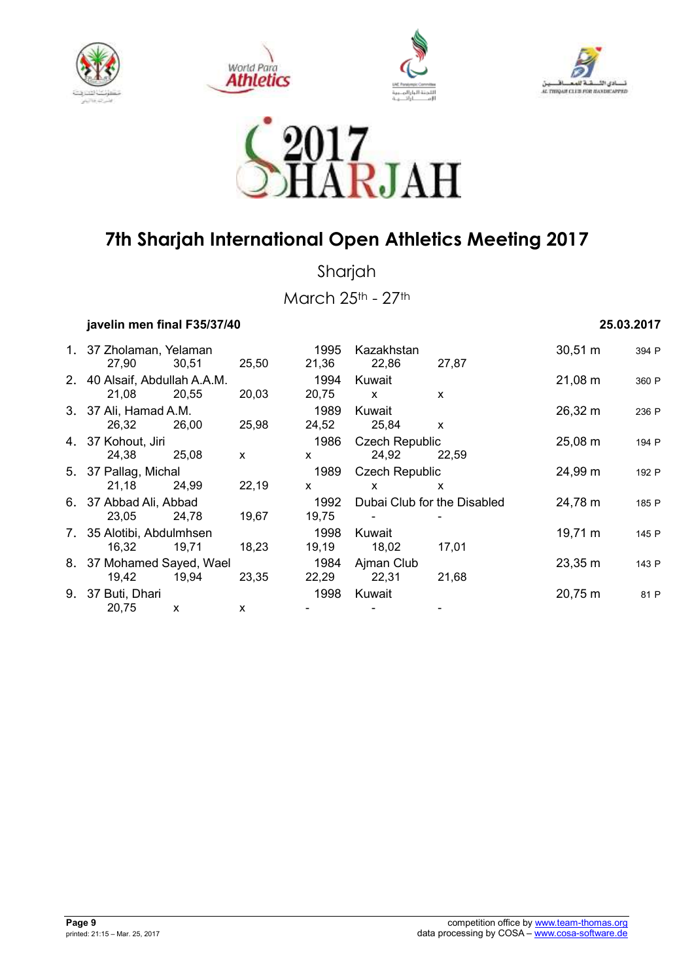









Sharjah

March 25th - 27th

 **javelin men final F35/37/40 25.03.2017** 

| 1. 37 Zholaman, Yelaman       |       |              | 1995           | Kazakhstan                  |              | $30,51 \; m$        | 394 P |
|-------------------------------|-------|--------------|----------------|-----------------------------|--------------|---------------------|-------|
| 27,90                         | 30,51 | 25,50        | 21,36          | 22,86                       | 27,87        |                     |       |
| 2. 40 Alsaif, Abdullah A.A.M. |       |              | 1994           | Kuwait                      |              | $21,08 \; m$        | 360 P |
| 21,08                         | 20,55 | 20,03        | 20,75          | $\mathsf{x}$                | $\mathsf{x}$ |                     |       |
| 3. 37 Ali, Hamad A.M.         |       |              | 1989           | Kuwait                      |              | 26,32 m             | 236 P |
| 26,32                         | 26,00 | 25,98        | 24,52          | 25,84                       | $\mathsf{x}$ |                     |       |
| 4. 37 Kohout, Jiri            |       | 1986         |                | <b>Czech Republic</b>       |              | 194 P               |       |
| 24,38                         | 25,08 | $\mathsf{x}$ | $\mathsf{x}$   | 24,92                       | 22,59        |                     |       |
| 5. 37 Pallag, Michal          |       | 1989         | Czech Republic |                             | 24,99 m      | 192 P               |       |
| 21,18                         | 24,99 | 22,19        | $\mathsf{x}$   | X                           | X            |                     |       |
| 6. 37 Abbad Ali, Abbad        |       |              | 1992           | Dubai Club for the Disabled |              | 24,78 m             | 185 P |
| 23,05                         | 24,78 | 19,67        | 19,75          |                             |              |                     |       |
| 7. 35 Alotibi, Abdulmhsen     |       |              | 1998           | Kuwait                      |              | $19,71 \text{ m}$   | 145 P |
| 16,32                         | 19,71 | 18,23        | 19,19          | 18,02                       | 17,01        |                     |       |
| 8. 37 Mohamed Sayed, Wael     |       |              | 1984           | Ajman Club                  |              | 23,35 m             | 143 P |
| 19,42                         | 19,94 | 23,35        | 22,29          | 22,31                       | 21,68        |                     |       |
| 9. 37 Buti, Dhari             |       |              | 1998           | Kuwait                      |              | $20,75 \; \text{m}$ | 81 P  |
| 20,75                         | X     | X            |                |                             |              |                     |       |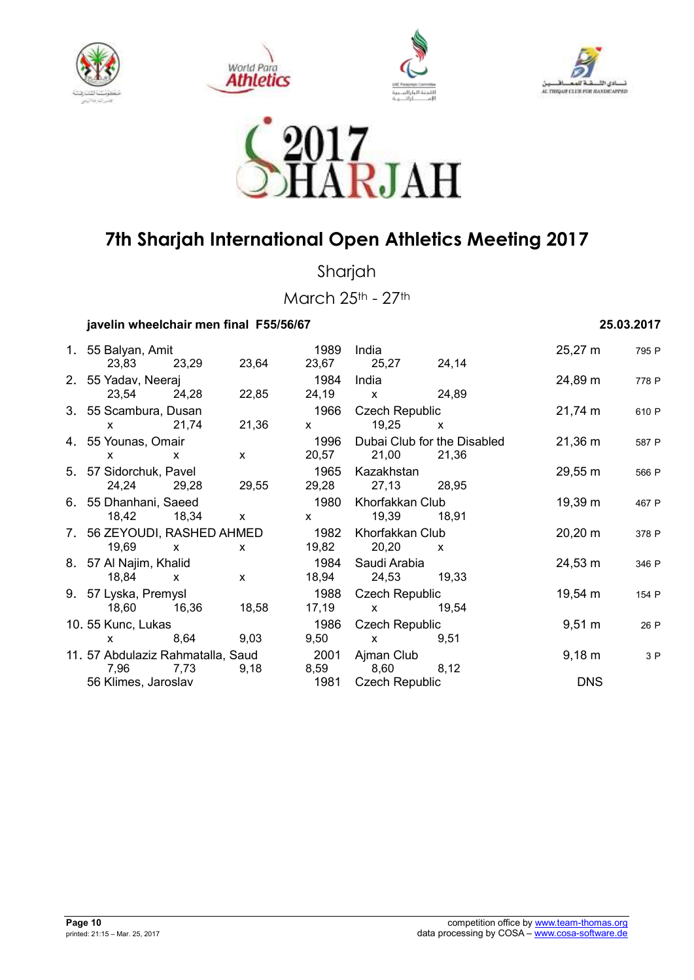









Sharjah

March 25th - 27th

### **javelin wheelchair men final F55/56/67 25.03.2017**

|                                                                                                                                                                                                                                                                                                  | 1. 55 Balyan, Amit                              |              | 1989                                                                                                                                                                                                                                                                                             | India                                                                                                                                                                                                                                                                                            |              | 25,27 m             | 795 P |
|--------------------------------------------------------------------------------------------------------------------------------------------------------------------------------------------------------------------------------------------------------------------------------------------------|-------------------------------------------------|--------------|--------------------------------------------------------------------------------------------------------------------------------------------------------------------------------------------------------------------------------------------------------------------------------------------------|--------------------------------------------------------------------------------------------------------------------------------------------------------------------------------------------------------------------------------------------------------------------------------------------------|--------------|---------------------|-------|
| 23,83 23,29                                                                                                                                                                                                                                                                                      |                                                 | 23,64        |                                                                                                                                                                                                                                                                                                  | 23,67 25,27 24,14                                                                                                                                                                                                                                                                                |              |                     |       |
| 2. 55 Yadav, Neeraj                                                                                                                                                                                                                                                                              |                                                 |              | 1984                                                                                                                                                                                                                                                                                             | India                                                                                                                                                                                                                                                                                            |              | 24,89 m             | 778 P |
| 23,54 24,28                                                                                                                                                                                                                                                                                      |                                                 | 22,85        |                                                                                                                                                                                                                                                                                                  | 24,19 x 24,89                                                                                                                                                                                                                                                                                    |              |                     |       |
|                                                                                                                                                                                                                                                                                                  | 3. 55 Scambura, Dusan<br>1966<br>Czech Republic |              |                                                                                                                                                                                                                                                                                                  | 21,74 m                                                                                                                                                                                                                                                                                          | 610 P        |                     |       |
| $x = 21,74$                                                                                                                                                                                                                                                                                      |                                                 | 21,36        | $\mathsf{X}$ and $\mathsf{X}$ and $\mathsf{X}$ are $\mathsf{X}$ and $\mathsf{X}$ are $\mathsf{X}$ and $\mathsf{X}$ are $\mathsf{X}$ and $\mathsf{X}$ are $\mathsf{X}$ and $\mathsf{X}$ are $\mathsf{X}$ and $\mathsf{X}$ are $\mathsf{X}$ and $\mathsf{X}$ are $\mathsf{X}$ and $\mathsf{X}$ are | 19,25                                                                                                                                                                                                                                                                                            | $\mathsf{x}$ |                     |       |
| 4. 55 Younas, Omair                                                                                                                                                                                                                                                                              |                                                 |              |                                                                                                                                                                                                                                                                                                  | 1996 Dubai Club for the Disabled                                                                                                                                                                                                                                                                 |              | $21,36 \; \text{m}$ | 587 P |
| $\mathsf{X}$ and $\mathsf{X}$ and $\mathsf{X}$ are $\mathsf{X}$ and $\mathsf{X}$ are $\mathsf{X}$ and $\mathsf{X}$ are $\mathsf{X}$ and $\mathsf{X}$ are $\mathsf{X}$ and $\mathsf{X}$ are $\mathsf{X}$ and $\mathsf{X}$ are $\mathsf{X}$ and $\mathsf{X}$ are $\mathsf{X}$ and $\mathsf{X}$ are | $\mathsf{X}$                                    | $\mathsf{X}$ |                                                                                                                                                                                                                                                                                                  | 20,57 21,00 21,36                                                                                                                                                                                                                                                                                |              |                     |       |
| 5. 57 Sidorchuk, Pavel                                                                                                                                                                                                                                                                           |                                                 |              |                                                                                                                                                                                                                                                                                                  | 1965 Kazakhstan                                                                                                                                                                                                                                                                                  |              | 29,55 m             | 566 P |
| 24,24 29,28                                                                                                                                                                                                                                                                                      |                                                 | 29,55        |                                                                                                                                                                                                                                                                                                  | 29,28 27,13 28,95                                                                                                                                                                                                                                                                                |              |                     |       |
| 6. 55 Dhanhani, Saeed                                                                                                                                                                                                                                                                            |                                                 |              | 1980                                                                                                                                                                                                                                                                                             | Khorfakkan Club                                                                                                                                                                                                                                                                                  |              | 19,39 m             | 467 P |
|                                                                                                                                                                                                                                                                                                  | 18,42 18,34 x                                   |              |                                                                                                                                                                                                                                                                                                  | x 19,39 18,91                                                                                                                                                                                                                                                                                    |              |                     |       |
| 7. 56 ZEYOUDI, RASHED AHMED                                                                                                                                                                                                                                                                      |                                                 |              |                                                                                                                                                                                                                                                                                                  | 1982 Khorfakkan Club                                                                                                                                                                                                                                                                             |              | $20,20 \; \text{m}$ | 378 P |
| 19,69 x                                                                                                                                                                                                                                                                                          |                                                 | X            |                                                                                                                                                                                                                                                                                                  | 19,82 20,20                                                                                                                                                                                                                                                                                      | $\mathsf{X}$ |                     |       |
| 8. 57 Al Najim, Khalid                                                                                                                                                                                                                                                                           |                                                 |              |                                                                                                                                                                                                                                                                                                  | 1984  Saudi Arabia                                                                                                                                                                                                                                                                               |              | 24,53 m             | 346 P |
| 18,84 x                                                                                                                                                                                                                                                                                          |                                                 | $\mathsf{x}$ |                                                                                                                                                                                                                                                                                                  | 18,94 24,53 19,33                                                                                                                                                                                                                                                                                |              |                     |       |
| 9. 57 Lyska, Premysl                                                                                                                                                                                                                                                                             |                                                 |              |                                                                                                                                                                                                                                                                                                  | 1988 Czech Republic                                                                                                                                                                                                                                                                              |              | 19,54 m             | 154 P |
| 18,60 16,36                                                                                                                                                                                                                                                                                      |                                                 | 18,58        |                                                                                                                                                                                                                                                                                                  | $17,19 \times$                                                                                                                                                                                                                                                                                   | 19,54        |                     |       |
| 10. 55 Kunc, Lukas                                                                                                                                                                                                                                                                               |                                                 |              | 1986                                                                                                                                                                                                                                                                                             | <b>Czech Republic</b>                                                                                                                                                                                                                                                                            |              | $9,51 \; \text{m}$  | 26 P  |
| $\mathsf{X}$ and $\mathsf{X}$ and $\mathsf{X}$ are $\mathsf{X}$ and $\mathsf{X}$ are $\mathsf{X}$ and $\mathsf{X}$ are $\mathsf{X}$ and $\mathsf{X}$ are $\mathsf{X}$ and $\mathsf{X}$ are $\mathsf{X}$ and $\mathsf{X}$ are $\mathsf{X}$ and $\mathsf{X}$ are $\mathsf{X}$ and $\mathsf{X}$ are | 8,64 9,03                                       |              | 9,50                                                                                                                                                                                                                                                                                             | $\mathsf{X}$ and $\mathsf{X}$ and $\mathsf{X}$ are $\mathsf{X}$ and $\mathsf{X}$ are $\mathsf{X}$ and $\mathsf{X}$ are $\mathsf{X}$ and $\mathsf{X}$ are $\mathsf{X}$ and $\mathsf{X}$ are $\mathsf{X}$ and $\mathsf{X}$ are $\mathsf{X}$ and $\mathsf{X}$ are $\mathsf{X}$ and $\mathsf{X}$ are | 9,51         |                     |       |
| 11.57 Abdulaziz Rahmatalla, Saud 2001                                                                                                                                                                                                                                                            |                                                 |              |                                                                                                                                                                                                                                                                                                  | Ajman Club                                                                                                                                                                                                                                                                                       |              | $9,18 \; m$         | 3 P   |
| 7,96                                                                                                                                                                                                                                                                                             | 7,73                                            | 9,18         | 8,59                                                                                                                                                                                                                                                                                             | 8,60 8,12                                                                                                                                                                                                                                                                                        |              |                     |       |
| 56 Klimes, Jaroslav                                                                                                                                                                                                                                                                              |                                                 |              | 1981                                                                                                                                                                                                                                                                                             | <b>Czech Republic</b>                                                                                                                                                                                                                                                                            |              | <b>DNS</b>          |       |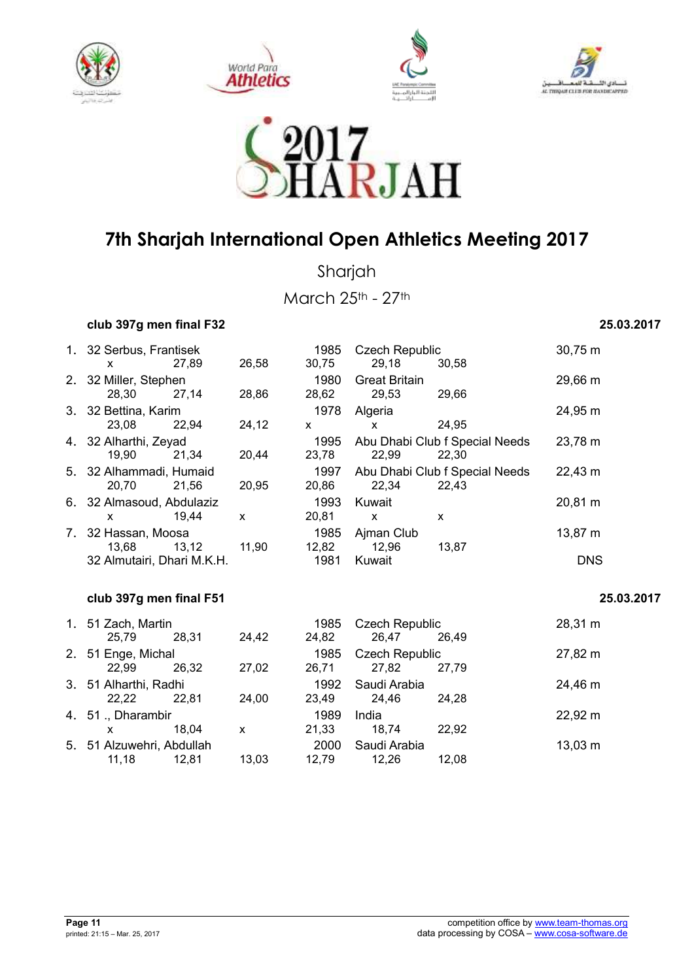









Sharjah

March 25th - 27th

### **club 397g men final F32 25.03.2017**

|    | 1. 32 Serbus, Frantisek    |                    |       | 1985         | <b>Czech Republic</b> |                                | 30,75 m             |
|----|----------------------------|--------------------|-------|--------------|-----------------------|--------------------------------|---------------------|
|    | X                          | 27,89              | 26,58 | 30,75        | 29,18                 | 30,58                          |                     |
|    | 2. 32 Miller, Stephen      |                    |       | 1980         | <b>Great Britain</b>  |                                | 29,66 m             |
|    | 28,30                      | 27,14              | 28,86 | 28,62        | 29,53                 | 29,66                          |                     |
|    | 3. 32 Bettina, Karim       |                    |       | 1978         | Algeria               |                                | 24,95 m             |
|    | 23,08                      | 22,94              | 24,12 | $\mathsf{x}$ | X                     | 24,95                          |                     |
|    | 4. 32 Alharthi, Zeyad      |                    |       | 1995         |                       | Abu Dhabi Club f Special Needs | 23,78 m             |
|    | 19,90                      | 21,34              | 20,44 | 23,78        | 22,99                 | 22,30                          |                     |
|    | 5. 32 Alhammadi, Humaid    |                    |       | 1997         |                       | Abu Dhabi Club f Special Needs | 22,43 m             |
|    | 20,70                      | 21,56              | 20,95 | 20,86        | 22,34                 | 22,43                          |                     |
|    | 6. 32 Almasoud, Abdulaziz  |                    |       | 1993         | Kuwait                |                                | 20,81 m             |
|    | X                          | 19,44              | X     | 20,81        | X                     | X                              |                     |
| 7. | 32 Hassan, Moosa           | 1985<br>Ajman Club |       |              | 13,87 m               |                                |                     |
|    | 13,68                      | 13,12              | 11,90 | 12,82        | 12,96                 | 13,87                          |                     |
|    | 32 Almutairi, Dhari M.K.H. |                    |       | 1981         | Kuwait                |                                | <b>DNS</b>          |
|    |                            |                    |       |              |                       |                                |                     |
|    | club 397g men final F51    |                    |       |              |                       |                                | 25.03.2017          |
|    | 1. 51 Zach, Martin         |                    |       | 1985         | <b>Czech Republic</b> |                                | 28,31 m             |
|    | 25,79                      | 28,31              | 24,42 | 24,82        | 26,47                 | 26,49                          |                     |
|    | 2. 51 Enge, Michal         |                    |       | 1985         | <b>Czech Republic</b> |                                | 27,82 m             |
|    | 22,99                      | 26,32              | 27,02 | 26,71        | 27,82                 | 27,79                          |                     |
|    | 3. 51 Alharthi, Radhi      |                    |       | 1992         | Saudi Arabia          |                                | 24,46 m             |
|    | 22,22                      | 22,81              | 24,00 | 23,49        | 24,46                 | 24,28                          |                     |
|    | 4. 51 ., Dharambir         |                    |       | 1989         | India                 |                                | $22,92 \, \text{m}$ |
|    | X                          | 18,04              | X     | 21,33        | 18,74                 | 22,92                          |                     |
|    | 5. 51 Alzuwehri, Abdullah  |                    |       | 2000         | Saudi Arabia          |                                | $13,03 \; m$        |
|    | 11,18                      | 12,81              | 13,03 | 12,79        | 12,26                 | 12,08                          |                     |
|    |                            |                    |       |              |                       |                                |                     |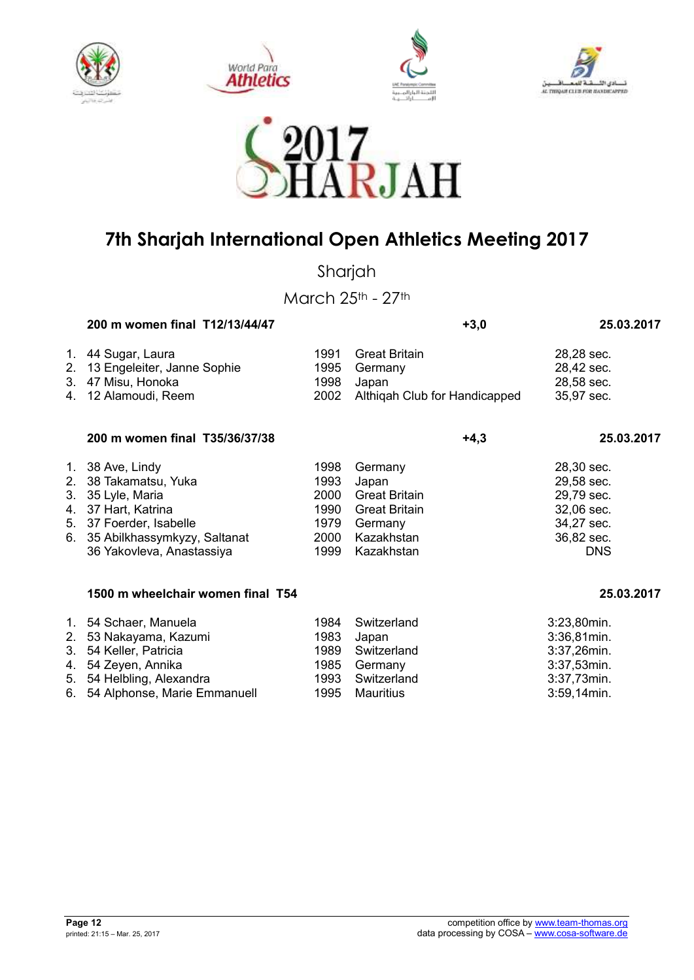









Sharjah

March 25th - 27th

|    | 200 m women final T12/13/44/47    |       | $+3,0$                        | 25.03.2017      |
|----|-----------------------------------|-------|-------------------------------|-----------------|
| 1. | 44 Sugar, Laura                   | 1991  | <b>Great Britain</b>          | 28,28 sec.      |
| 2. | 13 Engeleiter, Janne Sophie       | 1995  | Germany                       | 28,42 sec.      |
| 3. | 47 Misu, Honoka                   | 1998  | Japan                         | 28,58 sec.      |
| 4. | 12 Alamoudi, Reem                 | 2002  | Althiqah Club for Handicapped | 35,97 sec.      |
|    | 200 m women final T35/36/37/38    |       | $+4,3$                        | 25.03.2017      |
| 1. | 38 Ave, Lindy                     | 1998  | Germany                       | 28,30 sec.      |
| 2. | 38 Takamatsu, Yuka                | 1993  | Japan                         | 29,58 sec.      |
| 3. | 35 Lyle, Maria                    | 2000  | <b>Great Britain</b>          | 29,79 sec.      |
| 4. | 37 Hart, Katrina                  | 1990  | <b>Great Britain</b>          | 32,06 sec.      |
| 5. | 37 Foerder, Isabelle              | 1979  | Germany                       | 34,27 sec.      |
| 6. | 35 Abilkhassymkyzy, Saltanat      | 2000  | Kazakhstan                    | 36,82 sec.      |
|    | 36 Yakovleva, Anastassiya         | 1999  | Kazakhstan                    | <b>DNS</b>      |
|    | 1500 m wheelchair women final T54 |       |                               | 25.03.2017      |
|    | 1. 54 Schaer, Manuela             | 1984  | Switzerland                   | 3:23,80min.     |
|    | 2 53 Nokovama Kazumi              | 1092. | Ionon                         | $2.26$ $21$ min |

| 2. 53 Nakayama, Kazumi          | 1983 Japan       | 3:36,81min.    |
|---------------------------------|------------------|----------------|
| 3. 54 Keller, Patricia          | 1989 Switzerland | 3:37,26min.    |
| 4. 54 Zeyen, Annika             | 1985 Germany     | 3:37,53min.    |
| 5. 54 Helbling, Alexandra       | 1993 Switzerland | 3:37,73min.    |
| 6. 54 Alphonse, Marie Emmanuell | 1995 Mauritius   | $3:59,14$ min. |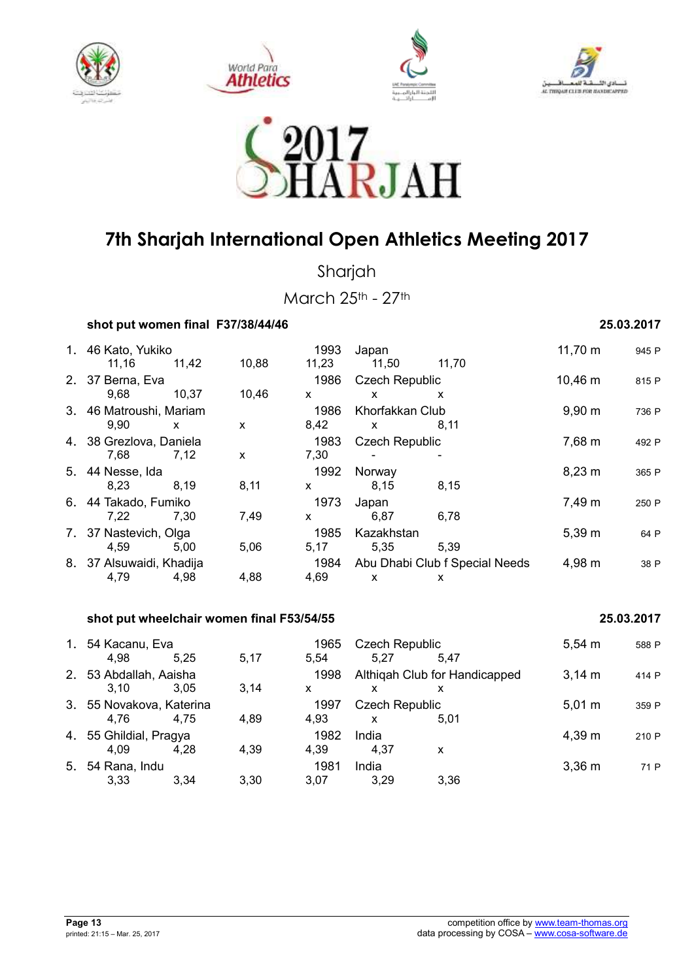









Sharjah

March 25th - 27th

| shot put women final F37/38/44/46 | 25.03.2017 |
|-----------------------------------|------------|
|-----------------------------------|------------|

| 1. 46 Kato, Yukiko       |              |       | 1993  | Japan                 |                                | 11,70 m     | 945 P |
|--------------------------|--------------|-------|-------|-----------------------|--------------------------------|-------------|-------|
| 11,16                    | 11.42        | 10,88 | 11,23 | 11,50                 | 11,70                          |             |       |
| 2. 37 Berna, Eva         |              |       | 1986  | <b>Czech Republic</b> |                                | 10,46 m     | 815 P |
| 9,68                     | 10.37        | 10,46 | X     | X                     | X                              |             |       |
| 3. 46 Matroushi, Mariam  |              |       | 1986  | Khorfakkan Club       |                                | $9,90 \; m$ | 736 P |
| 9,90                     | $\mathsf{x}$ | X     | 8,42  | $\mathsf{x}$          | 8,11                           |             |       |
| 4. 38 Grezlova, Daniela  |              |       | 1983  | <b>Czech Republic</b> |                                | 7,68 m      | 492 P |
| 7,68                     | 7.12         | X     | 7,30  |                       |                                |             |       |
| 5. 44 Nesse, Ida         |              |       | 1992  | Norway                |                                | $8,23 \; m$ | 365 P |
| 8,23                     | 8.19         | 8,11  | x     | 8,15                  | 8,15                           |             |       |
| 6. 44 Takado, Fumiko     |              |       | 1973  | Japan                 |                                | 7,49 m      | 250 P |
| 7,22                     | 7,30         | 7,49  | x     | 6,87                  | 6,78                           |             |       |
| 7. 37 Nastevich, Olga    |              |       | 1985  | Kazakhstan            |                                | $5,39 \; m$ | 64 P  |
| 4,59                     | 5,00         | 5,06  | 5,17  | 5,35                  | 5.39                           |             |       |
| 8. 37 Alsuwaidi, Khadija |              |       | 1984  |                       | Abu Dhabi Club f Special Needs | 4,98 m      | 38 P  |
| 4,79                     | 4,98         | 4,88  | 4,69  | X                     | X                              |             |       |

### **shot put wheelchair women final F53/54/55 25.03.2017**

### 1. 54 Kacanu, Eva 1965 Czech Republic 5,54 m <sup>588</sup> <sup>P</sup> 4,98 5,25 5,17 5,54 5,27 5,47 2. 53 Abdallah, Aaisha 1998 Althiqah Club for Handicapped 3,14 m 414 P 3,10 3,05 3,14 x x x 3. 55 Novakova, Katerina 1997 Czech Republic 5,01 m <sup>359</sup> <sup>P</sup> 4,76 4,75 4,89 4,93 x 5,01 4. 55 Ghildial, Pragya 1982 India 4,39 m <sup>210</sup> <sup>P</sup> 4,09 4,28 4,39 4,39 4,37 x 5. 54 Rana, Indu 1981 India 1981 India 3,36 m  $\frac{1}{2}$  71 P 3,33 3,34 3,30 3,07 3,29 3,36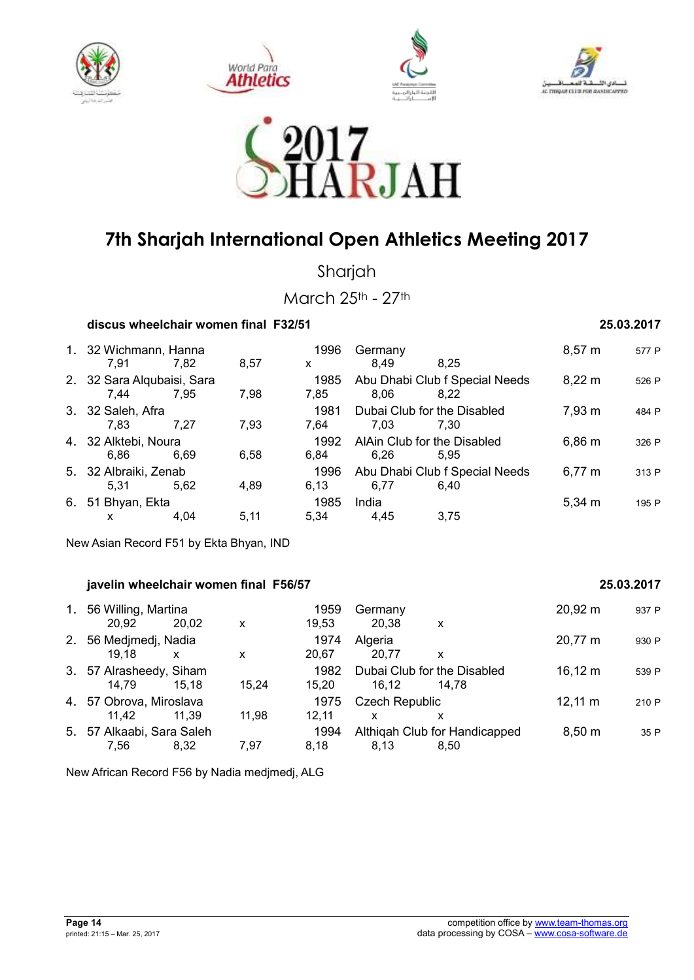









Sharjah

March 25th - 27th

### **discus wheelchair women final F32/51 25.03.2017**

|    | 1. 32 Wichmann, Hanna<br>7.91      | 7,82 | 8,57 | 1996<br>X    | Germany<br>8.49<br>8.25                        | $8,57 \; m$        | 577 P |
|----|------------------------------------|------|------|--------------|------------------------------------------------|--------------------|-------|
|    | 2. 32 Sara Alqubaisi, Sara<br>7.44 | 7.95 | 7,98 | 1985<br>7.85 | Abu Dhabi Club f Special Needs<br>8,06<br>8.22 | $8,22 \; \text{m}$ | 526 P |
|    | 3. 32 Saleh, Afra<br>7.83          | 7.27 | 7,93 | 1981<br>7.64 | Dubai Club for the Disabled<br>7.03<br>7.30    | 7,93 m             | 484 P |
|    | 4. 32 Alktebi, Noura<br>6.86       | 6,69 | 6,58 | 1992<br>6.84 | AlAin Club for the Disabled<br>6,26<br>5.95    | $6,86 \; m$        | 326 P |
|    | 5. 32 Albraiki, Zenab<br>5.31      | 5.62 | 4,89 | 1996<br>6,13 | Abu Dhabi Club f Special Needs<br>6,77<br>6.40 | $6,77 \; m$        | 313 P |
| 6. | 51 Bhyan, Ekta<br>X                | 4.04 | 5.11 | 1985<br>5.34 | India<br>4.45<br>3.75                          | $5,34 \; m$        | 195 P |

New Asian Record F51 by Ekta Bhyan, IND

### **javelin wheelchair women final F56/57 25.03.2017**

### 1. 56 Willing, Martina 1959 Germany 20,92 m <sup>937</sup> <sup>P</sup> 20,92 20,02 x 19,53 20,38 x 2. 56 Medjmedj, Nadia 1974 Algeria 20,77 m <sup>930</sup> <sup>P</sup> 19,18 x x 20,67 20,77 x 3. 57 Alrasheedy, Siham 1982 Dubai Club for the Disabled 16,12 m 539 P<br>14.79 15.18 15.24 15.20 16.12 14.78 14,79 15,18 15,24 15,20 16,12 14,78 4. 57 Obrova, Miroslava 1975 Czech Republic 12,11 m <sup>210</sup> <sup>P</sup> 11,42 11,39 11,98 12,11 x x 5. 57 Alkaabi, Sara Saleh 1994 Althiqah Club for Handicapped 8,50 m <sup>35</sup> <sup>P</sup> 7,56 8,32 7,97 8,18 8,13 8,50

New African Record F56 by Nadia medjmedj, ALG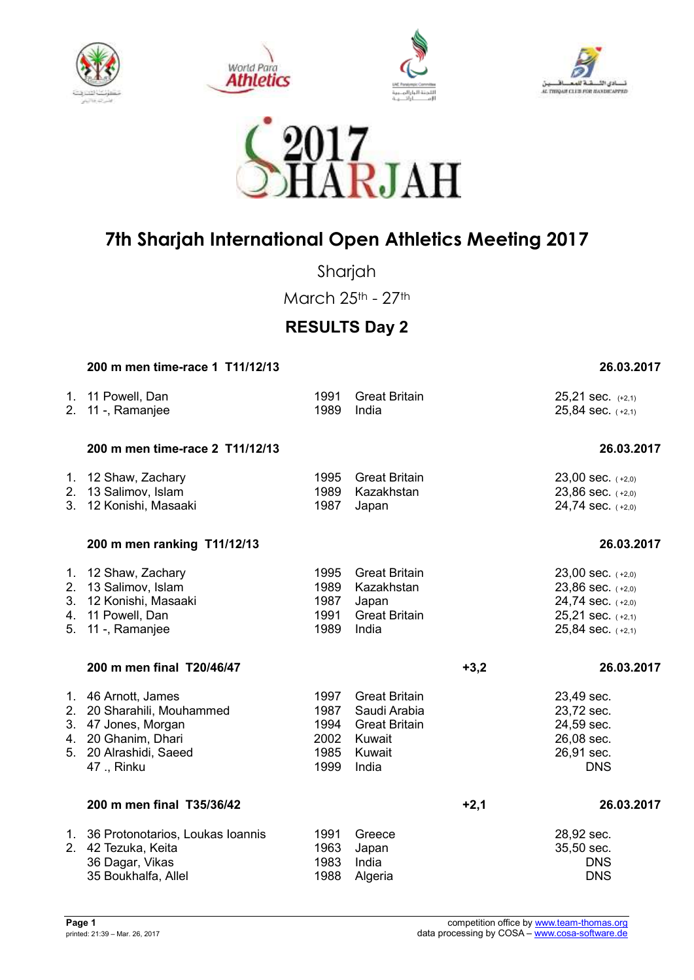









Sharjah

March 25th - 27th

## **RESULTS Day 2**

| 200 m men time-race 1 T11/12/13                                                                                                          |                                              |                                                                                           |        | 26.03.2017                                                                                                          |
|------------------------------------------------------------------------------------------------------------------------------------------|----------------------------------------------|-------------------------------------------------------------------------------------------|--------|---------------------------------------------------------------------------------------------------------------------|
| 1. 11 Powell, Dan<br>2. 11 -, Ramanjee                                                                                                   | 1991<br>1989                                 | <b>Great Britain</b><br>India                                                             |        | $25,21$ sec. $(+2,1)$<br>$25,84$ sec. $(+2,1)$                                                                      |
| 200 m men time-race 2 T11/12/13                                                                                                          |                                              |                                                                                           |        | 26.03.2017                                                                                                          |
| 1. 12 Shaw, Zachary<br>2. 13 Salimov, Islam<br>3. 12 Konishi, Masaaki                                                                    | 1995<br>1989<br>1987                         | <b>Great Britain</b><br>Kazakhstan<br>Japan                                               |        | $23,00$ sec. $(+2,0)$<br>23,86 sec. (+2,0)<br>24,74 sec. $(+2,0)$                                                   |
| 200 m men ranking T11/12/13                                                                                                              |                                              |                                                                                           |        | 26.03.2017                                                                                                          |
| 1. 12 Shaw, Zachary<br>2. 13 Salimov, Islam<br>3. 12 Konishi, Masaaki<br>4. 11 Powell, Dan<br>5. 11 -, Ramanjee                          | 1995<br>1989<br>1987<br>1991<br>1989         | <b>Great Britain</b><br>Kazakhstan<br>Japan<br><b>Great Britain</b><br>India              |        | 23,00 sec. $(+2,0)$<br>$23,86$ sec. $(+2,0)$<br>24,74 sec. (+2,0)<br>$25,21$ sec. $(+2,1)$<br>$25,84$ sec. $(+2,1)$ |
| 200 m men final T20/46/47                                                                                                                |                                              |                                                                                           | $+3,2$ | 26.03.2017                                                                                                          |
| 1. 46 Arnott, James<br>2. 20 Sharahili, Mouhammed<br>3. 47 Jones, Morgan<br>4. 20 Ghanim, Dhari<br>5. 20 Alrashidi, Saeed<br>47 ., Rinku | 1997<br>1987<br>1994<br>2002<br>1985<br>1999 | <b>Great Britain</b><br>Saudi Arabia<br><b>Great Britain</b><br>Kuwait<br>Kuwait<br>India |        | 23,49 sec.<br>23,72 sec.<br>24,59 sec.<br>26,08 sec.<br>26,91 sec.<br><b>DNS</b>                                    |
| 200 m men final T35/36/42                                                                                                                |                                              |                                                                                           | $+2,1$ | 26.03.2017                                                                                                          |
| 1. 36 Protonotarios, Loukas Ioannis<br>2. 42 Tezuka, Keita<br>36 Dagar, Vikas<br>35 Boukhalfa, Allel                                     | 1991<br>1963<br>1983<br>1988                 | Greece<br>Japan<br>India<br>Algeria                                                       |        | 28,92 sec.<br>35,50 sec.<br><b>DNS</b><br><b>DNS</b>                                                                |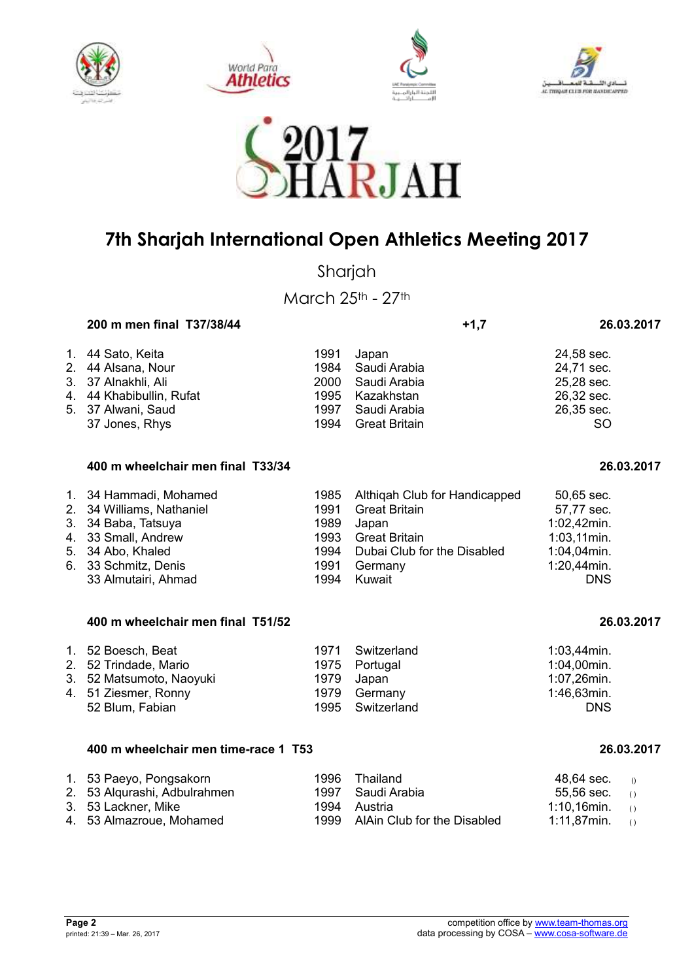









Sharjah

March 25th - 27th

| 200 m men final T37/38/44 |      |                      | $+1,7$ | 26.03.2017 |
|---------------------------|------|----------------------|--------|------------|
| 1. 44 Sato, Keita         | 1991 | Japan                |        | 24,58 sec. |
| 2. 44 Alsana, Nour        |      | 1984 Saudi Arabia    |        | 24,71 sec. |
| 3. 37 Alnakhli, Ali       | 2000 | Saudi Arabia         |        | 25,28 sec. |
| 4. 44 Khabibullin, Rufat  |      | 1995 Kazakhstan      |        | 26,32 sec. |
| 5. 37 Alwani, Saud        | 1997 | Saudi Arabia         |        | 26,35 sec. |
| 37 Jones, Rhys            | 1994 | <b>Great Britain</b> |        | SO         |

| 400 m wheelchair men final T33/34 | 26.03.2017 |
|-----------------------------------|------------|
|-----------------------------------|------------|

| 1. 34 Hammadi, Mohamed    |      | 1985 Althigah Club for Handicapped | 50,65 sec.     |
|---------------------------|------|------------------------------------|----------------|
| 2. 34 Williams, Nathaniel | 1991 | Great Britain                      | 57,77 sec.     |
| 3. 34 Baba, Tatsuya       | 1989 | Japan                              | 1:02,42min.    |
| 4. 33 Small, Andrew       | 1993 | Great Britain                      | $1:03,11$ min. |
| 5. 34 Abo, Khaled         |      | 1994 Dubai Club for the Disabled   | $1:04,04$ min. |
| 6. 33 Schmitz, Denis      |      | 1991 Germany                       | 1:20,44min.    |
| 33 Almutairi, Ahmad       |      | 1994 Kuwait                        | <b>DNS</b>     |

#### **400 m wheelchair men final T51/52 26.03.2017**

| 1. 52 Boesch, Beat<br>2. 52 Trindade, Mario<br>3. 52 Matsumoto, Naoyuki<br>4. 51 Ziesmer, Ronny | 1971 Switzerland<br>1975 Portugal<br>1979 Japan<br>1979 Germany | $1:03,44$ min.<br>$1:04,00$ min.<br>1:07,26min.<br>1:46,63min. |
|-------------------------------------------------------------------------------------------------|-----------------------------------------------------------------|----------------------------------------------------------------|
|                                                                                                 |                                                                 |                                                                |
| 52 Blum, Fabian                                                                                 | 1995 Switzerland                                                | <b>DNS</b>                                                     |

#### **400 m wheelchair men time-race 1 T53 26.03.2017**

| 1. 53 Paeyo, Pongsakorn      | 1996 Thailand                    | $48,64 \text{ sec.}$ ()    |  |
|------------------------------|----------------------------------|----------------------------|--|
| 2. 53 Alqurashi, Adbulrahmen | 1997 Saudi Arabia                | $55,56$ sec. ()            |  |
| 3. 53 Lackner, Mike          | 1994 Austria                     | 1:10,16min. $\circ$        |  |
| 4. 53 Almazroue, Mohamed     | 1999 AlAin Club for the Disabled | 1:11,87min. $\qquad\qquad$ |  |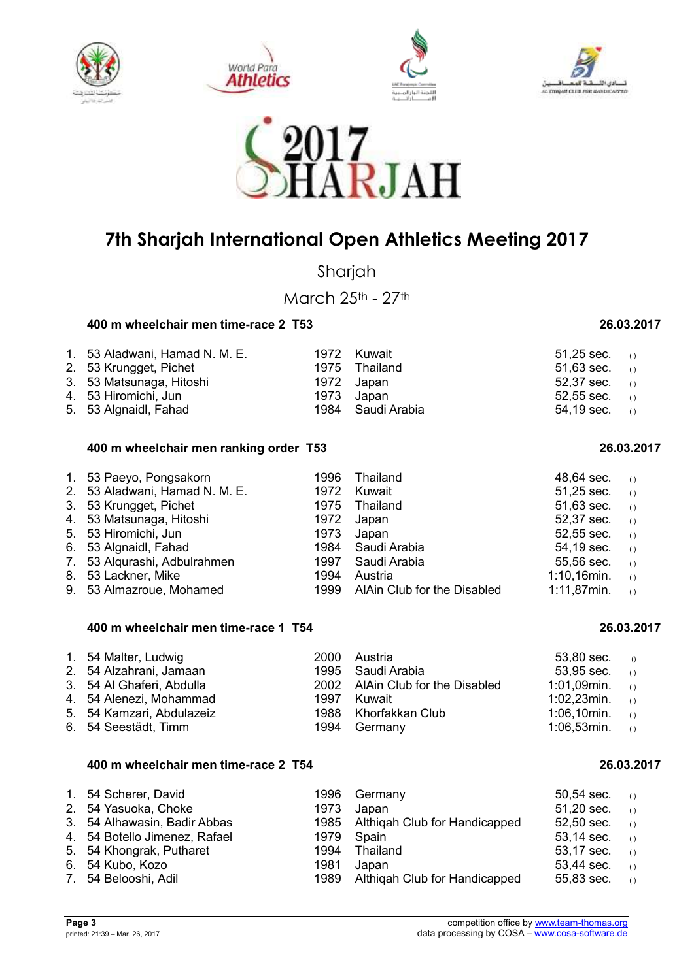









Sharjah

March 25th - 27th

#### **400 m wheelchair men time-race 2 T53 26.03.2017**

| 1. 53 Aladwani, Hamad N. M. E.<br>2. 53 Krungget, Pichet<br>3. 53 Matsunaga, Hitoshi | 1972 Kuwait<br>1975 Thailand<br>1972 Japan | $51.25$ sec. $\qquad \cap$<br>51,63 sec. $(1)$<br>$52,37$ sec. (1) |  |
|--------------------------------------------------------------------------------------|--------------------------------------------|--------------------------------------------------------------------|--|
| 4. 53 Hiromichi, Jun                                                                 | 1973 Japan                                 | $52.55$ sec. (i)                                                   |  |
| 5. 53 Algnaidl, Fahad                                                                | 1984 Saudi Arabia                          | 54,19 sec. $(1)$                                                   |  |

#### **400 m wheelchair men ranking order T53 26.03.2017**

| 1. 53 Paeyo, Pongsakorn        | 1996 | Thailand                         | $48,64$ sec. (i)  |                                               |
|--------------------------------|------|----------------------------------|-------------------|-----------------------------------------------|
| 2. 53 Aladwani, Hamad N. M. E. | 1972 | Kuwait                           | 51,25 sec. $()$   |                                               |
| 3. 53 Krungget, Pichet         |      | 1975 Thailand                    | $51,63$ sec. ()   |                                               |
| 4. 53 Matsunaga, Hitoshi       |      | 1972 Japan                       | $52,37$ sec. ()   |                                               |
| 5. 53 Hiromichi, Jun           |      | 1973 Japan                       | $52,55$ sec. ()   |                                               |
| 6. 53 Algnaidl, Fahad          |      | 1984 Saudi Arabia                | 54,19 sec. $(1)$  |                                               |
| 7. 53 Algurashi, Adbulrahmen   |      | 1997 Saudi Arabia                | $55,56$ sec. ()   |                                               |
| 8. 53 Lackner, Mike            | 1994 | Austria                          | $1:10,16$ min.    | $\left( \begin{array}{c} \end{array} \right)$ |
| 9. 53 Almazroue, Mohamed       |      | 1999 AlAin Club for the Disabled | 1:11,87min. $(1)$ |                                               |

#### **400 m wheelchair men time-race 1 T54 26.03.2017**

| 1. 54 Malter, Ludwig      | 2000 Austria                     | 53,80 sec. $0$    |  |
|---------------------------|----------------------------------|-------------------|--|
| 2. 54 Alzahrani, Jamaan   | 1995 Saudi Arabia                | 53,95 sec. $(1)$  |  |
| 3. 54 Al Ghaferi, Abdulla | 2002 AlAin Club for the Disabled | $1:01,09$ min. () |  |
| 4. 54 Alenezi, Mohammad   | 1997 Kuwait                      | $1:02,23$ min. () |  |
| 5. 54 Kamzari, Abdulazeiz | 1988 Khorfakkan Club             | 1:06,10min. $($   |  |
| 6. 54 Seestädt, Timm      | 1994 Germany                     | $1:06,53$ min. () |  |

#### **400 m wheelchair men time-race 2 T54 26.03.2017**

| 1. 54 Scherer, David          |            | 1996 Germany                       | 50,54 sec. $(1)$ |                                               |
|-------------------------------|------------|------------------------------------|------------------|-----------------------------------------------|
| 2. 54 Yasuoka, Choke          |            | 1973 Japan                         | 51,20 sec. $( )$ |                                               |
| 3. 54 Alhawasin, Badir Abbas  |            | 1985 Althigah Club for Handicapped | 52,50 sec. $(1)$ |                                               |
| 4. 54 Botello Jimenez, Rafael | 1979 Spain |                                    | 53,14 sec. $( )$ |                                               |
| 5. 54 Khongrak, Putharet      | 1994       | Thailand                           | 53,17 sec.       | ( )                                           |
| 6. 54 Kubo, Kozo              | 1981       | Japan                              | 53,44 sec.       | $\left( \begin{array}{c} \end{array} \right)$ |
| 7. 54 Belooshi, Adil          |            | 1989 Althigah Club for Handicapped | 55,83 sec.       | $\left( \right)$                              |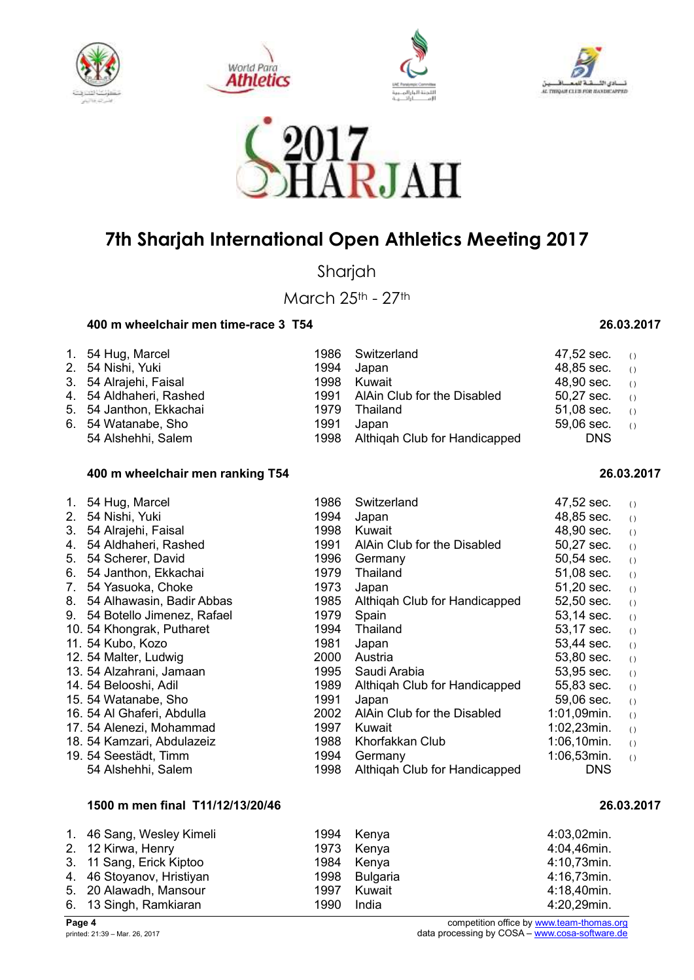









Sharjah

March 25th - 27th

### **400 m wheelchair men time-race 3 T54 26.03.2017**

| 1. 54 Hug, Marcel       |      | 1986 Switzerland                   | 47,52 sec. $(1)$        |  |
|-------------------------|------|------------------------------------|-------------------------|--|
| 2. 54 Nishi, Yuki       | 1994 | Japan                              | $48,85$ sec. (i)        |  |
| 3. 54 Alrajehi, Faisal  | 1998 | Kuwait                             | $48.90 \text{ sec.}$ () |  |
| 4. 54 Aldhaheri, Rashed |      | 1991 AlAin Club for the Disabled   | $50,27$ sec. (i)        |  |
| 5. 54 Janthon, Ekkachai |      | 1979 Thailand                      | 51,08 sec. $(1)$        |  |
| 6. 54 Watanabe, Sho     | 1991 | Japan                              | $59,06$ sec. ()         |  |
| 54 Alshehhi, Salem      |      | 1998 Althigah Club for Handicapped | <b>DNS</b>              |  |

#### **400 m wheelchair men ranking T54 26.03.2017**

| 1. | 54 Hug, Marcel             | 1986 | Switzerland                   | 47,52 sec.     | ( )              |
|----|----------------------------|------|-------------------------------|----------------|------------------|
| 2. | 54 Nishi, Yuki             | 1994 | Japan                         | 48,85 sec.     | $\left( \right)$ |
| 3. | 54 Alrajehi, Faisal        | 1998 | Kuwait                        | 48,90 sec.     | ( )              |
| 4. | 54 Aldhaheri, Rashed       | 1991 | AlAin Club for the Disabled   | 50,27 sec.     | $\left( \right)$ |
| 5. | 54 Scherer, David          | 1996 | Germany                       | 50,54 sec.     | $\left( \right)$ |
| 6. | 54 Janthon, Ekkachai       | 1979 | Thailand                      | 51,08 sec.     | $\left( \right)$ |
| 7. | 54 Yasuoka, Choke          | 1973 | Japan                         | 51,20 sec.     | $\left( \right)$ |
| 8. | 54 Alhawasin, Badir Abbas  | 1985 | Althigah Club for Handicapped | 52,50 sec.     | ( )              |
| 9. | 54 Botello Jimenez, Rafael | 1979 | Spain                         | 53,14 sec.     | $\left( \right)$ |
|    | 10. 54 Khongrak, Putharet  | 1994 | Thailand                      | 53,17 sec.     | ( )              |
|    | 11. 54 Kubo, Kozo          | 1981 | Japan                         | 53,44 sec.     | ( )              |
|    | 12. 54 Malter, Ludwig      | 2000 | Austria                       | 53,80 sec.     | $\left( \right)$ |
|    | 13. 54 Alzahrani, Jamaan   | 1995 | Saudi Arabia                  | 53,95 sec.     | $\left( \right)$ |
|    | 14. 54 Belooshi, Adil      | 1989 | Althigah Club for Handicapped | 55,83 sec.     | $\left( \right)$ |
|    | 15.54 Watanabe, Sho        | 1991 | Japan                         | 59,06 sec.     | $\left( \right)$ |
|    | 16. 54 Al Ghaferi, Abdulla | 2002 | AlAin Club for the Disabled   | 1:01,09min.    | $\left( \right)$ |
|    | 17. 54 Alenezi, Mohammad   | 1997 | Kuwait                        | 1:02,23min.    | $\left( \right)$ |
|    | 18. 54 Kamzari, Abdulazeiz | 1988 | Khorfakkan Club               | $1:06,10$ min. | $\left( \right)$ |
|    | 19. 54 Seestädt, Timm      | 1994 | Germany                       | $1:06,53$ min. | $\left( \right)$ |
|    | 54 Alshehhi, Salem         | 1998 | Althigah Club for Handicapped | <b>DNS</b>     |                  |

### **1500 m men final T11/12/13/20/46 26.03.2017**

| 1. 46 Sang, Wesley Kimeli |      | 1994 Kenya    | 4:03,02min. |
|---------------------------|------|---------------|-------------|
| 2. 12 Kirwa, Henry        |      | 1973 Kenya    | 4:04,46min. |
| 3. 11 Sang, Erick Kiptoo  |      | 1984 Kenya    | 4:10,73min. |
| 4. 46 Stoyanov, Hristiyan |      | 1998 Bulgaria | 4:16,73min. |
| 5. 20 Alawadh, Mansour    | 1997 | Kuwait        | 4:18,40min. |
| 6. 13 Singh, Ramkiaran    | 1990 | India         | 4:20,29min. |

**Page 4**<br> **Page 4**<br> **COSA – <u>www.team-thomas.org</u>**<br>
competition office by <u>www.team-thomas.org</u><br>
data processing by COSA – <u>www.cosa-software.de</u> data processing by COSA – www.cosa-software.de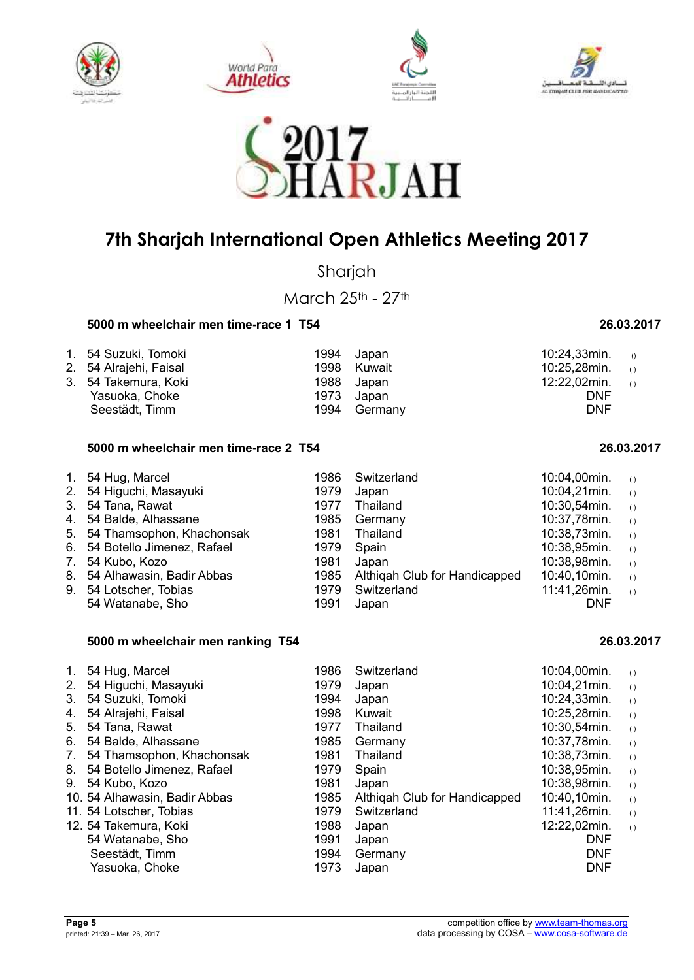









Sharjah

March 25th - 27th

### **5000 m wheelchair men time-race 1 T54 26.03.2017**

| 1. 54 Suzuki, Tomoki<br>2. 54 Alrajehi, Faisal |      | 1994 Japan<br>1998 Kuwait | 10:24,33min. $0$<br>10:25,28min. $\circ$ |  |
|------------------------------------------------|------|---------------------------|------------------------------------------|--|
| 3. 54 Takemura, Koki                           |      | 1988 Japan                | 12:22,02min. $\sqrt{2}$                  |  |
| Yasuoka, Choke                                 |      | 1973 Japan                | <b>DNF</b>                               |  |
| Seestädt, Timm                                 | 1994 | Germany                   | <b>DNF</b>                               |  |

#### **5000 m wheelchair men time-race 2 T54 26.03.2017**

| 1. 54 Hug, Marcel             | 1986 | Switzerland                   | 10:04,00min. | $\left( \right)$                              |
|-------------------------------|------|-------------------------------|--------------|-----------------------------------------------|
| 2. 54 Higuchi, Masayuki       | 1979 | Japan                         | 10:04,21min. | $\left( \right)$                              |
| 3. 54 Tana, Rawat             | 1977 | Thailand                      | 10:30,54min. | $\left( \right)$                              |
| 4. 54 Balde, Alhassane        | 1985 | Germany                       | 10:37,78min. | $\left( \begin{array}{c} \end{array} \right)$ |
| 5. 54 Thamsophon, Khachonsak  | 1981 | Thailand                      | 10:38,73min. | $\left( \right)$                              |
| 6. 54 Botello Jimenez, Rafael | 1979 | Spain                         | 10:38,95min. | $\left( \right)$                              |
| 7. 54 Kubo, Kozo              | 1981 | Japan                         | 10:38,98min. | $\left( \right)$                              |
| 8. 54 Alhawasin, Badir Abbas  | 1985 | Althigah Club for Handicapped | 10:40,10min. | ( )                                           |
| 9. 54 Lotscher, Tobias        | 1979 | Switzerland                   | 11:41,26min. | $\left( \right)$                              |
| 54 Watanabe, Sho              | 1991 | Japan                         | <b>DNF</b>   |                                               |

#### **5000 m wheelchair men ranking T54 26.03.2017**

| 1986                                                                                                                                                                                                                                                                                                                                                          | Switzerland                   |                                 | ( )                                                                                                          |
|---------------------------------------------------------------------------------------------------------------------------------------------------------------------------------------------------------------------------------------------------------------------------------------------------------------------------------------------------------------|-------------------------------|---------------------------------|--------------------------------------------------------------------------------------------------------------|
| 1979                                                                                                                                                                                                                                                                                                                                                          | Japan                         | 10:04,21min.                    | ( )                                                                                                          |
| 1994                                                                                                                                                                                                                                                                                                                                                          | Japan                         | 10:24,33min.                    | ( )                                                                                                          |
| 1998                                                                                                                                                                                                                                                                                                                                                          | Kuwait                        | 10:25,28min.                    | $\left( \right)$                                                                                             |
| 1977                                                                                                                                                                                                                                                                                                                                                          | Thailand                      | 10:30,54min.                    | ( )                                                                                                          |
| 1985                                                                                                                                                                                                                                                                                                                                                          | Germany                       |                                 | ( )                                                                                                          |
| 1981                                                                                                                                                                                                                                                                                                                                                          | Thailand                      |                                 | ( )                                                                                                          |
| 1979                                                                                                                                                                                                                                                                                                                                                          | Spain                         | 10:38,95min.                    | ( )                                                                                                          |
| 1981                                                                                                                                                                                                                                                                                                                                                          | Japan                         |                                 | ( )                                                                                                          |
| 1985                                                                                                                                                                                                                                                                                                                                                          | Althigah Club for Handicapped |                                 | ( )                                                                                                          |
| 1979                                                                                                                                                                                                                                                                                                                                                          |                               |                                 | ( )                                                                                                          |
| 1988                                                                                                                                                                                                                                                                                                                                                          | Japan                         |                                 | ( )                                                                                                          |
| 1991                                                                                                                                                                                                                                                                                                                                                          |                               | <b>DNF</b>                      |                                                                                                              |
|                                                                                                                                                                                                                                                                                                                                                               |                               | <b>DNF</b>                      |                                                                                                              |
| 1973                                                                                                                                                                                                                                                                                                                                                          | Japan                         | <b>DNF</b>                      |                                                                                                              |
| 54 Hug, Marcel<br>54 Higuchi, Masayuki<br>54 Suzuki, Tomoki<br>54 Alrajehi, Faisal<br>5. 54 Tana, Rawat<br>54 Balde, Alhassane<br>54 Thamsophon, Khachonsak<br>8. 54 Botello Jimenez, Rafael<br>9. 54 Kubo, Kozo<br>10. 54 Alhawasin, Badir Abbas<br>11. 54 Lotscher, Tobias<br>12. 54 Takemura, Koki<br>54 Watanabe, Sho<br>Seestädt, Timm<br>Yasuoka, Choke | 1994                          | Switzerland<br>Japan<br>Germany | 10:04,00min.<br>10:37,78min.<br>10:38,73min.<br>10:38,98min.<br>10:40,10min.<br>11:41,26min.<br>12:22,02min. |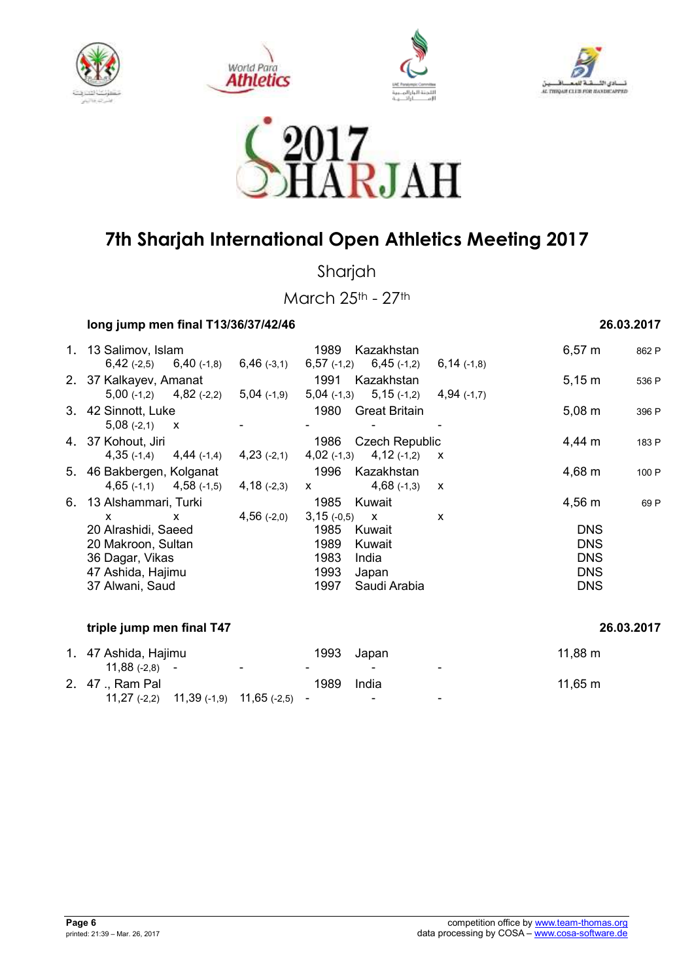









Sharjah

March 25th - 27th

| long jump men final T13/36/37/42/46                                                                  | 26.03.2017    |                                                                                            |                           |                                                                    |            |
|------------------------------------------------------------------------------------------------------|---------------|--------------------------------------------------------------------------------------------|---------------------------|--------------------------------------------------------------------|------------|
| 1. 13 Salimov, Islam<br>$6,42$ (-2,5)<br>$6,40$ (-1,8)                                               | $6,46$ (-3,1) | 1989<br>Kazakhstan<br>$6,57$ (-1,2) $6,45$ (-1,2)                                          | $6,14$ (-1,8)             | $6,57 \; m$                                                        | 862 P      |
| 2. 37 Kalkayev, Amanat<br>$5,00$ (-1,2) $4,82$ (-2,2)                                                | $5,04$ (-1,9) | 1991<br>Kazakhstan<br>$5,04$ (-1,3) $5,15$ (-1,2)                                          | $4,94$ (-1,7)             | $5,15 \; m$                                                        | 536 P      |
| 3. 42 Sinnott, Luke<br>$5,08(-2,1)$ X                                                                |               | 1980<br><b>Great Britain</b>                                                               |                           | $5,08 \; m$                                                        | 396 P      |
| 4. 37 Kohout, Jiri<br>$4,35$ (-1,4)<br>$4,44$ (-1,4)                                                 | $4,23$ (-2,1) | <b>Czech Republic</b><br>1986<br>$4,12$ (-1,2)<br>$4,02$ (-1,3)                            | $\boldsymbol{\mathsf{x}}$ | 4,44 m                                                             | 183 P      |
| 5. 46 Bakbergen, Kolganat<br>$4,65$ (-1,1) $4,58$ (-1,5)                                             | $4,18$ (-2,3) | 1996<br>Kazakhstan<br>$4,68$ (-1,3)<br>$\mathsf{x}$                                        | $\mathbf{x}$              | 4,68 m                                                             | 100 P      |
| 6. 13 Alshammari, Turki<br>$\mathsf{x}$<br>X                                                         | $4,56$ (-2,0) | 1985<br>Kuwait<br>3,15(.0,5)<br>$\mathbf{x}$                                               | $\boldsymbol{\mathsf{x}}$ | $4,56 \; m$                                                        | 69 P       |
| 20 Alrashidi, Saeed<br>20 Makroon, Sultan<br>36 Dagar, Vikas<br>47 Ashida, Hajimu<br>37 Alwani, Saud |               | 1985<br>Kuwait<br>1989<br>Kuwait<br>1983<br>India<br>1993<br>Japan<br>1997<br>Saudi Arabia |                           | <b>DNS</b><br><b>DNS</b><br><b>DNS</b><br><b>DNS</b><br><b>DNS</b> |            |
| triple jump men final T47                                                                            |               |                                                                                            |                           |                                                                    | 26.03.2017 |

| 1. 47 Ashida, Hajimu |                                                |                | 1993                     | Japan  |                          | $11,88 \; \rm{m}$ |
|----------------------|------------------------------------------------|----------------|--------------------------|--------|--------------------------|-------------------|
| $11.88(-2.8) -$      |                                                | $\blacksquare$ | $\overline{\phantom{0}}$ | $\sim$ | $\overline{\phantom{0}}$ |                   |
| 2. 47 ., Ram Pal     |                                                |                | 1989                     | India  |                          | $11,65 \; m$      |
|                      | $11,27$ (-2,2) $11,39$ (-1,9) $11,65$ (-2,5) - |                |                          | $\sim$ | $\blacksquare$           |                   |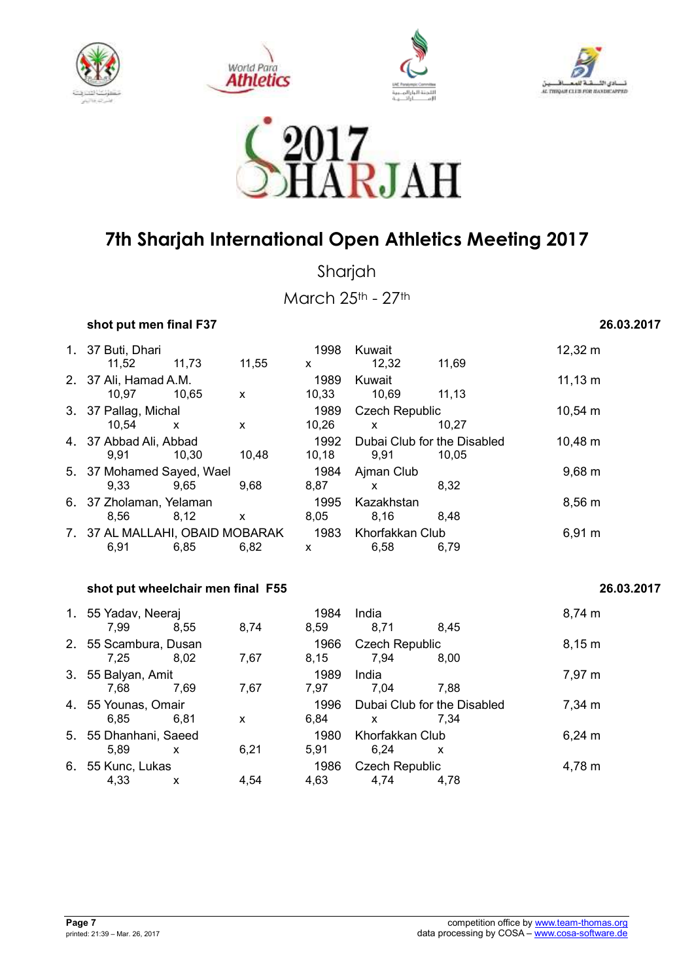









Sharjah

March 25th - 27th

*shot put men final F37* **26.03.2017 <b>26.03.2017** 

| 1. 37 Buti, Dhari<br>11.52              | 11,73        | 11,55     | 1998<br>X            | Kuwait<br>12.32                             | 11.69        | $12,32 \; m$       |
|-----------------------------------------|--------------|-----------|----------------------|---------------------------------------------|--------------|--------------------|
| 2. 37 Ali, Hamad A.M.                   |              |           | 1989                 | Kuwait                                      |              | $11,13 \; m$       |
| 10.97<br>3. 37 Pallag, Michal           | 10.65        | X         | 10,33<br>1989        | 10.69<br><b>Czech Republic</b>              | 11.13        | 10,54 m            |
| 10.54<br>4. 37 Abbad Ali, Abbad         | $\mathsf{x}$ | X         | 10,26<br>1992        | $\mathsf{x}$<br>Dubai Club for the Disabled | 10,27        | 10,48 m            |
| 9.91<br>5. 37 Mohamed Sayed, Wael       | 10.30        | 10.48     | 10, 18<br>1984       | 9.91<br>Ajman Club                          | 10.05        | $9,68 \, \text{m}$ |
| 9.33<br>6. 37 Zholaman, Yelaman<br>8.56 | 9,65<br>8,12 | 9,68<br>X | 8,87<br>1995<br>8,05 | X<br>Kazakhstan<br>8,16                     | 8.32<br>8.48 | 8,56 m             |
| 7. 37 AL MALLAHI, OBAID MOBARAK<br>6,91 | 6,85         | 6.82      | 1983<br>X            | Khorfakkan Club<br>6,58                     | 6,79         | 6,91 m             |

### **shot put wheelchair men final F55 26.03.2017**

| 1. 55 Yadav, Neeraj<br>7,99   | 8,55 | 8,74 | 1984<br>8,59 | India<br>8,71                    | 8.45 | $8,74 \; m$ |
|-------------------------------|------|------|--------------|----------------------------------|------|-------------|
| 2. 55 Scambura, Dusan<br>7.25 | 8,02 | 7,67 | 1966<br>8,15 | <b>Czech Republic</b><br>7.94    | 8.00 | 8,15 m      |
| 3. 55 Balyan, Amit<br>7.68    | 7.69 | 7,67 | 1989<br>7,97 | India<br>7.04                    | 7.88 | 7,97 m      |
| 4. 55 Younas, Omair<br>6.85   | 6.81 | X    | 1996<br>6,84 | Dubai Club for the Disabled<br>x | 7.34 | 7,34 m      |
| 5. 55 Dhanhani, Saeed<br>5,89 | X    | 6,21 | 1980<br>5,91 | Khorfakkan Club<br>6,24          | x    | $6,24 \; m$ |
| 6. 55 Kunc, Lukas<br>4,33     | X    | 4,54 | 1986<br>4,63 | <b>Czech Republic</b><br>4,74    | 4.78 | 4,78 m      |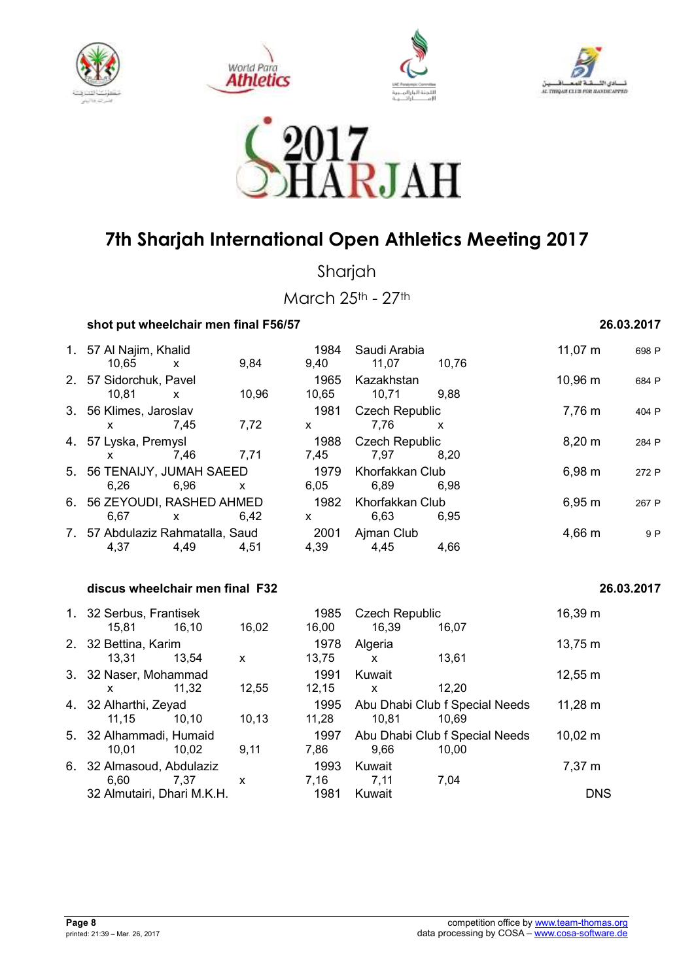









Sharjah

March 25th - 27th

### **shot put wheelchair men final F56/57 26.03.2017**

### 1. 57 Al Najim, Khalid 1984 Saudi Arabia 11,07 m <sup>698</sup> <sup>P</sup> 10,65 x 9,84 9,40 11,07 10,76 2. 57 Sidorchuk, Pavel 1965 Kazakhstan 10,96 m <sup>684</sup> <sup>P</sup> 10,81 x 10,96 10,65 10,71 9,88 3. 56 Klimes, Jaroslav 1981 Czech Republic 7,76 m <sup>404</sup> <sup>P</sup> x 7,45 7,72 x 7,76 x 4. 57 Lyska, Premysl 1988 Czech Republic 8,20 m <sup>284</sup> <sup>P</sup> x 7,46 7,71 7,45 7,97 8,20 5. 56 TENAIJY, JUMAH SAEED 1979 Khorfakkan Club 6,98 m 272 P 6,26 6,96 x 6,05 6,89 6,98 6. 56 ZEYOUDI, RASHED AHMED 1982 Khorfakkan Club 6,95 m 267 P<br>6,67 x 6,42 x 6,63 6,95 6,67 x 6,42 x 6,63 6,95 7. 57 Abdulaziz Rahmatalla, Saud 2001 Ajman Club 4,66 m<sup>9</sup> <sup>P</sup> 4,37 4,49 4,51 4,39 4,45 4,66  **discus wheelchair men final F32 26.03.2017**  1. 32 Serbus, Frantisek 1985 Czech Republic 16,39 m 15,81 16,10 16,02 16,00 16,39 16,07 2. 32 Bettina, Karim 1978 Algeria 13,75 m 13,31 13,54 x 13,75 x 13,61 3. 32 Naser, Mohammad 1991 Kuwait 12,55 m x 11,32 12,55 12,15 x 12,20

| x                          | 11,32 | 12,55 | 12,15  | X      | 12.20                          |                   |
|----------------------------|-------|-------|--------|--------|--------------------------------|-------------------|
| 4. 32 Alharthi, Zeyad      |       |       | 1995   |        | Abu Dhabi Club f Special Needs | $11,28 \text{ m}$ |
| 11.15                      | 10.10 | 10.13 | 11.28  | 10.81  | 10.69                          |                   |
| 5. 32 Alhammadi, Humaid    |       |       | 1997   |        | Abu Dhabi Club f Special Needs | $10,02 \; m$      |
| 10.01                      | 10.02 | 9.11  | 7.86   | 9.66   | 10.00                          |                   |
| 6. 32 Almasoud, Abdulaziz  |       |       | 1993   | Kuwait |                                | 7,37 m            |
| 6.60                       | 7.37  | X     | 7.16   | 7.11   | 7.04                           |                   |
| 32 Almutairi, Dhari M.K.H. |       | 1981  | Kuwait |        | <b>DNS</b>                     |                   |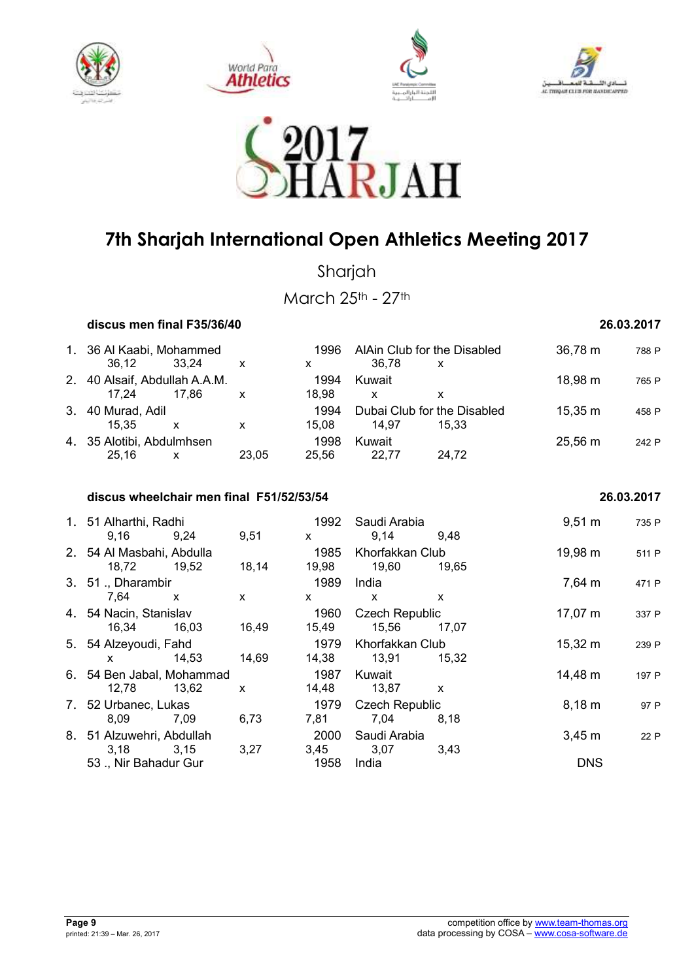









Sharjah

March 25th - 27th

 **discus men final F35/36/40 26.03.2017** 

| 1. 36 Al Kaabi, Mohammed<br>36.12 | 33.24 | X     | 1996<br>X | AlAin Club for the Disabled<br>36.78 | x     | 36,78 m           | 788 P |
|-----------------------------------|-------|-------|-----------|--------------------------------------|-------|-------------------|-------|
| 2. 40 Alsaif, Abdullah A.A.M.     |       |       | 1994      | Kuwait                               |       | 18,98 m           | 765 P |
| 17.24                             | 17.86 | х     | 18.98     | x                                    |       |                   |       |
| 3. 40 Murad, Adil                 |       |       | 1994      | Dubai Club for the Disabled          |       | $15.35 \text{ m}$ | 458 P |
| 15.35                             | x     | x     | 15.08     | 14.97                                | 15.33 |                   |       |
| 4. 35 Alotibi, Abdulmhsen         |       |       | 1998      | Kuwait                               |       | $25,56 \; m$      | 242 P |
| 25.16                             | x     | 23.05 | 25.56     | 22.77                                | 24.72 |                   |       |

### **discus wheelchair men final F51/52/53/54 26.03.2017**

### 1. 51 Alharthi, Radhi 1992 Saudi Arabia 9,51 m <sup>735</sup> <sup>P</sup> 9,16 9,24 9,51 x 9,14 9,48 2. 54 Al Masbahi, Abdulla 1985 Khorfakkan Club 19,98 m<sup>511</sup> <sup>P</sup> 18,72 19,52 18,14 19,98 19,60 19,65 3. 51 ., Dharambir 1989 India 1989 India 1989 7,64 m 471 P 7,64 x x x x x 4. 54 Nacin, Stanislav 1960 Czech Republic 17,07 m <sup>337</sup> <sup>P</sup> 16,34 16,03 16,49 15,49 15,56 17,07 5. 54 Alzeyoudi, Fahd 1979 Khorfakkan Club 15,32 m <sup>239</sup> <sup>P</sup> x 14,53 14,69 14,38 13,91 15,32 6. 54 Ben Jabal, Mohammad 1987 Kuwait 15 14,48 m 197 P 12,78 13,62 x 14,48 13,87 x 7. 52 Urbanec, Lukas 1979 Czech Republic 8,18 m <sup>97</sup> <sup>P</sup> 8,09 7,09 6,73 7,81 7,04 8,18 8. 51 Alzuwehri, Abdullah 2000 Saudi Arabia 3,45 m <sup>22</sup> <sup>P</sup> 3,18 3,15 3,27 3,45 3,07 3,43 53 ., Nir Bahadur Gur 1958 India DNS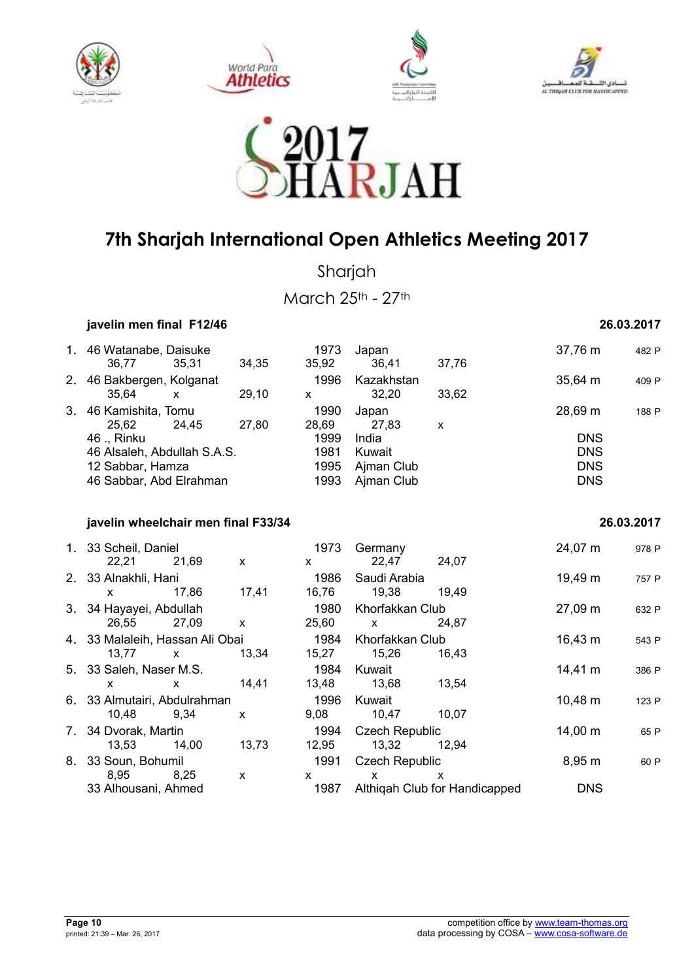









Sharjah

March 25th - 27th

 **javelin men final F12/46 26.03.2017** 

| 1. 46 Watanabe, Daisuke             |              |              | 1973          | Japan                 |                               | 37,76 m      | 482 P      |
|-------------------------------------|--------------|--------------|---------------|-----------------------|-------------------------------|--------------|------------|
| 36,77                               | 35,31        | 34,35        | 35,92         | 36,41                 | 37,76                         |              |            |
| 2. 46 Bakbergen, Kolganat           |              |              | 1996          | Kazakhstan            |                               | $35,64 \, m$ | 409 P      |
| 35,64                               | $\mathsf{x}$ | 29,10        | $\mathsf{x}$  | 32,20                 | 33,62                         |              |            |
| 3. 46 Kamishita, Tomu               |              |              | 1990          | Japan                 |                               | 28,69 m      | 188 P      |
| 25,62                               | 24,45        | 27,80        | 28,69<br>1999 | 27,83                 | $\mathsf{x}$                  |              |            |
| 46 ., Rinku                         |              |              |               | India                 |                               | <b>DNS</b>   |            |
| 46 Alsaleh, Abdullah S.A.S.         |              |              | 1981          | Kuwait                |                               | <b>DNS</b>   |            |
| 12 Sabbar, Hamza                    |              | 1995         | Ajman Club    |                       | <b>DNS</b>                    |              |            |
| 46 Sabbar, Abd Elrahman             |              |              | 1993          | Ajman Club            |                               | <b>DNS</b>   |            |
| javelin wheelchair men final F33/34 |              |              |               |                       |                               |              | 26.03.2017 |
| 1. 33 Scheil, Daniel                |              |              | 1973          | Germany               |                               | 24,07 m      | 978 P      |
| 22,21                               | 21,69        | X            | X             | 22,47                 | 24,07                         |              |            |
| 2. 33 Alnakhli, Hani                |              |              | 1986          | Saudi Arabia          |                               | 19,49 m      | 757 P      |
| $\mathsf{x}$                        | 17,86        | 17,41        | 16,76         | 19,38                 | 19,49                         |              |            |
| 3. 34 Hayayei, Abdullah             |              |              | 1980          | Khorfakkan Club       |                               | 27,09 m      | 632 P      |
| 26,55                               | 27,09        | $\pmb{\chi}$ | 25,60         | $\mathsf{x}$          | 24,87                         |              |            |
| 4. 33 Malaleih, Hassan Ali Obai     |              |              | 1984          | Khorfakkan Club       |                               | 16,43 m      | 543 P      |
| 13,77                               | X            | 13,34        | 15,27         | 15,26                 | 16,43                         |              |            |
| 5. 33 Saleh, Naser M.S.             |              |              | 1984          | Kuwait                |                               | 14,41 m      | 386 P      |
| $\mathsf{x}$                        | X            | 14,41        | 13,48         | 13,68                 | 13,54                         |              |            |
| 6. 33 Almutairi, Abdulrahman        |              |              | 1996          | Kuwait                |                               | 10,48 m      | 123 P      |
| 10,48                               | 9,34         | X            | 9,08          | 10,47                 | 10,07                         |              |            |
| 7. 34 Dvorak, Martin                |              |              | 1994          | <b>Czech Republic</b> |                               | 14,00 m      | 65 P       |
| 13,53                               | 14,00        | 13,73        | 12,95         | 13,32                 | 12,94                         |              |            |
| 8. 33 Soun, Bohumil                 |              |              | 1991          | <b>Czech Republic</b> |                               | 8,95 m       | 60 P       |
| 8,95                                | 8,25         | X            | X             | X                     | X                             |              |            |
| 33 Alhousani, Ahmed                 |              |              | 1987          |                       | Althigah Club for Handicapped | <b>DNS</b>   |            |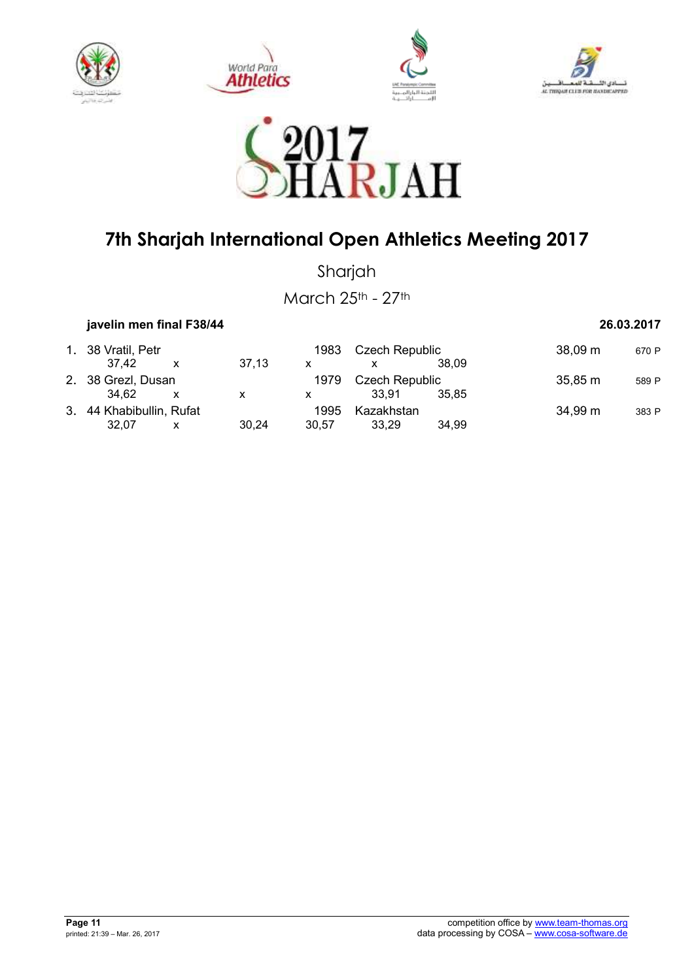









Sharjah

March 25th - 27th

 **javelin men final F38/44 26.03.2017** 

| 1. 38 Vratil, Petr       |  |       | 1983           | Czech Republic |         | $38,09 \; \text{m}$ | 670 P |
|--------------------------|--|-------|----------------|----------------|---------|---------------------|-------|
| 37.42                    |  | 37.13 | x              |                | 38.09   |                     |       |
| 2. 38 Grezl, Dusan       |  | 1979  | Czech Republic |                | 35,85 m | 589 P               |       |
| 34.62                    |  | X     |                | 33.91          | 35.85   |                     |       |
| 3. 44 Khabibullin, Rufat |  |       | 1995           | Kazakhstan     |         | 34,99 m             | 383 P |
| 32.07                    |  | 30.24 | 30.57          | 33.29          | 34.99   |                     |       |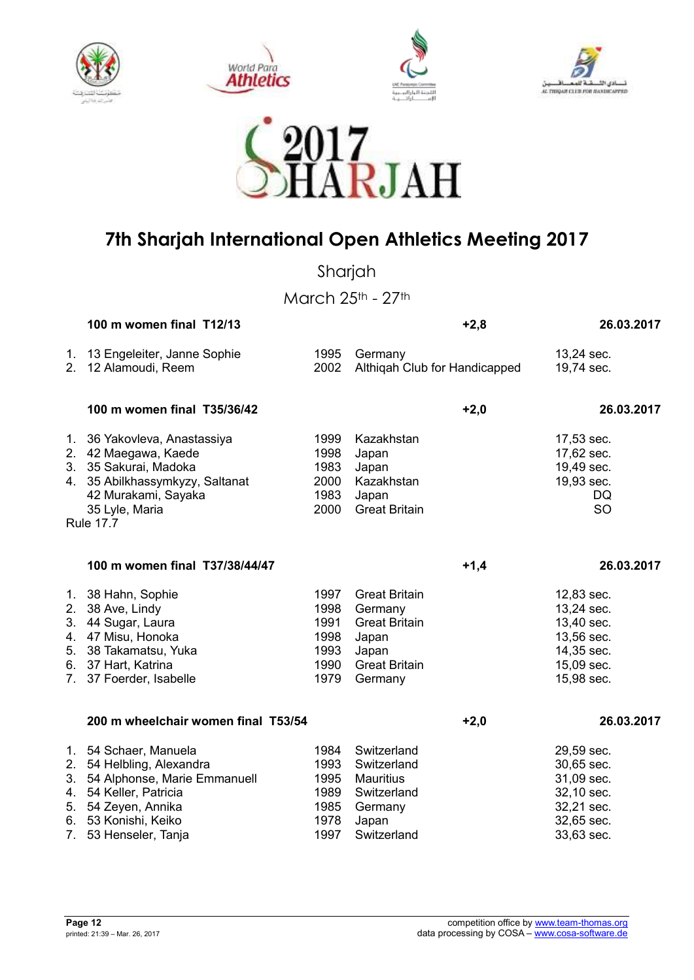









Sharjah

March 25th - 27th

|                | 100 m women final T12/13                                                                                                                                                       |                                                      | $+2,8$                                                                                                       | 26.03.2017                                                                                     |
|----------------|--------------------------------------------------------------------------------------------------------------------------------------------------------------------------------|------------------------------------------------------|--------------------------------------------------------------------------------------------------------------|------------------------------------------------------------------------------------------------|
|                | 1. 13 Engeleiter, Janne Sophie<br>2. 12 Alamoudi, Reem                                                                                                                         | 1995<br>2002                                         | Germany<br>Althiqah Club for Handicapped                                                                     | 13,24 sec.<br>19,74 sec.                                                                       |
|                | 100 m women final T35/36/42                                                                                                                                                    |                                                      | $+2,0$                                                                                                       | 26.03.2017                                                                                     |
|                | 1. 36 Yakovleva, Anastassiya<br>2. 42 Maegawa, Kaede<br>3. 35 Sakurai, Madoka<br>4. 35 Abilkhassymkyzy, Saltanat<br>42 Murakami, Sayaka<br>35 Lyle, Maria<br><b>Rule 17.7</b>  | 1999<br>1998<br>1983<br>2000<br>1983<br>2000         | Kazakhstan<br>Japan<br>Japan<br>Kazakhstan<br>Japan<br><b>Great Britain</b>                                  | 17,53 sec.<br>17,62 sec.<br>19,49 sec.<br>19,93 sec.<br>DQ.<br>SO                              |
|                |                                                                                                                                                                                |                                                      |                                                                                                              |                                                                                                |
|                | 100 m women final T37/38/44/47                                                                                                                                                 |                                                      | $+1,4$                                                                                                       | 26.03.2017                                                                                     |
| 3.<br>5.       | 1. 38 Hahn, Sophie<br>2. 38 Ave, Lindy<br>44 Sugar, Laura<br>4. 47 Misu, Honoka<br>38 Takamatsu, Yuka<br>6. 37 Hart, Katrina<br>7. 37 Foerder, Isabelle                        | 1997<br>1998<br>1991<br>1998<br>1993<br>1990<br>1979 | <b>Great Britain</b><br>Germany<br><b>Great Britain</b><br>Japan<br>Japan<br><b>Great Britain</b><br>Germany | 12,83 sec.<br>13,24 sec.<br>13,40 sec.<br>13,56 sec.<br>14,35 sec.<br>15,09 sec.<br>15,98 sec. |
|                | 200 m wheelchair women final T53/54                                                                                                                                            |                                                      | $+2,0$                                                                                                       | 26.03.2017                                                                                     |
| 4.<br>5.<br>7. | 1. 54 Schaer, Manuela<br>2. 54 Helbling, Alexandra<br>3. 54 Alphonse, Marie Emmanuell<br>54 Keller, Patricia<br>54 Zeyen, Annika<br>6. 53 Konishi, Keiko<br>53 Henseler, Tanja | 1984<br>1993<br>1995<br>1989<br>1985<br>1978<br>1997 | Switzerland<br>Switzerland<br>Mauritius<br>Switzerland<br>Germany<br>Japan<br>Switzerland                    | 29,59 sec.<br>30,65 sec.<br>31,09 sec.<br>32,10 sec.<br>32,21 sec.<br>32,65 sec.<br>33,63 sec. |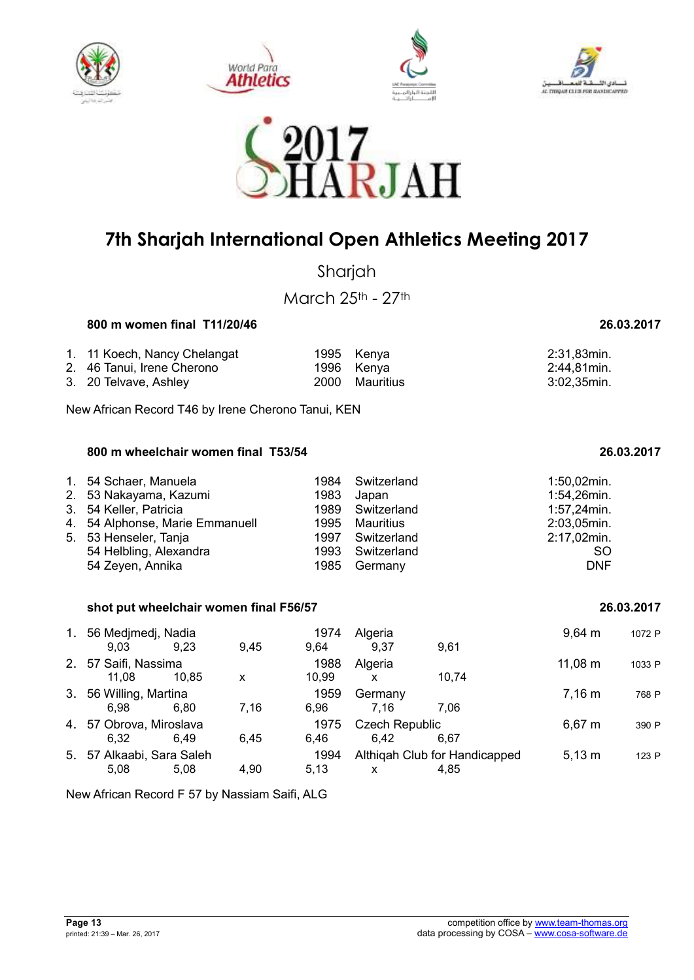









Shariah

### **800 m women final T11/20/46 26.03.2017**

| 1. 11 Koech, Nancy Chelangat | 1995 Kenya     | 2:31,83min. |
|------------------------------|----------------|-------------|
| 2. 46 Tanui, Irene Cherono   | 1996 Kenva     | 2:44,81min. |
| 3. 20 Telvave, Ashley        | 2000 Mauritius | 3:02,35min. |

New African Record T46 by Irene Cherono Tanui, KEN

### **800 m wheelchair women final T53/54 26.03.2017**

| 1. 54 Schaer, Manuela           | 1984 | Switzerland      | $1:50,02$ min. |
|---------------------------------|------|------------------|----------------|
| 2. 53 Nakayama, Kazumi          | 1983 | Japan            | 1:54,26min.    |
| 3. 54 Keller, Patricia          |      | 1989 Switzerland | $1:57,24$ min. |
| 4. 54 Alphonse, Marie Emmanuell |      | 1995 Mauritius   | 2:03,05min.    |
| 5. 53 Henseler, Tanja           |      | 1997 Switzerland | 2:17,02min.    |
| 54 Helbling, Alexandra          |      | 1993 Switzerland | <sub>SO</sub>  |
| 54 Zeyen, Annika                | 1985 | Germany          | <b>DNF</b>     |

### **shot put wheelchair women final F56/57 26.03.2017**

| 1. 56 Medjmedj, Nadia<br>9,03                                     | 9.23  | 9.45 | 1974<br>9.64  | Algeria<br>9,37                       | 9,61                  | $9,64 \; m$ | 1072 P |
|-------------------------------------------------------------------|-------|------|---------------|---------------------------------------|-----------------------|-------------|--------|
| 2. 57 Saifi, Nassima                                              |       |      | 1988          | Algeria                               |                       | 11,08 m     | 1033 P |
| 11.08<br>3. 56 Willing, Martina                                   | 10.85 | x    | 10.99<br>1959 | X<br>Germany                          | 10.74                 | 7.16 m      | 768 P  |
| 6.98                                                              | 6.80  | 7,16 | 6.96          | 7.16                                  | 7.06                  |             |        |
| 4. 57 Obrova, Miroslava                                           |       |      | 1975          |                                       | <b>Czech Republic</b> |             | 390 P  |
| 6.32<br>6.45<br>6.46<br>6.49<br>5. 57 Alkaabi, Sara Saleh<br>1994 |       |      | 6.42          | 6.67<br>Althigah Club for Handicapped | $5,13 \; m$           | 123 P       |        |
| 5.08                                                              | 5,08  | 4.90 | 5,13          | X                                     | 4.85                  |             |        |

New African Record F 57 by Nassiam Saifi, ALG

| ,,,,,,,,,,        |
|-------------------|
| March 25th - 27th |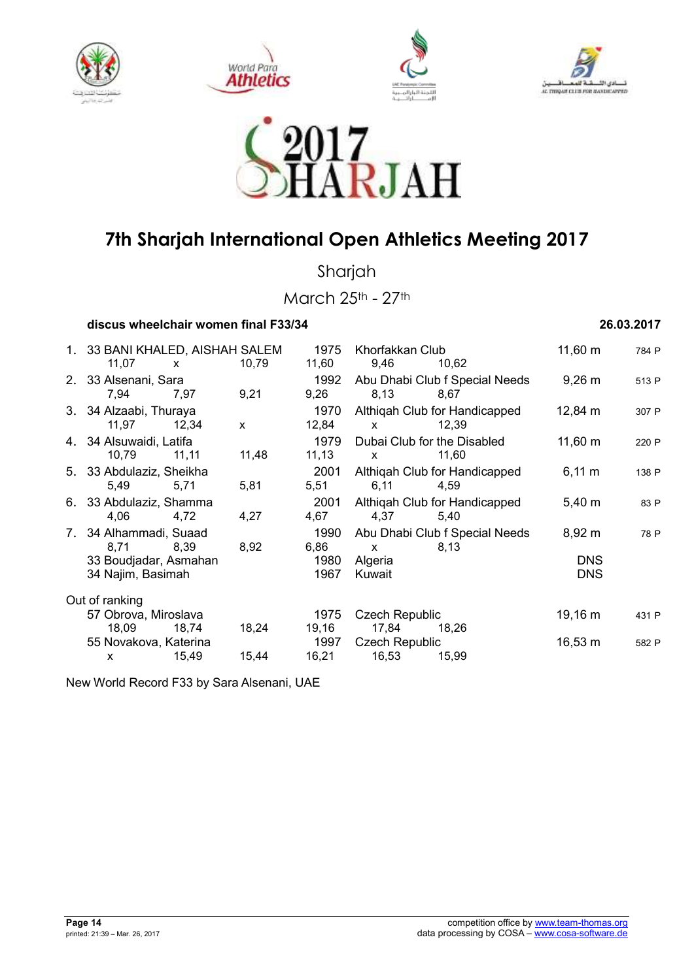









Sharjah

March 25th - 27th

 **discus wheelchair women final F33/34 26.03.2017** 

1. 33 BANI KHALED, AISHAH SALEM 1975 Khorfakkan Club 11,60 m 784 P<br>11.07 x 10.79 11.60 9.46 10.62 11,07 x 10,79 11,60 9,46 10,62 2. 33 Alsenani, Sara 1992 Abu Dhabi Club f Special Needs 9,26 m <sup>513</sup> <sup>P</sup> 7,94 7,97 9,21 9,26 8,13 8,67 3. 34 Alzaabi, Thuraya 1970 Althiqah Club for Handicapped 12,84 m 307 P 11,97 12,34 x 12,84 x 12,39 4. 34 Alsuwaidi, Latifa 1979 Dubai Club for the Disabled 11,60 m 220 P<br>10.79 11.11 11.48 11.13 x 11.60 10,79 11,11 11,48 11,13 x 11,60 5. 33 Abdulaziz, Sheikha 2001 Althiqah Club for Handicapped 6,11 m <sup>138</sup> <sup>P</sup> 5,49 5,71 5,81 5,51 6,11 4,59 6. 33 Abdulaziz, Shamma 2001 Althiqah Club for Handicapped 5,40 m 83 P<br>4,06 4,72 4,27 4,67 4,37 5,40 4,06 4,72 4,27 4,67 4,37 5,40 7. 34 Alhammadi, Suaad 1990 Abu Dhabi Club f Special Needs 8,92 m 78 P 8,71 8,39 8,92 6,86 x 8,13 33 Boudjadar, Asmahan 1980 Algeria DNS 34 Najim, Basimah 1967 Kuwait DNS Out of ranking 57 Obrova, Miroslava 1975 Czech Republic 19,16 m 431 P 18,09 18,74 18,24 19,16 17,84 18,26 55 Novakova, Katerina 1997 Czech Republic 16,53 m 582 P x 15,49 15,44 16,21 16,53 15,99

New World Record F33 by Sara Alsenani, UAE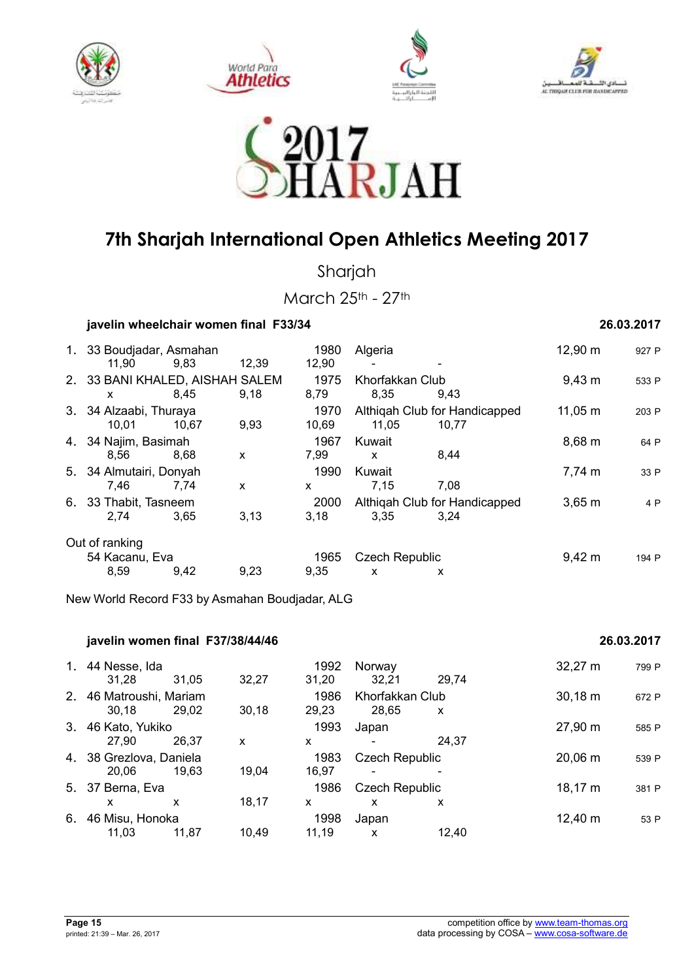









Sharjah

March 25th - 27th

| javelin wheelchair women final F33/34 |       |       |                       | 26.03.2017              |                                        |              |       |
|---------------------------------------|-------|-------|-----------------------|-------------------------|----------------------------------------|--------------|-------|
| 1. 33 Boudjadar, Asmahan<br>11.90     | 9,83  | 12,39 | 1980<br>12,90         | Algeria                 |                                        | 12,90 m      | 927 P |
| 2. 33 BANI KHALED, AISHAH SALEM<br>x  | 8.45  | 9,18  | 1975<br>8,79          | Khorfakkan Club<br>8.35 | 9,43                                   | $9,43 \; m$  | 533 P |
| 3. 34 Alzaabi, Thuraya<br>10,01       | 10.67 | 9,93  | 1970<br>10,69         | 11,05                   | Althigah Club for Handicapped<br>10,77 | $11,05 \; m$ | 203 P |
| 4. 34 Najim, Basimah<br>8.56          | 8.68  | X     | 1967<br>7.99          | Kuwait<br>$\mathsf{x}$  | 8,44                                   | 8,68 m       | 64 P  |
| 5. 34 Almutairi, Donyah<br>7,46       | 7,74  | X     | 1990<br>X             | Kuwait<br>7,15          | 7,08                                   | 7,74 m       | 33 P  |
| 6. 33 Thabit, Tasneem<br>2,74         | 3,65  | 3,13  | 2000<br>3,18          | 3,35                    | Althigah Club for Handicapped<br>3.24  | $3,65 \; m$  | 4 P   |
| Out of ranking<br>54 Kacanu, Eva      |       | 1965  | <b>Czech Republic</b> |                         | $9,42 \; m$                            | 194 P        |       |
| 8,59                                  | 9,42  | 9,23  | 9,35                  | $\mathsf{x}$            | x                                      |              |       |

New World Record F33 by Asmahan Boudjadar, ALG

|    | javelin women final F37/38/44/46 |       |       |               | 26.03.2017                 |       |              |       |
|----|----------------------------------|-------|-------|---------------|----------------------------|-------|--------------|-------|
| 1. | 44 Nesse, Ida<br>31.28           | 31.05 | 32,27 | 1992<br>31,20 | Norway<br>32,21            | 29.74 | $32,27 \; m$ | 799 P |
| 2. | 46 Matroushi, Mariam<br>30.18    | 29.02 | 30,18 | 1986<br>29,23 | Khorfakkan Club<br>28.65   | X     | $30,18 \; m$ | 672 P |
| 3. | 46 Kato, Yukiko<br>27.90         | 26.37 | X     | 1993<br>x     | Japan                      | 24.37 | 27,90 m      | 585 P |
|    | 4. 38 Grezlova, Daniela<br>20,06 | 19.63 | 19.04 | 1983<br>16.97 | <b>Czech Republic</b>      |       | 20,06 m      | 539 P |
|    | 5. 37 Berna, Eva<br>x            | x     | 18,17 | 1986<br>X     | <b>Czech Republic</b><br>x | X     | 18,17 m      | 381 P |
| 6. | 46 Misu, Honoka<br>11.03         | 11.87 | 10,49 | 1998<br>11.19 | Japan<br>X                 | 12,40 | 12,40 m      | 53 P  |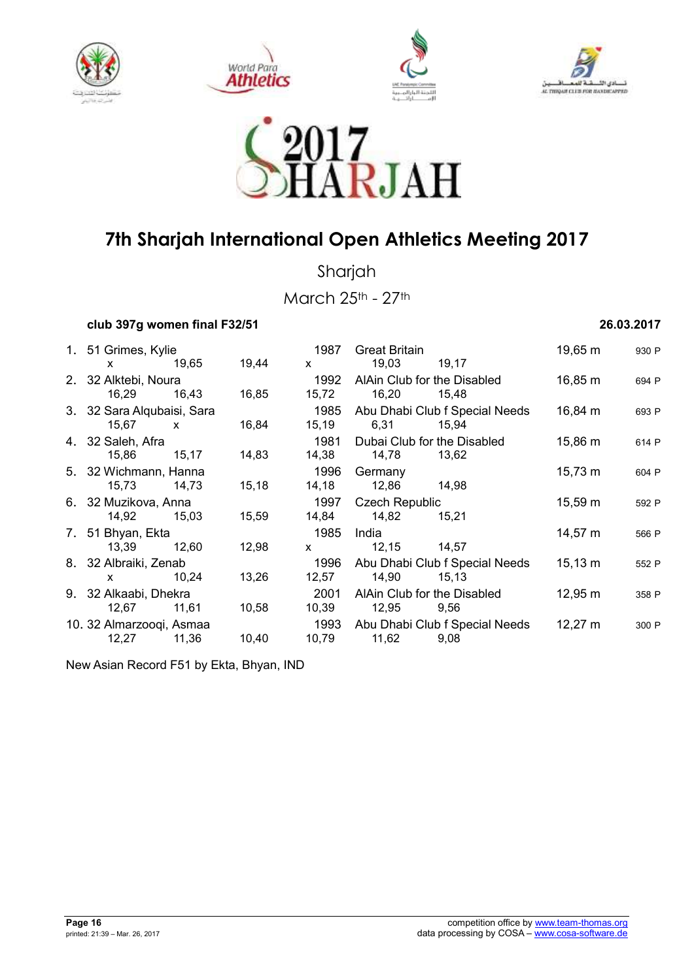









Sharjah

March 25th - 27th

### **club 397g women final F32/51 26.03.2017**

| 1. 51 Grimes, Kylie        |              |       | 1987         | <b>Great Britain</b>        |                                | 19,65 m      | 930 P |
|----------------------------|--------------|-------|--------------|-----------------------------|--------------------------------|--------------|-------|
| <b>X</b>                   | 19,65        | 19,44 | $\mathsf{x}$ | 19,03                       | 19,17                          |              |       |
| 2. 32 Alktebi, Noura       |              |       | 1992         | AlAin Club for the Disabled |                                | 16,85 m      | 694 P |
| 16,29                      | 16,43        | 16,85 | 15,72        | 16,20                       | 15,48                          |              |       |
| 3. 32 Sara Alqubaisi, Sara |              |       | 1985         |                             | Abu Dhabi Club f Special Needs | 16,84 m      | 693 P |
| 15,67                      | $\mathsf{x}$ | 16,84 | 15, 19       | 6,31                        | 15,94                          |              |       |
| 4. 32 Saleh, Afra          |              |       | 1981         | Dubai Club for the Disabled |                                | 15,86 m      | 614 P |
| 15,86                      | 15,17        | 14,83 | 14,38        | 14,78                       | 13,62                          |              |       |
| 5. 32 Wichmann, Hanna      |              |       | 1996         | Germany                     |                                | $15,73 \; m$ | 604 P |
| 15,73                      | 14,73        | 15,18 | 14,18        | 12,86                       | 14,98                          |              |       |
| 6. 32 Muzikova, Anna       |              |       | 1997         | <b>Czech Republic</b>       |                                | $15,59 \; m$ | 592 P |
| 14,92                      | 15,03        | 15,59 | 14,84        | 14,82                       | 15,21                          |              |       |
| 7. 51 Bhyan, Ekta          |              |       | 1985         | India                       |                                | $14,57 \; m$ | 566 P |
| 13,39                      | 12,60        | 12,98 | $\mathsf{x}$ | 12,15                       | 14,57                          |              |       |
| 8. 32 Albraiki, Zenab      |              |       | 1996         |                             | Abu Dhabi Club f Special Needs | $15,13 \; m$ | 552 P |
| X.                         | 10,24        | 13,26 | 12,57        | 14,90                       | 15, 13                         |              |       |
| 9. 32 Alkaabi, Dhekra      |              |       | 2001         | AlAin Club for the Disabled |                                | $12,95 \; m$ | 358 P |
| 12,67                      | 11,61        | 10,58 | 10,39        | 12,95                       | 9,56                           |              |       |
| 10. 32 Almarzooqi, Asmaa   |              |       | 1993         |                             | Abu Dhabi Club f Special Needs | $12,27 \; m$ | 300 P |
| 12,27                      | 11,36        | 10,40 | 10,79        | 11,62                       | 9,08                           |              |       |
|                            |              |       |              |                             |                                |              |       |

New Asian Record F51 by Ekta, Bhyan, IND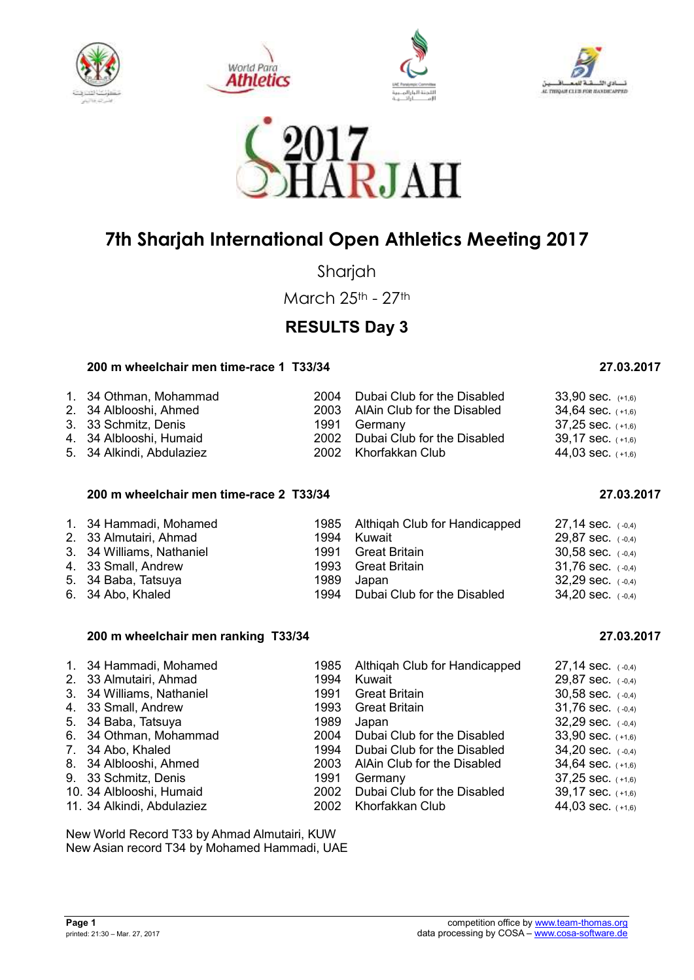









Sharjah

March 25th - 27th

## **RESULTS Day 3**

### **200 m wheelchair men time-race 1 T33/34 27.03.2017**

| 1. 34 Othman, Mohammad    | 2004 Dubai Club for the Disabled | $33,90$ sec. $(+1,6)$ |
|---------------------------|----------------------------------|-----------------------|
| 2. 34 Alblooshi, Ahmed    | 2003 AlAin Club for the Disabled | $34,64$ sec. $(+1,6)$ |
| 3. 33 Schmitz, Denis      | 1991 Germany                     | $37,25$ sec. $(+1,6)$ |
| 4. 34 Alblooshi, Humaid   | 2002 Dubai Club for the Disabled | $39,17$ sec. $(+1,6)$ |
| 5. 34 Alkindi, Abdulaziez | 2002 Khorfakkan Club             | 44,03 sec. $(+1,6)$   |

### **200 m wheelchair men time-race 2 T33/34 27.03.2017**

|  | 1. 34 Hammadi, Mohamed<br>2. 33 Almutairi, Ahmad<br>3. 34 Williams, Nathaniel<br>4. 33 Small, Andrew<br>5. 34 Baba, Tatsuya<br>6. 34 Abo, Khaled | 1994 | 1985 Althigah Club for Handicapped<br>Kuwait<br>1991 Great Britain<br>1993 Great Britain<br>1989 Japan<br>1994 Dubai Club for the Disabled | $27.14$ sec. $(-0.4)$<br>$29,87$ sec. $(-0,4)$<br>$30,58$ sec. $(-0,4)$<br>$31,76$ sec. $(-0,4)$<br>$32,29$ sec. $(-0,4)$<br>$34,20$ sec. $(-0,4)$ |
|--|--------------------------------------------------------------------------------------------------------------------------------------------------|------|--------------------------------------------------------------------------------------------------------------------------------------------|----------------------------------------------------------------------------------------------------------------------------------------------------|
|--|--------------------------------------------------------------------------------------------------------------------------------------------------|------|--------------------------------------------------------------------------------------------------------------------------------------------|----------------------------------------------------------------------------------------------------------------------------------------------------|

### **200 m wheelchair men ranking T33/34 27.03.2017**

| 1. 34 Hammadi, Mohamed<br>2. 33 Almutairi, Ahmad<br>3. 34 Williams, Nathaniel<br>4. 33 Small, Andrew | 1994<br>1991<br>1993 | 1985 Althigah Club for Handicapped<br>Kuwait<br><b>Great Britain</b><br><b>Great Britain</b> | $27,14$ sec. $(-0,4)$<br>29,87 sec. $(-0,4)$<br>$30,58$ sec. $(-0,4)$<br>31.76 sec. $(-0,4)$ |
|------------------------------------------------------------------------------------------------------|----------------------|----------------------------------------------------------------------------------------------|----------------------------------------------------------------------------------------------|
|                                                                                                      |                      |                                                                                              |                                                                                              |
| 5. 34 Baba, Tatsuya                                                                                  | 1989                 | Japan                                                                                        | 32,29 sec. $(-0,4)$                                                                          |
| 6. 34 Othman, Mohammad                                                                               | 2004                 | Dubai Club for the Disabled                                                                  | $33,90$ sec. $(+1,6)$                                                                        |
| 7. 34 Abo, Khaled                                                                                    | 1994                 | Dubai Club for the Disabled                                                                  | 34,20 sec. $(-0,4)$                                                                          |
| 8. 34 Alblooshi, Ahmed                                                                               |                      | 2003 AlAin Club for the Disabled                                                             | 34,64 sec. $(+1,6)$                                                                          |
| 9. 33 Schmitz, Denis                                                                                 | 1991                 | Germany                                                                                      | $37,25$ sec. $(+1,6)$                                                                        |
| 10. 34 Alblooshi, Humaid                                                                             | 2002                 | Dubai Club for the Disabled                                                                  | $39,17$ sec. $(+1,6)$                                                                        |
| 11. 34 Alkindi, Abdulaziez                                                                           | 2002                 | Khorfakkan Club                                                                              | 44,03 sec. $(+1,6)$                                                                          |

New World Record T33 by Ahmad Almutairi, KUW New Asian record T34 by Mohamed Hammadi, UAE

**Page 1**<br> **Page 1**<br> **Page 1**<br> **Competition office by <u>www.team-thomas.org</u><br>
data processing by COSA – www.cosa-software.de** data processing by COSA – www.cosa-software.de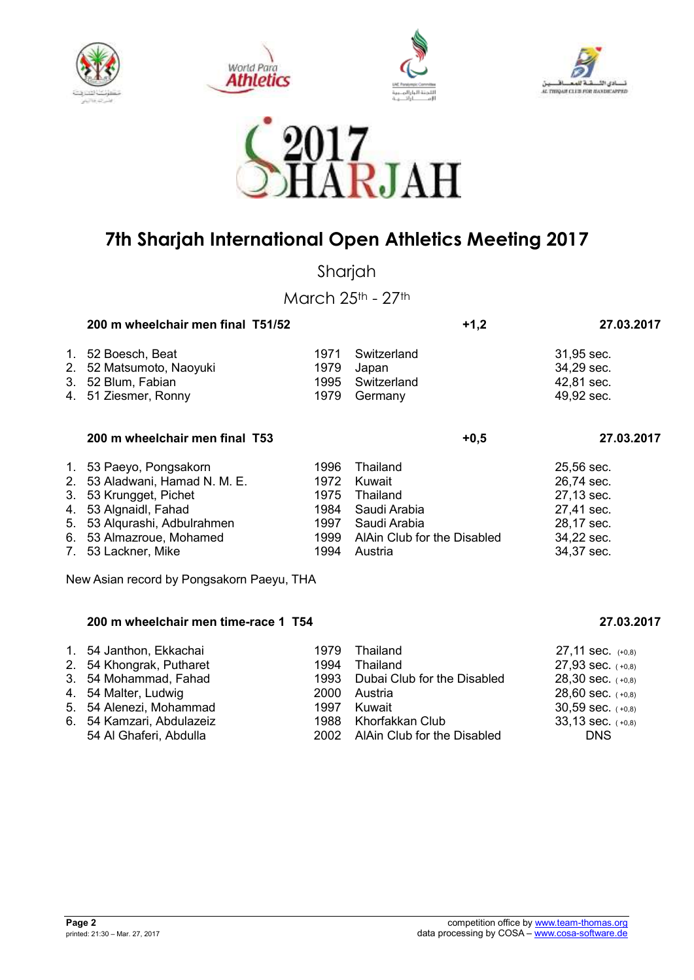









Sharjah

March 25th - 27th

|    | 200 m wheelchair men final T51/52                                 |                      |                                     | $+1,2$ | 27.03.2017                             |
|----|-------------------------------------------------------------------|----------------------|-------------------------------------|--------|----------------------------------------|
| 1. | 52 Boesch, Beat<br>2. 52 Matsumoto, Naoyuki<br>3. 52 Blum, Fabian | 1971<br>1979<br>1995 | Switzerland<br>Japan<br>Switzerland |        | 31,95 sec.<br>34,29 sec.<br>42,81 sec. |
|    | 4. 51 Ziesmer, Ronny                                              | 1979                 | Germany                             |        | 49,92 sec.                             |
|    | 200 m wheelchair men final T53                                    |                      |                                     | $+0.5$ | 27.03.2017                             |
|    |                                                                   |                      |                                     |        |                                        |

| 1. 53 Paeyo, Pongsakorn        |      | 1996 Thailand                    | 25,56 sec. |
|--------------------------------|------|----------------------------------|------------|
| 2. 53 Aladwani, Hamad N. M. E. | 1972 | Kuwait                           | 26,74 sec. |
| 3. 53 Krungget, Pichet         |      | 1975 Thailand                    | 27,13 sec. |
| 4. 53 Algnaidl, Fahad          |      | 1984 Saudi Arabia                | 27,41 sec. |
| 5. 53 Algurashi, Adbulrahmen   |      | 1997 Saudi Arabia                | 28,17 sec. |
| 6. 53 Almazroue, Mohamed       |      | 1999 AlAin Club for the Disabled | 34,22 sec. |
| 7. 53 Lackner, Mike            |      | 1994 Austria                     | 34,37 sec. |

New Asian record by Pongsakorn Paeyu, THA

### **200 m wheelchair men time-race 1 T54 27.03.2017**

| 1. 54 Janthon, Ekkachai   | 1979 Thailand                    | $27,11$ sec. $(+0,8)$ |
|---------------------------|----------------------------------|-----------------------|
| 2. 54 Khongrak, Putharet  | 1994 Thailand                    | $27,93$ sec. $(+0,8)$ |
| 3. 54 Mohammad, Fahad     | 1993 Dubai Club for the Disabled | $28,30$ sec. $(+0,8)$ |
| 4. 54 Malter, Ludwig      | 2000 Austria                     | 28,60 sec. $(+0,8)$   |
| 5. 54 Alenezi, Mohammad   | 1997 Kuwait                      | $30,59$ sec. $(+0,8)$ |
| 6. 54 Kamzari, Abdulazeiz | 1988 Khorfakkan Club             | $33,13$ sec. $(+0,8)$ |
| 54 Al Ghaferi, Abdulla    | 2002 AlAin Club for the Disabled | DNS.                  |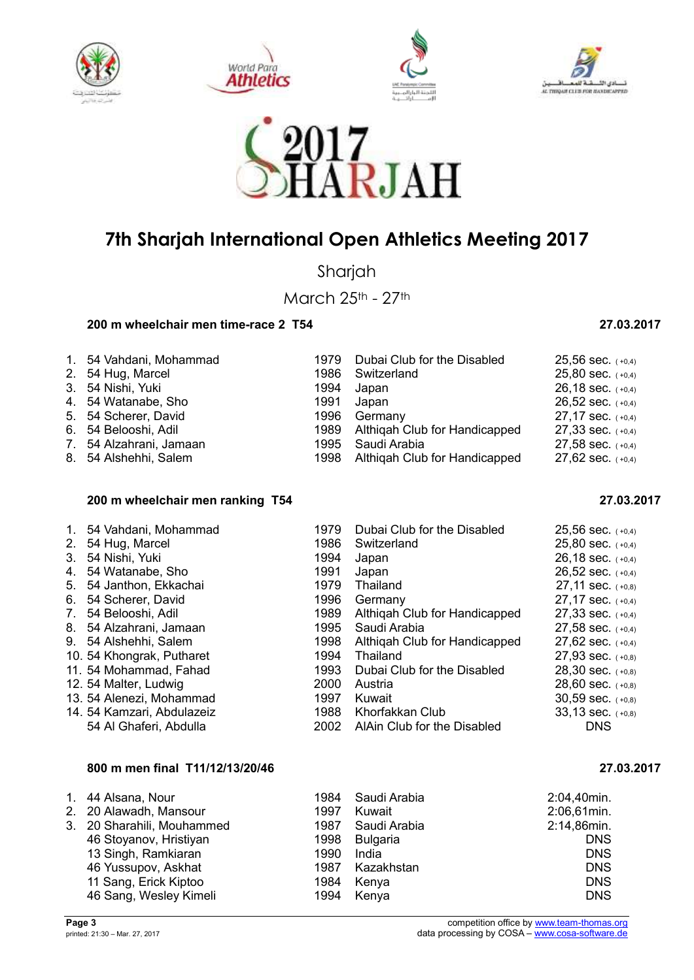









Sharjah

March 25th - 27th

### **200 m wheelchair men time-race 2 T54 27.03.2017**

| 1. 54 Vahdani, Mohammad | 1979 Dubai Club for the Disabled   | 25,56 sec. $(+0,4)$   |
|-------------------------|------------------------------------|-----------------------|
| 2. 54 Hug, Marcel       | 1986 Switzerland                   | 25,80 sec. $(+0,4)$   |
| 3. 54 Nishi, Yuki       | 1994 Japan                         | 26,18 sec. $(+0,4)$   |
| 4. 54 Watanabe, Sho     | 1991 Japan                         | 26,52 sec. $(+0,4)$   |
| 5. 54 Scherer, David    | 1996 Germany                       | 27,17 sec. $(+0,4)$   |
| 6. 54 Belooshi, Adil    | 1989 Althigah Club for Handicapped | $27,33$ sec. $(+0,4)$ |
| 7. 54 Alzahrani, Jamaan | 1995 Saudi Arabia                  | 27,58 sec. $(+0,4)$   |
| 8. 54 Alshehhi, Salem   | 1998 Althiqah Club for Handicapped | 27,62 sec. $(+0,4)$   |
|                         |                                    |                       |

#### **200 m wheelchair men ranking T54 27.03.2017**

|    | 1. 54 Vahdani, Mohammad    | 1979 | Dubai Club for the Disabled   | $25,56$ sec. $(+0,4)$ |
|----|----------------------------|------|-------------------------------|-----------------------|
| 2. | 54 Hug, Marcel             | 1986 | Switzerland                   | $25,80$ sec. $(+0,4)$ |
| 3. | 54 Nishi, Yuki             | 1994 | Japan                         | $26,18$ sec. $(+0,4)$ |
| 4. | 54 Watanabe, Sho           | 1991 | Japan                         | $26,52$ sec. $(+0,4)$ |
| 5. | 54 Janthon, Ekkachai       | 1979 | Thailand                      | $27,11$ sec. $(+0,8)$ |
| 6. | 54 Scherer, David          | 1996 | Germany                       | $27,17$ sec. $(+0,4)$ |
| 7. | 54 Belooshi, Adil          | 1989 | Althigah Club for Handicapped | $27,33$ sec. $(+0,4)$ |
|    | 8. 54 Alzahrani, Jamaan    | 1995 | Saudi Arabia                  | 27,58 sec. $(+0,4)$   |
|    | 9. 54 Alshehhi, Salem      | 1998 | Althigah Club for Handicapped | 27,62 sec. $(+0,4)$   |
|    | 10. 54 Khongrak, Putharet  | 1994 | Thailand                      | 27,93 sec. (+0,8)     |
|    | 11. 54 Mohammad, Fahad     | 1993 | Dubai Club for the Disabled   | $28,30$ sec. $(+0,8)$ |
|    | 12. 54 Malter, Ludwig      | 2000 | Austria                       | 28,60 sec. $(+0,8)$   |
|    | 13. 54 Alenezi, Mohammad   | 1997 | Kuwait                        | $30,59$ sec. $(+0,8)$ |
|    | 14. 54 Kamzari, Abdulazeiz | 1988 | Khorfakkan Club               | $33,13$ sec. $(+0,8)$ |
|    | 54 Al Ghaferi, Abdulla     | 2002 | AlAin Club for the Disabled   | <b>DNS</b>            |

#### **800 m men final T11/12/13/20/46 27.03.2017**

| 1. 44 Alsana, Nour         |      | 1984 Saudi Arabia | 2:04,40min. |
|----------------------------|------|-------------------|-------------|
| 2. 20 Alawadh, Mansour     | 1997 | Kuwait            | 2:06,61min. |
| 3. 20 Sharahili, Mouhammed |      | 1987 Saudi Arabia | 2:14,86min. |
| 46 Stoyanov, Hristiyan     | 1998 | Bulgaria          | <b>DNS</b>  |
| 13 Singh, Ramkiaran        | 1990 | India             | <b>DNS</b>  |
| 46 Yussupov, Askhat        |      | 1987 Kazakhstan   | <b>DNS</b>  |
| 11 Sang, Erick Kiptoo      | 1984 | Kenya             | <b>DNS</b>  |
| 46 Sang, Wesley Kimeli     |      | 1994 Kenya        | <b>DNS</b>  |

| 20,00 000. |     | ( ۳υ, <del>4</del> |
|------------|-----|--------------------|
| 26,18 sec. |     | $(+0,4)$           |
| 26,52 sec. |     | $(+0,4)$           |
| 27,11 sec. |     | $(+0,8)$           |
| 27,17 sec. |     | $(+0,4)$           |
| 27,33 sec. |     | $(+0,4)$           |
| 27,58 sec. |     | $(+0,4)$           |
| 27,62 sec. |     | $(+0,4)$           |
| 27,93 sec. |     | $(+0,8)$           |
| 28,30 sec. |     | $(+0,8)$           |
| 28,60 sec. |     | $(+0,8)$           |
| 30,59 sec. |     | $(+0,8)$           |
| 33,13 sec. |     | $(+0,8)$           |
|            | DNS |                    |
|            |     |                    |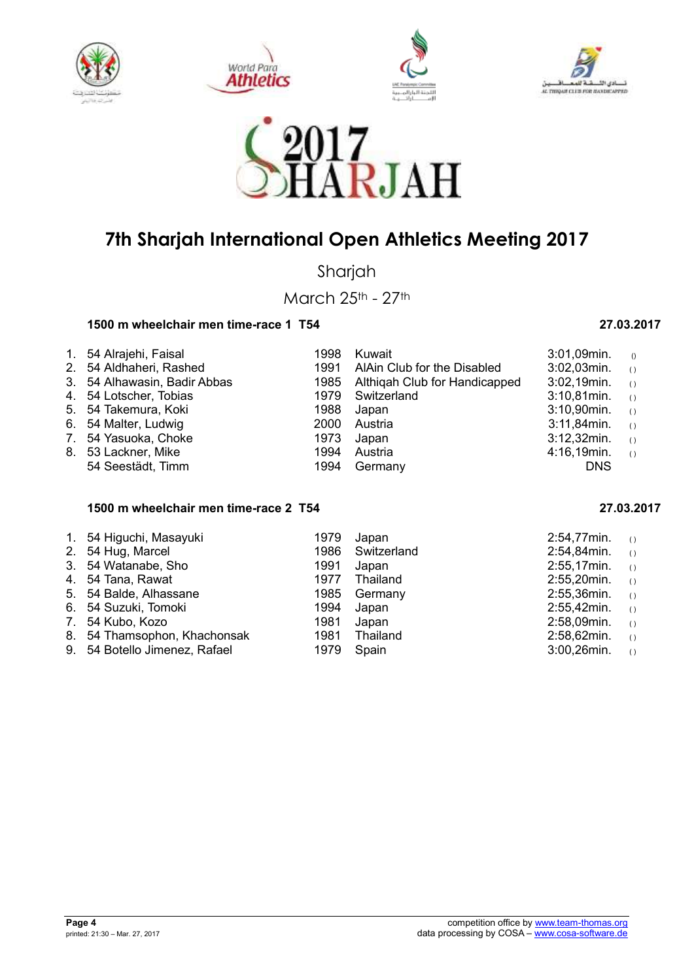









Sharjah

March 25th - 27th

### **1500 m wheelchair men time-race 1 T54 27.03.2017**

| 1. 54 Alrajehi, Faisal       | 1998 | Kuwait                             | $3:01,09$ min.    | $\theta$                                      |
|------------------------------|------|------------------------------------|-------------------|-----------------------------------------------|
| 2. 54 Aldhaheri, Rashed      | 1991 | AlAin Club for the Disabled        | $3:02,03$ min. () |                                               |
| 3. 54 Alhawasin, Badir Abbas |      | 1985 Althigah Club for Handicapped | 3:02,19min.       | $\left( \begin{array}{c} \end{array} \right)$ |
| 4. 54 Lotscher, Tobias       |      | 1979 Switzerland                   | $3:10,81$ min.    | $\left( \begin{array}{c} \end{array} \right)$ |
| 5. 54 Takemura, Koki         |      | 1988 Japan                         | 3:10,90min.       | $\left( \begin{array}{c} \end{array} \right)$ |
| 6. 54 Malter, Ludwig         | 2000 | Austria                            | 3:11,84min.       | $\left( \begin{array}{c} \end{array} \right)$ |
| 7. 54 Yasuoka, Choke         | 1973 | Japan                              | $3:12,32$ min.    | $\left( \right)$                              |
| 8. 53 Lackner, Mike          | 1994 | Austria                            | 4:16,19min.       | $\left( \right)$                              |
| 54 Seestädt, Timm            | 1994 | Germany                            | <b>DNS</b>        |                                               |
|                              |      |                                    |                   |                                               |

### **1500 m wheelchair men time-race 2 T54 27.03.2017**

| 1. 54 Higuchi, Masayuki       | 1979 | Japan       | 2:54,77min.    | ( )              |
|-------------------------------|------|-------------|----------------|------------------|
| 2. 54 Hug, Marcel             | 1986 | Switzerland | 2:54,84min.    | $\left( \right)$ |
| 3. 54 Watanabe, Sho           | 1991 | Japan       | 2:55,17min.    | ( )              |
| 4. 54 Tana, Rawat             | 1977 | Thailand    | $2:55,20$ min. | ( )              |
| 5. 54 Balde, Alhassane        | 1985 | Germany     | 2:55,36min.    | ( )              |
| 6. 54 Suzuki, Tomoki          | 1994 | Japan       | 2:55,42min.    | ( )              |
| 7. 54 Kubo, Kozo              | 1981 | Japan       | 2:58,09min.    | ( )              |
| 8. 54 Thamsophon, Khachonsak  | 1981 | Thailand    | 2:58,62min.    | ( )              |
| 9. 54 Botello Jimenez, Rafael | 1979 | Spain       | 3:00,26min.    | ( )              |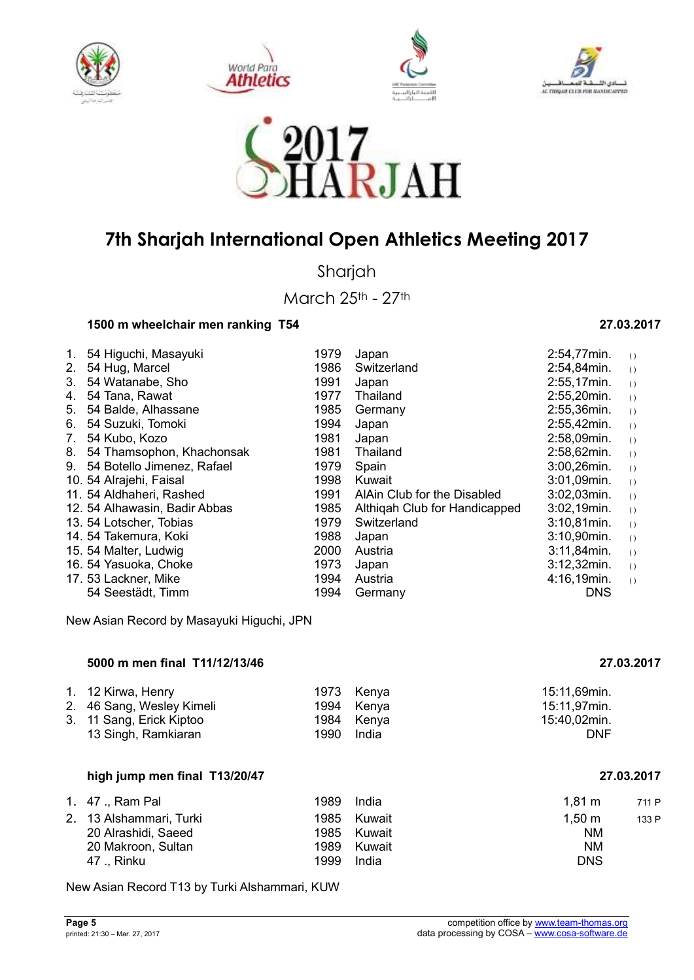









Sharjah

March 25th - 27th

#### **1500 m wheelchair men ranking T54 27.03.2017**

#### 1. 54 Higuchi, Masayuki 1979 Japan 2:54,77min. ( ) 2. 54 Hug, Marcel 2. 1986 Switzerland 2:54,84min. 3. 54 Watanabe, Sho 1991 Japan 2:55,17min. ( ) 4. 54 Tana, Rawat 1977 Thailand 2:55,20min. ( ) 5. 54 Balde, Alhassane 1985 Germany 2:55,36min. ( ) 6. 54 Suzuki, Tomoki 1994 Japan 2:55,42min. ( ) 7. 54 Kubo, Kozo 1981 Japan 2:58,09min. ( ) 8. 54 Thamsophon, Khachonsak 9. 54 Botello Jimenez, Rafael 1979 Spain 10. 54 Alrajehi, Faisal 1998 Kuwait 3:01, 1998 Kuwait 3:01, 1998 Kuwait 3:01, 1991 AlAin C 11. 54 Aldhaheri, Rashed 1991 AlAin Club for the Disabled<br>12. 54 Alhawasin, Badir Abbas 1985 Althigah Club for Handicap 1985 Althigah Club for Handicapped 13. 54 Lotscher, Tobias 1979 Switzerland 14. 54 Takemura, Koki 1988 Japan 15. 54 Malter, Ludwig 2000 Austria 16. 54 Yasuoka, Choke 1973 Japan 3:12.53 Japan 3:12,532 Japan 3:12,524 Japan 3:12,524 Japan 3:12,520 17. 53 Lackner, Mike 1994 Austria 1994 Seestadt, Timm 54 Seestädt, Timm

New Asian Record by Masayuki Higuchi, JPN

#### **5000 m men final T11/12/13/46 27.03.2017**

| 1. 12 Kirwa, Henry        |      | 1973 Kenya | 15:11,69min. |
|---------------------------|------|------------|--------------|
| 2. 46 Sang, Wesley Kimeli |      | 1994 Kenya | 15:11,97min. |
| 3. 11 Sang, Erick Kiptoo  |      | 1984 Kenya | 15:40,02min. |
| 13 Singh, Ramkiaran       | 1990 | India      | DNF          |

#### **high jump men final T13/20/47 27.03.2017**

|                     | 1989                                       | India | $1.81 \text{ m}$                | 711 P |
|---------------------|--------------------------------------------|-------|---------------------------------|-------|
|                     | 1985                                       |       | 1.50 m                          | 133 P |
| 20 Alrashidi, Saeed |                                            |       | <b>NM</b>                       |       |
| 20 Makroon, Sultan  | 1989                                       |       | <b>NM</b>                       |       |
| 47  Rinku           | 1999                                       | India | <b>DNS</b>                      |       |
|                     | 1. 47 . Ram Pal<br>2. 13 Alshammari, Turki |       | Kuwait<br>1985 Kuwait<br>Kuwait |       |

New Asian Record T13 by Turki Alshammari, KUW

| 2:55,42min. | ( )              |
|-------------|------------------|
| 2:58,09min. | ( )              |
| 2:58,62min. | $\left( \right)$ |
| 3:00,26min. | ( )              |
| 3:01,09min. | ( )              |
| 3:02,03min. | ( )              |
| 3:02,19min. | ( )              |
| 3:10,81min. | $\left( \right)$ |
| 3:10,90min. | $\left( \right)$ |
| 3:11,84min. | $\left( \right)$ |
| 3:12,32min. | ( )              |
| 4:16,19min. | $\left( \right)$ |
| DNS         |                  |
|             |                  |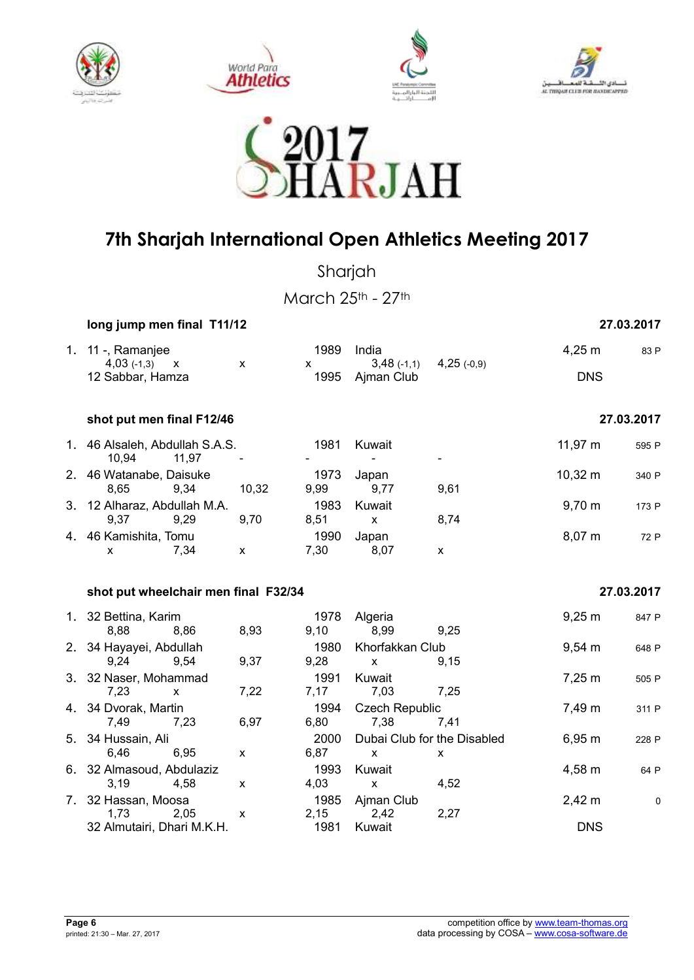









Sharjah

March 25th - 27th

| long jump men final T11/12 | 27.03.2017 |
|----------------------------|------------|
|----------------------------|------------|

| 1. 11 -, Ramanjee<br>$4,03$ (-1,3)<br>$\mathbf{X}$      | X                  | 1989<br>X            | India<br>$3,48$ (-1,1)                  | $4,25$ (-0,9) | $4,25 \; m$  | 83 P       |
|---------------------------------------------------------|--------------------|----------------------|-----------------------------------------|---------------|--------------|------------|
| 12 Sabbar, Hamza                                        |                    | 1995                 | Ajman Club                              |               | <b>DNS</b>   |            |
| shot put men final F12/46                               |                    |                      |                                         |               |              | 27.03.2017 |
| 1. 46 Alsaleh, Abdullah S.A.S.<br>10,94<br>11,97        |                    | 1981                 | Kuwait                                  |               | 11,97 m      | 595 P      |
| 2. 46 Watanabe, Daisuke<br>8,65<br>9,34                 | 10,32              | 1973<br>9,99         | Japan<br>9,77                           | 9,61          | $10,32 \; m$ | 340 P      |
| 3. 12 Alharaz, Abdullah M.A.<br>9,37<br>9,29            | 9,70               | 1983<br>8,51         | Kuwait<br>$\mathsf{x}$                  | 8,74          | $9,70 \; m$  | 173 P      |
| 4. 46 Kamishita, Tomu<br>7,34<br>X                      | X                  | 1990<br>7,30         | Japan<br>8,07                           | $\mathsf{x}$  | 8,07 m       | 72 P       |
|                                                         |                    |                      |                                         |               |              |            |
| shot put wheelchair men final F32/34                    |                    |                      |                                         |               |              | 27.03.2017 |
| 1. 32 Bettina, Karim                                    |                    | 1978                 | Algeria                                 |               | $9,25 \; m$  | 847 P      |
| 8,88<br>8,86<br>2. 34 Hayayei, Abdullah<br>9,24<br>9,54 | 8,93<br>9,37       | 9,10<br>1980<br>9,28 | 8,99<br>Khorfakkan Club<br>$\mathsf{x}$ | 9,25<br>9,15  | $9,54 \, m$  | 648 P      |
| 3. 32 Naser, Mohammad<br>7,23<br>x                      | 7,22               | 1991<br>7,17         | Kuwait<br>7,03                          | 7,25          | $7,25 \; m$  | 505 P      |
| 4. 34 Dvorak, Martin<br>7,49<br>7,23                    | 6,97               | 1994<br>6,80         | <b>Czech Republic</b><br>7,38           | 7,41          | 7,49 m       | 311 P      |
| 5. 34 Hussain, Ali<br>6,46<br>6,95                      | X                  | 2000<br>6,87         | Dubai Club for the Disabled<br>x        | x             | 6,95 m       | 228 P      |
| 6. 32 Almasoud, Abdulaziz<br>3,19<br>4,58               | $\pmb{\mathsf{X}}$ | 1993<br>4,03         | Kuwait<br>$\pmb{\mathsf{x}}$            | 4,52          | 4,58 m       | 64 P       |

1,73 2,05 x 2,15 2,42 2,27 32 Almutairi, Dhari M.K.H. 1981 Kuwait DNS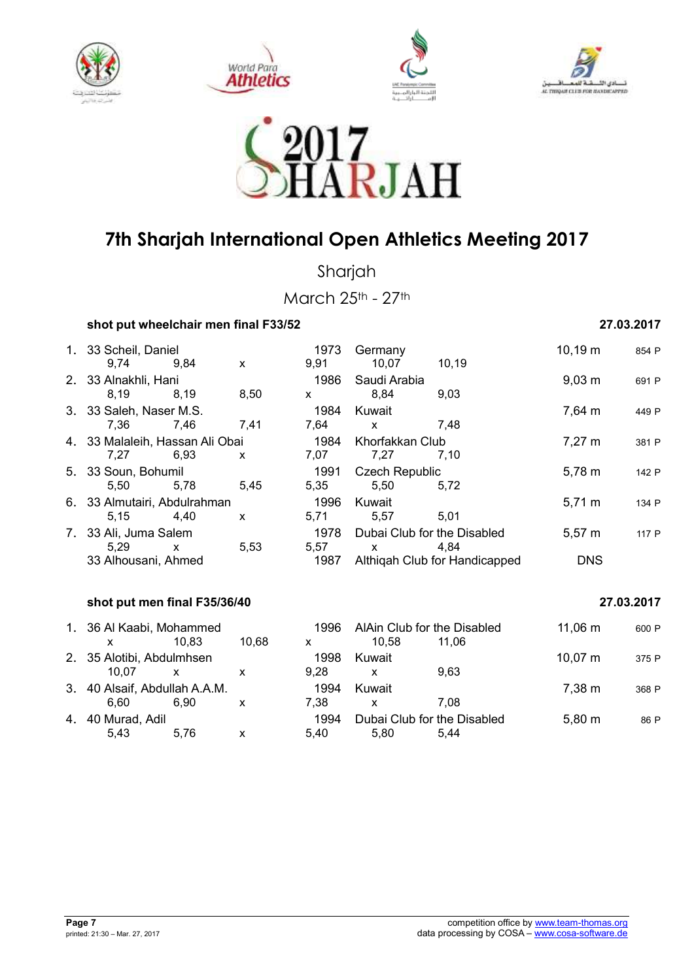









Sharjah

March 25th - 27th

| 27.03.2017 |
|------------|
|            |

| 1. 33 Scheil, Daniel            |              |       | 1973         | Germany                     |                               | $10,19 \; m$        | 854 P      |
|---------------------------------|--------------|-------|--------------|-----------------------------|-------------------------------|---------------------|------------|
| 9,74                            | 9,84         | X     | 9,91         | 10,07                       | 10,19                         |                     |            |
| 2. 33 Alnakhli, Hani            |              |       | 1986         | Saudi Arabia                |                               | $9,03 \, \text{m}$  | 691 P      |
| 8,19                            | 8,19         | 8,50  | <b>X</b>     | 8,84                        | 9,03                          |                     |            |
| 3. 33 Saleh, Naser M.S.         |              |       | 1984         | Kuwait                      |                               | 7,64 m              | 449 P      |
| 7,36                            | 7.46         | 7,41  | 7,64         | $\mathsf{x}$                | 7,48                          |                     |            |
| 4. 33 Malaleih, Hassan Ali Obai |              |       | 1984         | Khorfakkan Club             |                               | $7,27 \; m$         | 381 P      |
| 7,27                            | 6,93         | X     | 7,07         | 7,27                        | 7,10                          |                     |            |
| 5. 33 Soun, Bohumil             |              |       | 1991         | <b>Czech Republic</b>       |                               | $5,78 \; m$         | 142 P      |
| 5,50                            | 5,78         | 5,45  | 5,35         | 5,50                        | 5,72                          |                     |            |
| 6. 33 Almutairi, Abdulrahman    |              |       | 1996         | Kuwait                      |                               | $5,71 \,\mathrm{m}$ | 134 P      |
| 5,15                            | 4,40         | X     | 5,71         | 5,57                        | 5,01                          |                     |            |
| 7. 33 Ali, Juma Salem           |              |       | 1978         | Dubai Club for the Disabled |                               | $5,57 \; m$         | 117 P      |
| 5,29                            | X            | 5,53  | 5,57         | $\mathsf{x}$                | 4,84                          |                     |            |
| 33 Alhousani, Ahmed             |              |       | 1987         |                             | Althiqah Club for Handicapped | <b>DNS</b>          |            |
| shot put men final F35/36/40    |              |       |              |                             |                               |                     | 27.03.2017 |
|                                 |              |       |              |                             |                               |                     |            |
| 1. 36 Al Kaabi, Mohammed        |              |       | 1996         | AlAin Club for the Disabled |                               | $11,06 \; m$        | 600 P      |
| $\mathsf{x}$                    | 10,83        | 10,68 | $\mathsf{x}$ | 10,58                       | 11,06                         |                     |            |
| 2. 35 Alotibi, Abdulmhsen       |              |       | 1998         | Kuwait                      |                               | $10,07 \; m$        | 375 P      |
| 10,07                           | $\mathsf{x}$ | X     | 9,28         | $\mathsf{x}$                | 9,63                          |                     |            |
| 3. 40 Alsaif, Abdullah A.A.M.   |              |       | 1994         | Kuwait                      |                               | 7,38 m              | 368 P      |
| 6,60                            | 6,90         | X     | 7,38         | $\mathsf{x}$                | 7,08                          |                     |            |
| 4. 40 Murad, Adil               |              |       | 1994         | Dubai Club for the Disabled |                               | $5,80 \; m$         | 86 P       |
| 5,43                            | 5,76         | X     | 5,40         | 5,80                        | 5,44                          |                     |            |
|                                 |              |       |              |                             |                               |                     |            |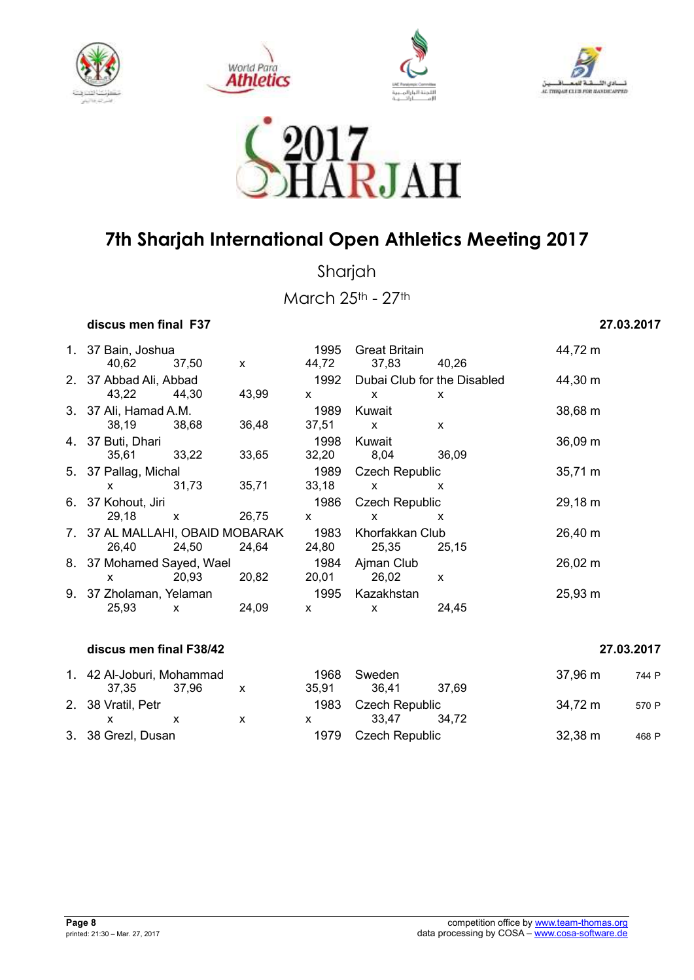









Sharjah

March 25th - 27th

### **discus men final F37 27.03.2017**

| 1. 37 Bain, Joshua<br>40,62     | 37,50        | X     | 1995<br>44,72 | <b>Great Britain</b><br>37,83 | 40,26                     | 44,72 m      |
|---------------------------------|--------------|-------|---------------|-------------------------------|---------------------------|--------------|
| 2. 37 Abbad Ali, Abbad          |              |       | 1992          | Dubai Club for the Disabled   |                           | 44,30 m      |
| 43,22                           | 44,30        | 43,99 | <b>X</b>      | $\mathsf{x}$                  | X                         |              |
| 3. 37 Ali, Hamad A.M.           |              |       | 1989          | Kuwait                        |                           | 38,68 m      |
| 38,19                           | 38.68        | 36,48 | 37,51         | $\mathsf{x}$                  | $\mathsf{x}$              |              |
| 4. 37 Buti, Dhari               |              |       | 1998          | Kuwait                        |                           | 36,09 m      |
| 35,61                           | 33,22        | 33,65 | 32,20         | 8,04                          | 36,09                     |              |
| 5. 37 Pallag, Michal            |              |       | 1989          | <b>Czech Republic</b>         |                           | 35,71 m      |
| <b>X</b>                        | 31,73        | 35,71 | 33,18         | $\mathsf{x}$                  | X                         |              |
| 6. 37 Kohout, Jiri              |              |       | 1986          | <b>Czech Republic</b>         |                           | 29,18 m      |
| 29,18                           | $\mathsf{x}$ | 26,75 | X             | X                             | X                         |              |
| 7. 37 AL MALLAHI, OBAID MOBARAK |              |       | 1983          | Khorfakkan Club               |                           | $26,40 \; m$ |
| 26,40                           | 24,50        | 24,64 | 24,80         | 25,35                         | 25,15                     |              |
| 8. 37 Mohamed Sayed, Wael       |              |       | 1984          | Ajman Club                    |                           | $26,02 \; m$ |
| X                               | 20,93        | 20,82 | 20,01         | 26,02                         | $\boldsymbol{\mathsf{x}}$ |              |
| 9. 37 Zholaman, Yelaman         |              |       | 1995          | Kazakhstan                    |                           | 25,93 m      |
| 25,93                           | X            | 24,09 | X             | X                             | 24,45                     |              |
|                                 |              |       |               |                               |                           |              |

#### **discus men final F38/42 27.03.2017**

| 1. 42 Al-Joburi, Mohammad |  | 1968  | Sweden         |       | .37.96 m | 744 P |
|---------------------------|--|-------|----------------|-------|----------|-------|
| 37.35 37.96               |  | 35.91 | 36.41          | 37.69 |          |       |
| 2. 38 Vratil, Petr        |  | 1983. | Czech Republic |       | 34,72 m  | 570 P |
|                           |  |       | 33.47          | 34.72 |          |       |
| 3. 38 Grezl, Dusan        |  | 1979. | Czech Republic |       | 32,38 m  | 468 P |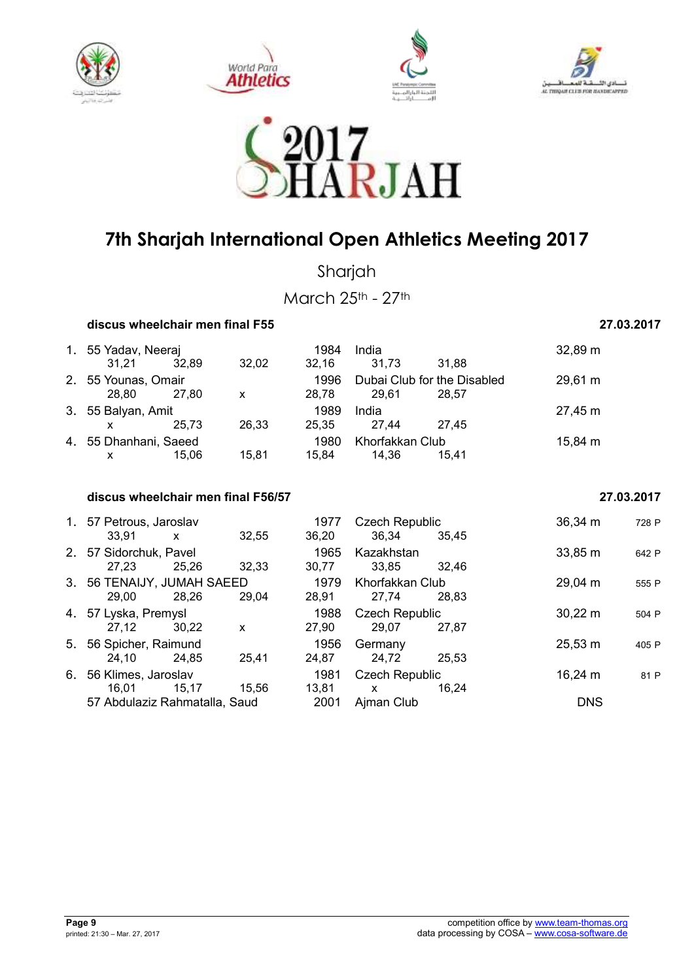









Sharjah

March 25th - 27th

| discus wheelchair men final F55 | 27.03.2017 |
|---------------------------------|------------|
|---------------------------------|------------|

| 1. 55 Yadav, Neeraj   |       |       | 1984  | India                       |       | $32,89 \; m$      |
|-----------------------|-------|-------|-------|-----------------------------|-------|-------------------|
| 31.21                 | 32,89 | 32,02 | 32.16 | 31,73                       | 31.88 |                   |
| 2. 55 Younas, Omair   |       |       | 1996  | Dubai Club for the Disabled |       | $29,61 \text{ m}$ |
| 28.80                 | 27.80 | X     | 28.78 | 29.61                       | 28.57 |                   |
| 3. 55 Balyan, Amit    |       |       | 1989  | India                       |       | 27,45 m           |
|                       | 25.73 | 26,33 | 25.35 | 27.44                       | 27.45 |                   |
| 4. 55 Dhanhani, Saeed |       |       | 1980  | Khorfakkan Club             |       | 15,84 m           |
| x                     | 15.06 | 15.81 | 15.84 | 14.36                       | 15.41 |                   |

#### **discus wheelchair men final F56/57 27.03.2017**

|    | 1. 57 Petrous, Jaroslav<br>33.91    | X     | 32,55        | 1977<br>36,20 | <b>Czech Republic</b><br>36.34 | 35.45 | 36,34 m      | 728 P |
|----|-------------------------------------|-------|--------------|---------------|--------------------------------|-------|--------------|-------|
|    | 2. 57 Sidorchuk, Pavel<br>27,23     | 25,26 | 32,33        | 1965<br>30,77 | Kazakhstan<br>33.85            | 32,46 | 33,85 m      | 642 P |
|    | 3. 56 TENAIJY, JUMAH SAEED<br>29.00 | 28.26 | 29.04        | 1979<br>28,91 | Khorfakkan Club<br>27.74       | 28.83 | 29,04 m      | 555 P |
|    | 4. 57 Lyska, Premysl<br>27,12       | 30.22 | $\mathsf{x}$ | 1988<br>27,90 | <b>Czech Republic</b><br>29,07 | 27.87 | $30,22 \, m$ | 504 P |
|    | 5. 56 Spicher, Raimund<br>24,10     | 24,85 | 25,41        | 1956<br>24.87 | Germany<br>24,72               | 25,53 | $25,53 \; m$ | 405 P |
| 6. | 56 Klimes, Jaroslav<br>16,01        | 15,17 | 15.56        | 1981<br>13,81 | <b>Czech Republic</b><br>X     | 16.24 | $16,24 \; m$ | 81 P  |
|    | 57 Abdulaziz Rahmatalla, Saud       |       |              | 2001          | Ajman Club                     |       | <b>DNS</b>   |       |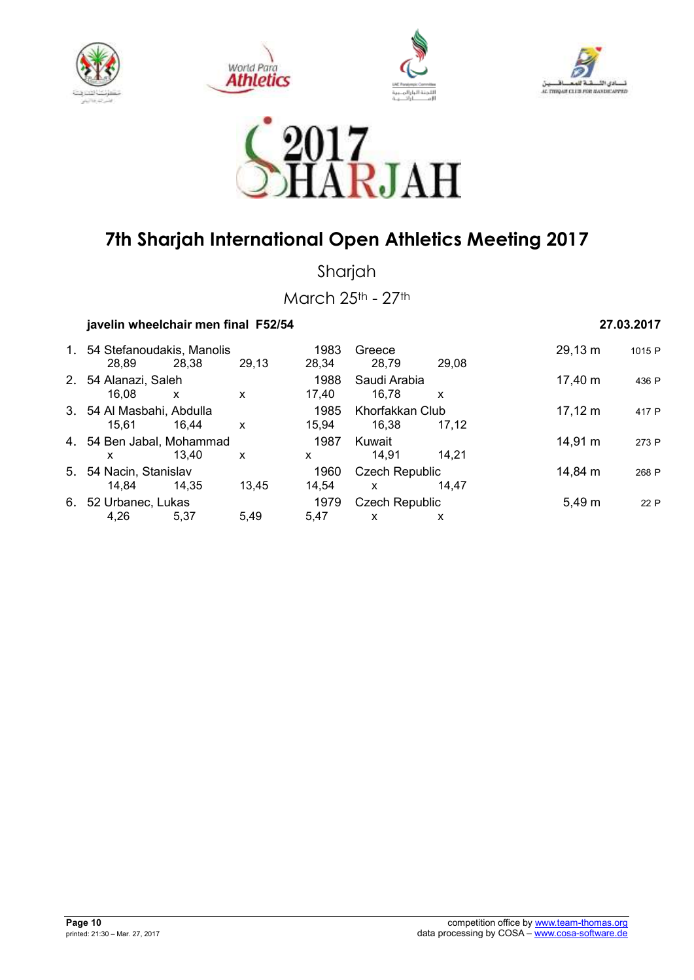









Sharjah

March 25th - 27th

### **javelin wheelchair men final F52/54 27.03.2017**

### 1. 54 Stefanoudakis, Manolis 1983 Greece 29,13 m <sup>1015</sup> <sup>P</sup> 28,89 28,38 29,13 28,34 28,79 29,08 2. 54 Alanazi, Saleh 1988 Saudi Arabia 17,40 m <sup>436</sup> <sup>P</sup> 16,08 x x 17,40 16,78 x 3. 54 Al Masbahi, Abdulla 1985 Khorfakkan Club 17,12 m <sup>417</sup> <sup>P</sup> 15,61 16,44 x 15,94 16,38 17,12 4. 54 Ben Jabal, Mohammad 1987 Kuwait 14,91 m <sup>273</sup> <sup>P</sup> x 13,40 x x 14,91 14,21 5. 54 Nacin, Stanislav 1960 Czech Republic 14,84 m <sup>268</sup> <sup>P</sup> 14,84 14,35 13,45 14,54 x 14,47 6. 52 Urbanec, Lukas 1979 Czech Republic 5,49 m <sup>22</sup> <sup>P</sup> 4,26 5,37 5,49 5,47 x x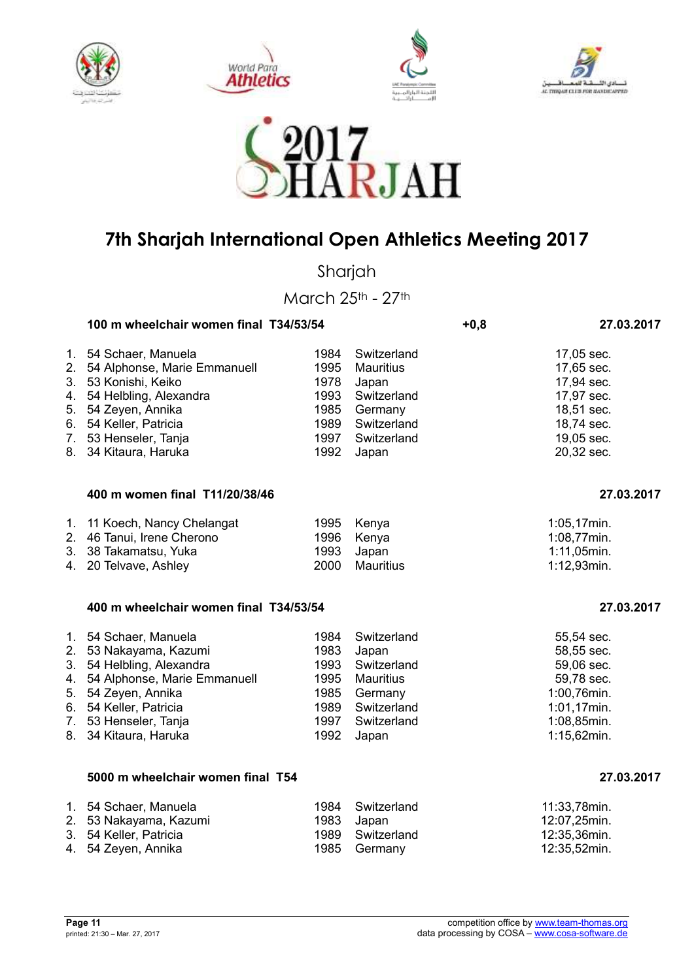









Sharjah

March 25th - 27th

|                            | 100 m wheelchair women final T34/53/54                                                                                                                                                                    |                                                              |                                                                                                           | $+0,8$ | 27.03.2017                                                                                                       |
|----------------------------|-----------------------------------------------------------------------------------------------------------------------------------------------------------------------------------------------------------|--------------------------------------------------------------|-----------------------------------------------------------------------------------------------------------|--------|------------------------------------------------------------------------------------------------------------------|
| 2.<br>4.<br>5.<br>7.<br>8. | 1. 54 Schaer, Manuela<br>54 Alphonse, Marie Emmanuell<br>3. 53 Konishi, Keiko<br>54 Helbling, Alexandra<br>54 Zeyen, Annika<br>6. 54 Keller, Patricia<br>53 Henseler, Tanja<br>34 Kitaura, Haruka         | 1984<br>1995<br>1978<br>1993<br>1985<br>1989<br>1997<br>1992 | Switzerland<br><b>Mauritius</b><br>Japan<br>Switzerland<br>Germany<br>Switzerland<br>Switzerland<br>Japan |        | 17,05 sec.<br>17,65 sec.<br>17,94 sec.<br>17,97 sec.<br>18,51 sec.<br>18,74 sec.<br>19,05 sec.<br>20,32 sec.     |
|                            | 400 m women final T11/20/38/46                                                                                                                                                                            |                                                              |                                                                                                           |        | 27.03.2017                                                                                                       |
| 3.<br>4.                   | 1. 11 Koech, Nancy Chelangat<br>2. 46 Tanui, Irene Cherono<br>38 Takamatsu, Yuka<br>20 Telvave, Ashley                                                                                                    | 1995<br>1996<br>1993<br>2000                                 | Kenya<br>Kenya<br>Japan<br><b>Mauritius</b>                                                               |        | 1:05,17min.<br>1:08,77min.<br>1:11,05min.<br>1:12,93min.                                                         |
|                            | 400 m wheelchair women final T34/53/54                                                                                                                                                                    |                                                              |                                                                                                           |        | 27.03.2017                                                                                                       |
| 4.<br>5.<br>6.             | 1. 54 Schaer, Manuela<br>2. 53 Nakayama, Kazumi<br>3. 54 Helbling, Alexandra<br>54 Alphonse, Marie Emmanuell<br>54 Zeyen, Annika<br>54 Keller, Patricia<br>7. 53 Henseler, Tanja<br>8. 34 Kitaura, Haruka | 1984<br>1983<br>1993<br>1995<br>1985<br>1989<br>1997<br>1992 | Switzerland<br>Japan<br>Switzerland<br>Mauritius<br>Germany<br>Switzerland<br>Switzerland<br>Japan        |        | 55,54 sec.<br>58,55 sec.<br>59,06 sec.<br>59,78 sec.<br>1:00,76min.<br>1:01,17min.<br>1:08,85min.<br>1:15,62min. |
|                            | 5000 m wheelchair women final T54                                                                                                                                                                         |                                                              |                                                                                                           |        | 27.03.2017                                                                                                       |
| 3.                         | 1. 54 Schaer, Manuela<br>2. 53 Nakayama, Kazumi<br>54 Keller, Patricia                                                                                                                                    | 1984<br>1983<br>1989                                         | Switzerland<br>Japan<br>Switzerland                                                                       |        | 11:33,78min.<br>12:07,25min.<br>12:35,36min.                                                                     |

4. 54 Zeyen, Annika 1985 Germany 12:35,52min.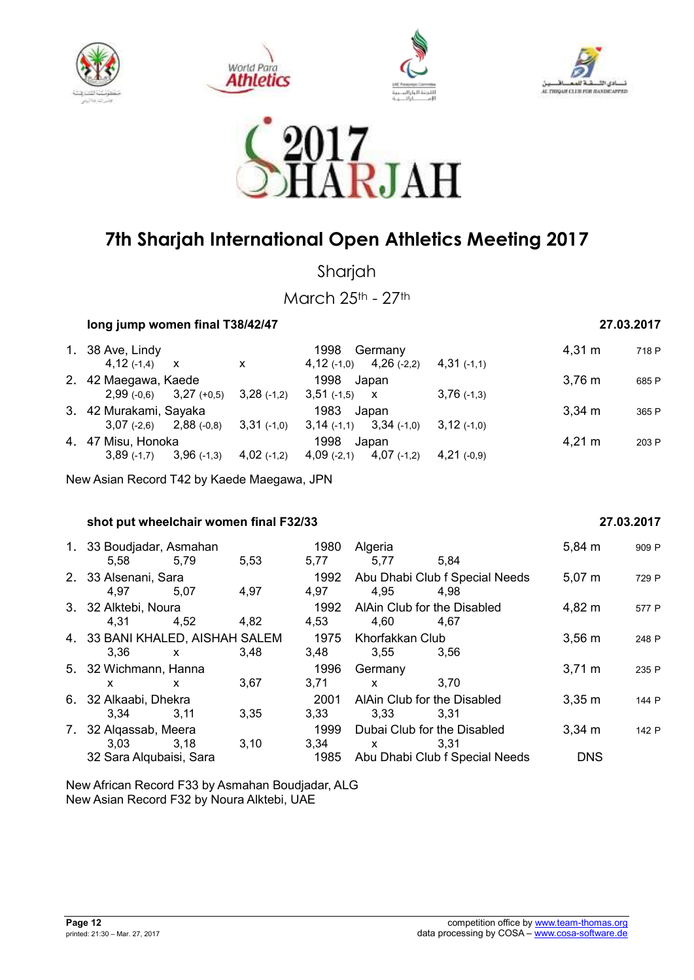









Sharjah

March 25th - 27th

| long jump women final T38/42/47 | 27.03.2017 |
|---------------------------------|------------|
|                                 |            |

| 1. 38 Ave, Lindy            |                                        |                                           | 1998<br>Germany                |                    | $4,31 \; \text{m}$ | 718 P |
|-----------------------------|----------------------------------------|-------------------------------------------|--------------------------------|--------------------|--------------------|-------|
| $4,12(-1,4)$ X              |                                        | X                                         | $4,12$ (-1,0) $4,26$ (-2,2)    | $4,31(-1,1)$       |                    |       |
| 2. 42 Maegawa, Kaede        |                                        |                                           | 1998 Japan                     |                    | $3,76 \; \text{m}$ | 685 P |
|                             | $2,99(-0,6)$ $3,27(+0,5)$ $3,28(-1,2)$ |                                           | $3,51(-1,5)$ X                 | $3,76$ (-1,3)      |                    |       |
| 3. 42 Murakami, Sayaka      |                                        |                                           | 1983 Japan                     |                    | 3.34 m             | 365 P |
|                             |                                        | $3,07$ (-2,6) $2,88$ (-0,8) $3,31$ (-1,0) | $3,34$ (-1,0)<br>$3,14$ (-1,1) | $3,12$ (-1,0)      |                    |       |
| 4. 47 Misu, Honoka          |                                        |                                           | 1998<br>Japan                  | $4,21 \; \text{m}$ | 203 P              |       |
| $3,89$ (-1,7) $3,96$ (-1,3) |                                        | $4,02$ (-1,2)                             | $4,07$ (-1,2)<br>$4,09$ (-2,1) | $4,21(-0,9)$       |                    |       |

New Asian Record T42 by Kaede Maegawa, JPN

**shot put wheelchair women final F32/33** 27.03.2017

| 1. 33 Boudjadar, Asmahan<br>5,58 5,79   |      | 5,53 | 1980<br>5,77 | Algeria<br>5,77                     | 5.84                                   | $5,84 \; m$      | 909 P |
|-----------------------------------------|------|------|--------------|-------------------------------------|----------------------------------------|------------------|-------|
| 2. 33 Alsenani, Sara<br>4,97            | 5.07 | 4,97 | 1992<br>4,97 | 4,95                                | Abu Dhabi Club f Special Needs<br>4.98 | $5,07 \; m$      | 729 P |
| 3. 32 Alktebi, Noura<br>4,31            | 4,52 | 4,82 | 1992<br>4,53 | AlAin Club for the Disabled<br>4,60 | 4.67                                   | 4,82 m           | 577 P |
| 4. 33 BANI KHALED, AISHAH SALEM<br>3,36 | X    | 3.48 | 1975<br>3,48 | Khorfakkan Club<br>3,55             | 3.56                                   | $3,56 \, m$      | 248 P |
| 5. 32 Wichmann, Hanna<br>x              | x    | 3,67 | 1996<br>3,71 | Germany<br>X                        | 3.70                                   | $3,71 \text{ m}$ | 235 P |
| 6. 32 Alkaabi, Dhekra<br>3,34           | 3.11 | 3,35 | 2001<br>3,33 | AlAin Club for the Disabled<br>3,33 | 3.31                                   | $3,35 \; m$      | 144 P |
| 7. 32 Algassab, Meera<br>3,03           | 3,18 | 3,10 | 1999<br>3,34 | $\mathsf{X}$                        | Dubai Club for the Disabled<br>3.31    | $3,34 \, m$      | 142 P |
| 32 Sara Alqubaisi, Sara                 |      |      | 1985         |                                     | Abu Dhabi Club f Special Needs         | <b>DNS</b>       |       |

New African Record F33 by Asmahan Boudjadar, ALG New Asian Record F32 by Noura Alktebi, UAE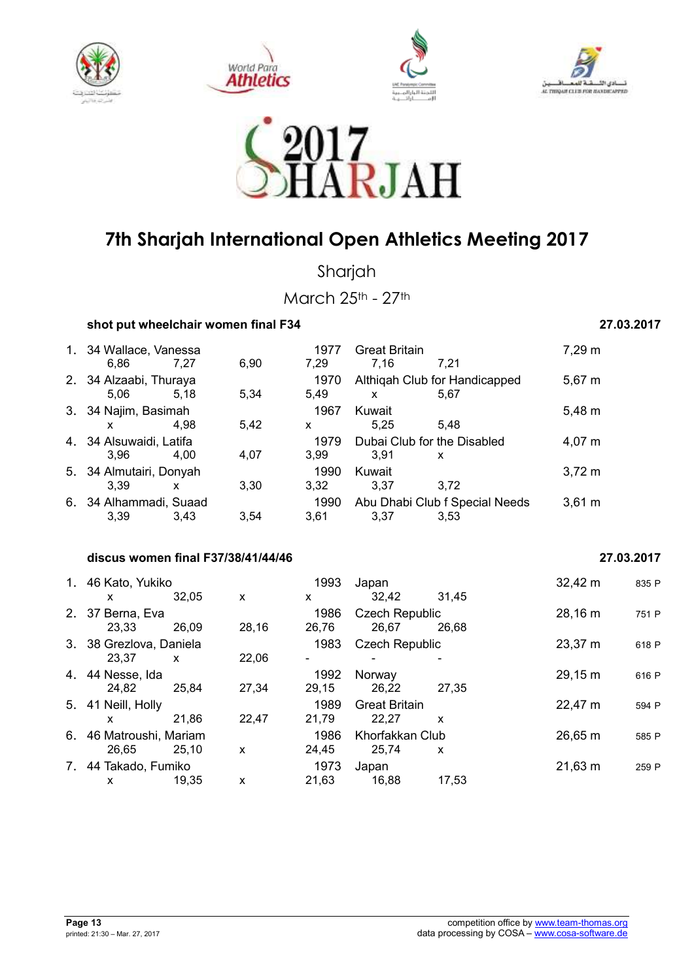









Sharjah

March 25th - 27th

### **shot put wheelchair women final F34** 27.03.2017

| 1. 34 Wallace, Vanessa  |      |      | 1977 | <b>Great Britain</b>        |                                | 7,29 m           |
|-------------------------|------|------|------|-----------------------------|--------------------------------|------------------|
| 6,86                    | 7.27 | 6.90 | 7.29 | 7,16                        | 7.21                           |                  |
| 2. 34 Alzaabi, Thuraya  |      |      | 1970 |                             | Althigah Club for Handicapped  | $5,67 \; m$      |
| 5.06                    | 5,18 | 5.34 | 5,49 | X                           | 5.67                           |                  |
| 3. 34 Najim, Basimah    |      |      | 1967 | Kuwait                      |                                | 5,48 m           |
| X                       | 4.98 | 5,42 | X    | 5.25                        | 5.48                           |                  |
| 4. 34 Alsuwaidi, Latifa |      |      | 1979 | Dubai Club for the Disabled |                                | $4,07 \; m$      |
| 3.96                    | 4.00 | 4,07 | 3,99 | 3.91                        | $\mathbf{x}$                   |                  |
| 5. 34 Almutairi, Donyah |      |      | 1990 | Kuwait                      |                                | $3,72 \; m$      |
| 3.39                    | x    | 3,30 | 3,32 | 3,37                        | 3.72                           |                  |
| 6. 34 Alhammadi, Suaad  |      |      | 1990 |                             | Abu Dhabi Club f Special Needs | $3,61 \text{ m}$ |
| 3,39                    | 3.43 | 3.54 | 3.61 | 3,37                        | 3.53                           |                  |

### **discus women final F37/38/41/44/46 27.03.2017**

| 1. 46 Kato, Yukiko<br>x          | 32,05        | X     | 1993<br>x     | Japan<br>32,42                 | 31,45 | $32,42 \; m$ | 835 P |
|----------------------------------|--------------|-------|---------------|--------------------------------|-------|--------------|-------|
| 2. 37 Berna, Eva<br>23.33        | 26.09        | 28,16 | 1986<br>26,76 | <b>Czech Republic</b><br>26,67 | 26.68 | 28,16 m      | 751 P |
| 3. 38 Grezlova, Daniela<br>23.37 | $\mathsf{x}$ | 22,06 | 1983<br>۰     | <b>Czech Republic</b>          |       | 23,37 m      | 618 P |
| 4. 44 Nesse, Ida<br>24,82        | 25,84        | 27,34 | 1992<br>29.15 | Norway<br>26,22                | 27.35 | 29,15 m      | 616 P |
| 5. 41 Neill, Holly<br>X.         | 21.86        | 22,47 | 1989<br>21,79 | <b>Great Britain</b><br>22.27  | X     | 22,47 m      | 594 P |
| 6. 46 Matroushi, Mariam<br>26.65 | 25.10        | X     | 1986<br>24,45 | Khorfakkan Club<br>25.74       | X     | 26,65 m      | 585 P |
| 7. 44 Takado, Fumiko<br>X        | 19.35        | X     | 1973<br>21,63 | Japan<br>16,88                 | 17.53 | $21,63 \; m$ | 259 P |